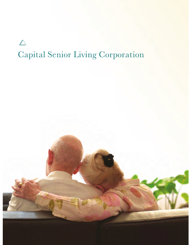# $\triangle$ Capital Senior Living Corporation

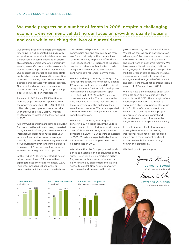## We made progress on a number of fronts in 2008, despite a challenging economic environment, validating our focus on providing quality housing and care while enriching the lives of our residents.

Our communities offer seniors the opportunity to live in well-appointed buildings with supportive services at affordable rates. We differentiate our communities as an affordable option to seniors who are increasingly seeking value. Our communities enjoy stable, well-established reputations in their markets. Our experienced marketing and sales staffs are building relationships and implementing innovative marketing plans to increase our outreach and contacts with referral sources. Our disciplined approach to managing expenses and increasing rates is producing positive results for our shareholders.

Revenues in 2008 were \$193.3 million, an increase of \$4.2 million or 2 percent from the prior year. Adjusted EBITDAR of \$56.6 million also grew 2 percent from the prior year and our adjusted EBITDAR margin of 29.3 percent matched the level achieved in 2007.

At communities under management, excluding four communities with units being converted to higher levels of care, same-store revenues increased 2.6 percent from the prior year with a 4.2 percent increase in average monthly rent. Our expense management and group purchasing program limited expense increases to 2.3 percent, resulting in samestore net income growth of 3.0 percent.

At the end of 2008, we operated 64 senior living communities in 23 states with an aggregate capacity of approximately 9,500 residents, including 38 senior living communities which we own or in which we

have an ownership interest, 25 leased communities and one community we manage for a third party. In the communities operated in 2008, 69 percent of residents lived independently, 24 percent of residents required assistance with activities of daily living and 7 percent of residents lived in continuing care retirement communities.

We are prudently increasing capacity using joint venture structures. We recently opened 101 independent living units and 45 assisted living units in our Dayton, Ohio development. Two additional developments will open in the first half of 2009, with 287 units of incremental capacity. These communities have been enthusiastically received due to the attractiveness of the buildings, their amenities and services. We have suspended further development until general business conditions improve.

We are also continuing our program of converting 207 independent living units in 7 communities to assisted living or dementia care. Of these conversions, 80 units were completed in 2007, 42 units were completed in 2008, 20 units are expected to be licensed this year and the remaining 65 units should be completed in 2010.

We believe that the Company is well positioned to capitalize on opportunities as they arise. The senior housing market is highly fragmented with a number of operators being financially challenged and lacking access to capital. New supply is severely constrained and demand will continue to

> Same-Store Comparison 2007-2008 (percentage change)

grow as seniors age and their needs increase. We believe that we are in position to take advantage of the current economic downturn to expand our base of operations and profit from an economic recovery. We have an established operating platform with geographic clustering and we provide multiple levels of care to seniors. We have a proven track record with same-store average annual rent growth of 6.1 percent and same-store annual net operating income growth of 13.7 percent since 2003.

We also have a solid balance sheet with available cash and no significant loan maturities until 2015. The strength of our financial position led us to recently announce a stock repurchase plan of up to \$10 million of common stock. We believe this stock repurchase program is a prudent use of our capital and demonstrates our confidence in the long-term value of Capital Senior Living.

In conclusion, we plan to leverage our existing base of operations, strong institutional relationships, proven track record and strong financial position to maximize shareholder value through growth and profitability.

We thank you for your support.

James B. Stroud

James A. Stroud Chairman of the Board



Lawrence A. Cohen Chief Executive Officer





06 07 08

40.5

60 55.4 56.6

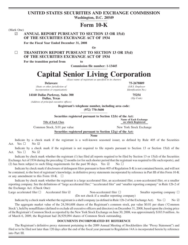### **UNITED STATES SECURITIES AND EXCHANGE COMMISSION Washington, D.C. 20549**

**Form 10-K**

(Mark One)

#### ¥ **ANNUAL REPORT PURSUANT TO SECTION 13 OR 15(d) OF THE SECURITIES EXCHANGE ACT OF 1934**

**For the Fiscal Year Ended December 31, 2008**

**Or**

n **TRANSITION REPORT PURSUANT TO SECTION 13 OR 15(d) OF THE SECURITIES EXCHANGE ACT OF 1934**

**For the transition period from to**

**Commission file number: 1-13445**

## **Capital Senior Living Corporation**

*(Exact name of registrant as specified in its charter)*

*(State or other jurisdiction of incorporation or organization)*

**14160 Dallas Parkway, Suite 300 Dallas, Texas**

*(Address of principal executive offices)*

**Registrant's telephone number, including area code: (972) 770-5600**

**Securities registered pursuant to Section 12(b) of the Act:**

**Title of Each Class**

**on which Registered** Common Stock, \$.01 par value New York Stock Exchange

**Name of Each Exchange**

**Securities registered pursuant to Section 12(g) of the Act:**

**None**

Indicate by a check mark if the registrant is a well-known seasoned issuer, as defined by Rule 405 of the Securities Act. Yes  $\Box$  No  $\Box$ 

Indicate by a check mark if the registrant is not required to file reports pursuant to Section 13 or Section 15(d) of the Act. Yes  $\Box$  No  $\Box$ 

Indicate by check mark whether the registrant (1) has filed all reports required to be filed by Section 13 or 15(d) of the Securities Exchange Act of 1934 during the preceding 12 months (or for such shorter period that the registrant was required to file such reports), and (2) has been subject to such filing requirements for the past 90 days. Yes  $\boxtimes$  No  $\Box$ 

Indicate by check mark if disclosure of delinquent filers pursuant to Item 405 of Regulation S-K is not contained herein, and will not be contained, to the best of registrant's knowledge, in definitive proxy statements incorporated by reference in Part III of this Form 10-K or any amendment to this Form 10-K.  $\Box$ 

Indicate by check mark whether the registrant is a large accelerated filer, an accelerated filer, a non-accelerated filer, or a smaller reporting company. See the definitions of "large accelerated filer," "accelerated filer" and "smaller reporting company" in Rule 12b-2 of the Exchange Act. (Check One):

Large accelerated filer  $\Box$  Accelerated filer  $\Box$  Non-accelerated filer  $\Box$ (Do not check if a smaller reporting company) Smaller reporting company  $\Box$ 

Indicate by a check mark whether the registrant is a shell company (as defined in Rule 12b-2 of the Exchange Act). Yes  $\Box$  No  $\Box$ 

The aggregate market value of the 24,384,608 shares of the Registrant's common stock, par value \$0.01 per share ('Common Stock'), held by nonaffiliates (defined to exclude all executive officers and directors) on December 31, 2008, based upon the closing price of the Registrant's Common Stock as reported by the New York Stock Exchange on June 30, 2008, was approximately \$183.9 million. As of March 6, 2009, the Registrant had 26,929,094 shares of Common Stock outstanding.

#### **DOCUMENTS INCORPORATED BY REFERENCE**

The Registrant's definitive proxy statement pertaining to the 2009 Annual Meeting of Stockholders (the "Proxy Statement") and filed or to be filed not later than 120 days after the end of the fiscal year pursuant to Regulation 14A is incorporated herein by reference into Part III.

**Delaware 75-2678809** *(I.R.S. Employer Identification No.)*

**75254**

*(Zip Code)*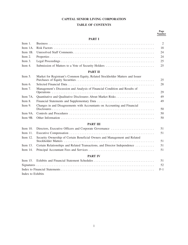## **CAPITAL SENIOR LIVING CORPORATION**

#### **TABLE OF CONTENTS**

|             |                                                                               | Page<br><b>Number</b> |
|-------------|-------------------------------------------------------------------------------|-----------------------|
|             | <b>PART I</b>                                                                 |                       |
| Item 1.     |                                                                               | $\overline{2}$        |
| Item 1A.    |                                                                               | 18                    |
| Item 1B.    |                                                                               | 24                    |
| Item 2.     |                                                                               | 24                    |
| Item 3.     |                                                                               | 25                    |
| Item 4.     | Submission of Matters to a Vote of Security Holders                           | 25                    |
|             | <b>PART II</b>                                                                |                       |
| Item 5.     | Market for Registrant's Common Equity, Related Stockholder Matters and Issuer |                       |
|             |                                                                               | 25                    |
| Item 6.     |                                                                               | 28                    |
| Item 7.     | Management's Discussion and Analysis of Financial Condition and Results of    |                       |
|             |                                                                               | 29                    |
| Item 7A.    |                                                                               | 49                    |
| Item 8.     |                                                                               | 49                    |
| Item 9.     | Changes in and Disagreements with Accountants on Accounting and Financial     | 50                    |
| Item 9A.    |                                                                               | 50                    |
| Item 9B.    |                                                                               | 50                    |
|             | <b>PART III</b>                                                               |                       |
| Item 10.    | Directors, Executive Officers and Corporate Governance                        | 51                    |
| Item 11.    |                                                                               | 51                    |
| Item 12.    | Security Ownership of Certain Beneficial Owners and Management and Related    | 51                    |
| Item $13$ . | Certain Relationships and Related Transactions, and Director Independence     | 51                    |
| Item 14.    |                                                                               | 51                    |
|             | <b>PART IV</b>                                                                |                       |
| Item $151$  |                                                                               | 51                    |
|             |                                                                               | 52                    |
|             |                                                                               | $F-1$                 |

Index to Exhibits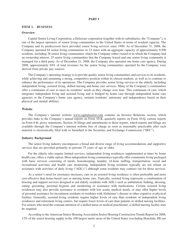#### **PART I**

#### **ITEM 1.** *BUSINESS.*

#### **Overview**

Capital Senior Living Corporation, a Delaware corporation (together with its subsidiaries, the "Company"), is one of the largest operators of senior living communities in the United States in terms of resident capacity. The Company and its predecessors have provided senior living services since 1990. As of December 31, 2008, the Company operated 64 senior living communities in 23 states with an aggregate capacity of approximately 9,500 residents, including 38 senior living communities which the Company either owned or in which the Company had an ownership interest, 25 senior living communities that the Company leased and one senior living community it managed for a third party. As of December 31, 2008, the Company also operated one home care agency. During 2008, approximately 94% of total revenues for the senior living communities operated by the Company were derived from private pay sources.

The Company's operating strategy is to provide quality senior living communities and services to its residents, while achieving and sustaining a strong, competitive position within its chosen markets, as well as to continue to enhance the performance of its operations. The Company provides senior living services to the elderly, including independent living, assisted living, skilled nursing and home care services. Many of the Company's communities offer a continuum of care to meet its residents' needs as they change over time. This continuum of care, which integrates independent living and assisted living and is bridged by home care through independent home care agencies or the Company's home care agency, sustains residents' autonomy and independence based on their physical and mental abilities.

#### **Website**

The Company's internet website www.capitalsenior.com contains an Investor Relations section, which provides links to the Company's annual reports on Form 10-K, quarterly reports on Form 10-Q, current reports on Form 8-K, proxy statements, Section 16 filings and amendments to those reports, which reports and filings are available through the Company's internet website free of charge as soon as reasonably practicable after such material is electronically filed with or furnished to the Securities and Exchange Commission ("SEC").

#### **Industry Background**

The senior living industry encompasses a broad and diverse range of living accommodations and supportive services that are provided primarily to persons 75 years of age or older.

For the elderly who require limited services, independent living residences supplemented at times by home health care, offers a viable option. Most independent living communities typically offer community living packaged with basic services consisting of meals, housekeeping, laundry, 24-hour staffing, transportation, social and recreational activities and health care monitoring. Independent living residents typically are not reliant on assistance with activities of daily living ("ADL's") although some residents may contract out for those services.

As a senior's need for assistance increases, care in an assisted living residence is often preferable and more cost-effective than home-based care or nursing home care. Typically, assisted living represents a combination of housing and support services designed to aid elderly residents with ADL's such as ambulation, bathing, dressing, eating, grooming, personal hygiene and monitoring or assistance with medications. Certain assisted living residences may also provide assistance to residents with low acuity medical needs, or may offer higher levels of personal assistance for incontinent residents or residents with Alzheimer's disease or other cognitive or physical frailties. Generally, assisted living residents require higher levels of care than residents of independent living residences and retirement living centers, but require lower levels of care than patients in skilled nursing facilities. For seniors who need the constant attention of a skilled nurse or medical practitioner, a skilled nursing facility may be required.

According to the American Senior Housing Association Senior Housing Construction Trends Report for 2008, 12% of the senior housing supply in the 100 largest metro areas of the United States (excluding Honolulu, HI) are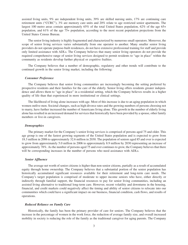assisted living units, 9% are independent living units, 39% are skilled nursing units, 17% are continuing care retirement units ("CCRC"), 3% are memory care units and 20% relate to age restricted senior apartments. The largest 100 metro areas contain approximately 65% of the total United States population, 62% of the age 65+ population, and 61% of the age 75+ population, according to the most recent population projections from the United States Census Bureau.

The senior living industry is highly fragmented and characterized by numerous small operators. Moreover, the scope of senior living services varies substantially from one operator to another. Many smaller senior living providers do not operate purpose-built residences, do not have extensive professional training for staff and provide only limited assistance with ADLs. The Company believes that many senior living operators do not provide the required comprehensive range of senior living services designed to permit residents to "age in place" within the community as residents develop further physical or cognitive frailties.

The Company believes that a number of demographic, regulatory and other trends will contribute to the continued growth in the senior living market, including the following:

#### *Consumer Preference*

The Company believes that senior living communities are increasingly becoming the setting preferred by prospective residents and their families for the care of the elderly. Senior living offers residents greater independence and allows them to "age in place" in a residential setting, which the Company believes results in a higher quality of life than that experienced in more institutional or clinical settings.

The likelihood of living alone increases with age. Most of this increase is due to an aging population in which women outlive men. Societal changes, such as high divorce rates and the growing numbers of persons choosing not to marry, have further increased the number of Americans living alone. This growth in the number of elderly living alone has resulted in an increased demand for services that historically have been provided by a spouse, other family members or live-in caregivers.

#### *Demographics*

The primary market for the Company's senior living services is comprised of persons aged 75 and older. This age group is one of the fastest growing segments of the United States population and is expected to grow from 18.3 million in 2006 to approximately 32.6 million in 2030. The population of seniors aged 85 and over is expected to grow from approximately 5.0 million in 2006 to approximately 8.9 million by 2030 representing an increase of approximately 78%. As the number of persons aged 75 and over continues to grow, the Company believes that there will be corresponding increases in the number of persons who need assistance with ADLs.

#### *Senior Affluence*

The average net worth of senior citizens is higher than non-senior citizens, partially as a result of accumulated equity through home ownership. The Company believes that a substantial portion of the senior population has historically accumulated significant resources available for their retirement and long-term care needs. The Company's target population is comprised of moderate to upper income seniors who have, either directly or indirectly through familial support, the financial resources to pay for senior living communities, including an assisted living alternative to traditional long-term care. However, recent volatility and downturns in the housing, financial, and credit markets could negatively affect the timing and ability of senior citizens to relocate into our communities which could have a significant impact on our business, financial condition, cash flows, and results of operations.

#### *Reduced Reliance on Family Care*

Historically, the family has been the primary provider of care for seniors. The Company believes that the increase in the percentage of women in the work force, the reduction of average family size, and overall increased mobility in society is reducing the role of the family as the traditional caregiver for aging parents. The Company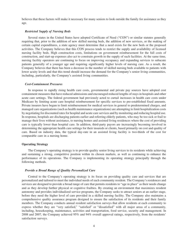believes that these factors will make it necessary for many seniors to look outside the family for assistance as they age.

#### *Restricted Supply of Nursing Beds*

Several states in the United States have adopted Certificate of Need ("CON") or similar statutes generally requiring that, prior to the addition of new skilled nursing beds, the addition of new services, or the making of certain capital expenditures, a state agency must determine that a need exists for the new beds or the proposed activities. The Company believes that this CON process tends to restrict the supply and availability of licensed nursing facility beds. High construction costs, limitations on government reimbursement for the full costs of construction, and start-up expenses also act to constrain growth in the supply of such facilities. At the same time, nursing facility operators are continuing to focus on improving occupancy and expanding services to subacute patients generally of a younger age and requiring significantly higher levels of nursing care. As a result, the Company believes that there has been a decrease in the number of skilled nursing beds available to patients with lower acuity levels and that this trend should increase the demand for the Company's senior living communities, including, particularly, the Company's assisted living communities.

#### *Cost-Containment Pressures*

In response to rapidly rising health care costs, governmental and private pay sources have adopted cost containment measures that have reduced admissions and encouraged reduced lengths of stays in hospitals and other acute care settings. The federal government had previously acted to curtail increases in health care costs under Medicare by limiting acute care hospital reimbursement for specific services to pre-established fixed amounts. Private insurers have begun to limit reimbursement for medical services in general to predetermined charges, and managed care organizations (such as health maintenance organizations) are attempting to limit hospitalization costs by negotiating for discounted rates for hospital and acute care services and by monitoring and reducing hospital use. In response, hospitals are discharging patients earlier and referring elderly patients, who may be too sick or frail to manage their lives without assistance, to nursing homes and assisted living residences where the cost of providing care is typically lower than hospital care. In addition, third-party payors are increasingly becoming involved in determining the appropriate health care settings for their insureds or clients, based primarily on cost and quality of care. Based on industry data, the typical day-rate in an assisted living facility is two-thirds of the cost for comparable care in a nursing home.

#### **Operating Strategy**

The Company's operating strategy is to provide quality senior living services to its residents while achieving and sustaining a strong, competitive position within its chosen markets, as well as continuing to enhance the performance of its operations. The Company is implementing its operating strategy principally through the following methods.

#### *Provide a Broad Range of Quality Personalized Care*

Central to the Company's operating strategy is its focus on providing quality care and services that are personalized and tailored to meet the individual needs of each community resident. The Company's residences and services are designed to provide a broad range of care that permits residents to "age in place" as their needs change and as they develop further physical or cognitive frailties. By creating an environment that maximizes resident autonomy and provides individualized service programs, the Company seeks to attract seniors at an earlier stage, before they need the higher level of care provided in a skilled nursing facility. The Company also maintains a comprehensive quality assurance program designed to ensure the satisfaction of its residents and their family members. The Company conducts annual resident satisfaction surveys that allow residents at each community to express whether they are "very satisfied," "satisfied" or "dissatisfied" with all major areas of a community, including, housekeeping, maintenance, activities and transportation, food service, security and management. In 2008 and 2007, the Company achieved 95% and 94% overall approval ratings, respectively, from the residents' satisfaction surveys.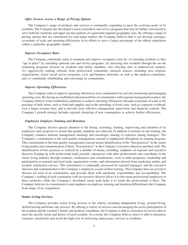#### *Offer Services Across a Range of Pricing Options*

The Company's range of products and services is continually expanding to meet the evolving needs of its residents. The Company has developed a menu of products and service programs that may be further customized to serve both the moderate and upper income markets of a particular targeted geographic area. By offering a range of pricing options that are customized for each target market, the Company believes that it can develop synergies, economies of scale and operating efficiencies in its efforts to serve a larger percentage of the elderly population within a particular geographic market.

#### *Improve Occupancy Rates*

The Company continually seeks to maintain and improve occupancy rates by: (i) retaining residents as they "age in place" by extending optional care and service programs; (ii) attracting new residents through the on-site marketing programs focused on residents and family members; (iii) selecting sites in underserved markets; (iv) aggressively seeking referrals from professional community outreach sources, including area religious organizations, senior social service programs, civic and business networks, as well as the medical community; and (v) continually refurbishing and renovating its communities.

#### *Improve Operating Efficiencies*

The Company seeks to improve operating efficiencies at its communities by actively monitoring and managing operating costs. By having an established national portfolio of communities with regional management in place, the Company believes it has established a platform to achieve operating efficiencies through economies of scale in the purchase of bulk items, such as food and supplies and in the spreading of fixed costs, such as corporate overhead, over a larger revenue base, and to provide more effective management supervision and financial controls. The Company's growth strategy includes regional clustering of new communities to achieve further efficiencies.

#### *Emphasize Employee Training and Retention*

The Company devotes special attention to the hiring, screening, training, supervising and retention of its employees and caregivers to ensure that quality standards are achieved. In addition to normal on-site training, the Company conducts national management meetings and encourages sharing of expertise among managers. The Company's commitment to the total quality management concept is emphasized throughout its training program. This commitment to the total quality management concept means identification of the "best practices" in the senior living market and communication of those "best practices" to the Company's executive directors and their staff. The identification of best practices is realized by a number of means, including: emphasis on regional and executive directors keeping up with professional trade journals; interaction with other professionals and consultants in the senior living industry through seminars, conferences and consultations; visits to other properties; leadership and participation at national and local trade organization events; and information derived from marketing studies and resident satisfaction surveys. This information is continually processed by regional managers and the executive directors and communicated to the Company's employees as part of their training. The Company hires an executive director for each of its communities and provides them with autonomy, responsibility and accountability. The Company's staffing of each community with an executive director allows it to hire more professional employees at these positions, while the Company's developed career path helps it to retain the professionals it hires. The Company believes its commitment to and emphasis on employee training and retention differentiates the Company from many of its competitors.

#### **Senior Living Services**

The Company provides senior living services to the elderly, including independent living, assisted living, skilled nursing and home care services. By offering a variety of services and encouraging the active participation of the resident and the resident's family and medical consultants, the Company is able to customize its service plan to meet the specific needs and desires of each resident. As a result, the Company believes that it is able to maximize customer satisfaction and avoid the high cost of delivering unnecessary services to residents.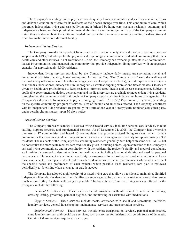The Company's operating philosophy is to provide quality living communities and services to senior citizens and deliver a continuum of care for its residents as their needs change over time. This continuum of care, which integrates independent living and assisted living and is bridged by home care, sustains residents' autonomy and independence based on their physical and mental abilities. As residents age, in many of the Company's communities, they are able to obtain the additional needed services within the same community, avoiding the disruptive and often traumatic move to a different facility.

#### *Independent Living Services*

The Company provides independent living services to seniors who typically do not yet need assistance or support with ADLs, but who prefer the physical and psychological comfort of a residential community that offers health care and other services. As of December 31, 2008, the Company had ownership interests in 28 communities, leased 14 communities and managed one community that provide independent living services, with an aggregate capacity for approximately 6,500 residents.

Independent living services provided by the Company include daily meals, transportation, social and recreational activities, laundry, housekeeping and 24-hour staffing. The Company also fosters the wellness of its residents by offering access to health screenings (such as blood pressure checks), periodic special services (such as influenza inoculations), dietary and similar programs, as well as ongoing exercise and fitness classes. Classes are given by health care professionals to keep residents informed about health and disease management. Subject to applicable government regulation, personal care and medical services are available to independent living residents through either the community staff or through the Company's agency or other independent home care agencies. The Company's independent living residents pay a fee ranging from \$1,155 to \$5,545 per month, in general, depending on the specific community, program of services, size of the unit and amenities offered. The Company's contracts with its independent living residents are generally for a term of one year and are typically terminable by either party, under certain circumstances, upon 30 days notice.

#### *Assisted Living Services*

The Company offers a wide range of assisted living care and services, including personal care services, 24 hour staffing, support services, and supplemental services. As of December 31, 2008, the Company had ownership interests in 17 communities and leased 15 communities that provide assisted living services, which include communities that have independent living and other services, with an aggregate capacity for approximately 2,300 residents. The residents of the Company's assisted living residences generally need help with some or all ADLs, but do not require the more acute medical care traditionally given in nursing homes. Upon admission to the Company's assisted living communities, and in consultation with the resident, the resident's family and medical consultants, each resident is assessed to determine his or her health status, including functional abilities and need for personal care services. The resident also completes a lifestyles assessment to determine the resident's preferences. From these assessments, a care plan is developed for each resident to ensure that all staff members who render care meet the specific needs and preferences of each resident where possible. Each resident's care plan is reviewed periodically to determine when a change in care is needed.

The Company has adopted a philosophy of assisted living care that allows a resident to maintain a dignified independent lifestyle. Residents and their families are encouraged to be partners in the residents' care and to take as much responsibility for their well being as possible. The basic types of assisted living services offered by the Company include the following:

*Personal Care Services.* These services include assistance with ADLs such as ambulation, bathing, dressing, eating, grooming, personal hygiene, and monitoring or assistance with medications.

*Support Services.* These services include meals, assistance with social and recreational activities, laundry services, general housekeeping, maintenance services and transportation services.

*Supplemental Services.* These services include extra transportation services, personal maintenance, extra laundry services, and special care services, such as services for residents with certain forms of dementia. Certain of these services require extra charges.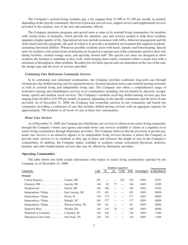The Company's assisted living residents pay a fee ranging from \$1,900 to \$7,100 per month, in general, depending on the specific community, the level of personal care services, support service and supplemental services provided to the resident, size of the unit and amenities offered.

The Company maintains programs and special units at some of its assisted living communities for residents with certain forms of dementia, which provide the attention, care and services needed to help those residents maintain a higher quality of life. Specialized services include assistance with ADLs, behavior management and life skills based activities programs, the goal of which is to provide a normalized environment that supports residents' remaining functional abilities. Whenever possible, residents assist with meals, laundry and housekeeping. Special units for residents with certain forms of dementia are located in a separate area of the community and have their own dining facilities, resident lounge areas, and specially trained staff. The special care areas are designed to allow residents the freedom to ambulate as they wish, while keeping them safely contained within a secure area with a minimum of disruption to other residents. Resident fees for these special units are dependent on the size of the unit, the design type and the level of services provided.

#### *Continuing Care Retirement Community Services*

In its continuing care retirement communities, the Company provides traditional long-term care through 24-hour-per-day skilled nursing care by registered nurses, licensed practical nurses and certified nursing assistants as well as assisted living and independent living care. The Company also offers a comprehensive range of restorative nursing and rehabilitation services in its communities including, but not limited to, physical, occupational, speech and medical social services. The Company's residents receiving skilled nursing services pay fees ranging from \$4,560 to \$10,790 per month, in general, depending on the specific community and the level of care provided. As of December 31, 2008, the Company had ownership interests in one community and leased one community providing a continuum of care that includes skilled nursing services with an aggregate capacity for approximately 700 residents at all levels of care at those two communities.

#### *Home Care Services*

As of December 31, 2008, the Company provided home care services to clients at one senior living community through the Company's home care agency and made home care services available to clients at a majority of its senior living communities through third-party providers. The Company believes that the provision of private pay, home care services is an attractive adjunct to its independent living services because it allows the Company to provide more services to its residents as they age in place and increases the length of stay in the Company's communities. In addition, the Company makes available to residents certain customized physician, dentistry, podiatry and other health-related services that may be offered by third-party providers.

#### **Operating Communities**

The table below sets forth certain information with respect to senior living communities operated by the Company as of December 31, 2008.

| Community                              |             |     | <b>Resident Capacity(1)</b> |                 |                                 |              |              | Commencement     |  |
|----------------------------------------|-------------|-----|-----------------------------|-----------------|---------------------------------|--------------|--------------|------------------|--|
|                                        |             |     | П.                          | AL              | <b>CCRC</b>                     | <b>Total</b> | Ownership(2) | of Operations(3) |  |
| <b>Owned:</b>                          |             |     |                             |                 |                                 |              |              |                  |  |
| Canton Regency Canton, OH              |             | 291 |                             | $\qquad \qquad$ | 310                             | 310          | 100%         | 03/91            |  |
| Gramercy Hill Lincoln, NE              |             | 148 | 83                          | 77              | $\hspace{0.1mm}-\hspace{0.1mm}$ | 160          | 100%         | 10/98            |  |
|                                        | Detroit, MI | 158 | 188                         |                 |                                 | 188          | 100%         | 01/92            |  |
| Independence Village  East Lansing, MI |             | 151 | 162                         |                 |                                 | 162          | 100%         | 08/00            |  |
| Independence Village $\dots\dots\dots$ | Peoria. IL  | 158 | 173                         |                 |                                 | 173          | 100%         | 08/00            |  |
| Independence Village  Raleigh, NC      |             | 165 | 177                         |                 |                                 | 177          | 100%         | 08/00            |  |
| Independence Village Winston-Salem, NC |             | 156 | 161                         |                 |                                 | 161          | 100%         | 08/00            |  |
| Sedgwick Plaza Wichita, KS             |             | 144 | 134                         | 35              | $\overline{\phantom{m}}$        | 169          | 100%         | 08/00            |  |
| Waterford at Columbia  Columbia, SC    |             | 120 | 136                         |                 |                                 | 136          | 100%         | 11/00            |  |
| Waterford at Deer Park Deer Park, TX   |             | 120 | 136                         |                 |                                 | 136          | 100%         | 11/00            |  |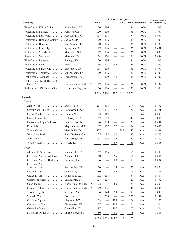|                                         |                          |       | <b>Resident Capacity(1)</b> |                          |                          |              |                 | Commencement     |  |
|-----------------------------------------|--------------------------|-------|-----------------------------|--------------------------|--------------------------|--------------|-----------------|------------------|--|
| Community                               |                          | Units | П.                          | AL                       | <b>CCRC</b>              | <b>Total</b> | Ownership $(2)$ | of Operations(3) |  |
| Waterford at Edison Lakes               | South Bend, IN           | 120   | 136                         |                          |                          | 136          | 100%            | 12/00            |  |
| Waterford at Fairfield                  | Fairfield, OH            | 120   | 136                         |                          | $\qquad \qquad$          | 136          | 100%            | 11/00            |  |
| Waterford at Fort Worth                 | Fort Worth, TX           | 151   | 174                         | $\overline{\phantom{0}}$ |                          | 174          | 100%            | 06/00            |  |
| Waterford at Highland Colony            | Jackson, MS              | 120   | 136                         |                          |                          | 136          | 100%            | 11/00            |  |
| Waterford at Huebner                    | San Antonio, TX          | 120   | 136                         | $\overline{\phantom{0}}$ | $\overline{\phantom{0}}$ | 136          | 100%            | 04/99            |  |
| Waterford at Ironbridge                 | Springfield, MO          | 119   | 136                         | $\overline{\phantom{0}}$ |                          | 136          | 100%            | 06/01            |  |
| Waterford at Mansfield                  | Mansfield, OH            | 119   | 136                         |                          |                          | 136          | 100%            | 10/00            |  |
| Waterford at Mesquite                   | Mesquite, TX             | 154   | 174                         |                          |                          | 174          | 100%            | 09/99            |  |
| Waterford at Pantego                    | Pantego, TX              | 120   | 136                         |                          |                          | 136          | 100%            | 12/00            |  |
| Waterford at Plano                      | Plano, TX                | 136   | 111                         | 45                       |                          | 156          | 100%            | 12/00            |  |
| Waterford at Shreveport                 | Shreveport, LA           | 117   | 136                         |                          |                          | 136          | 100%            | 03/99            |  |
| Waterford at Thousand Oaks              | San Antonio, TX          | 120   | 136                         |                          |                          | 136          | 100%            | 05/00            |  |
| Wellington at Arapaho.                  | Richardson, TX           | 137   | 109                         | 45                       | $\qquad \qquad$          | 154          | 100%            | 05/02            |  |
| Wellington at North Richland            |                          |       |                             |                          |                          |              |                 |                  |  |
| Hills, $TX \ldots \ldots \ldots \ldots$ | North Richland Hills, TX | 119   | 136                         |                          |                          | 136          | 100%            | 01/02            |  |
| Wellington at Oklahoma City             | Oklahoma City, OK        | 120   | 136                         |                          |                          | 136          | 100%            | 11/00            |  |
|                                         |                          |       | 3,503 3,414                 | 202                      | 310                      | 3,926        |                 |                  |  |
| Leased:                                 |                          |       |                             |                          |                          |              |                 |                  |  |
| Ventas:                                 |                          |       |                             |                          |                          |              |                 |                  |  |
| Amberleigh                              | Buffalo, NY              | 267   | 394                         |                          |                          | 394          | N/A             | 01/92            |  |
| Cottonwood Village                      | Cottonwood, AZ           | 163   | 135                         | 47                       | $\qquad \qquad$          | 182          | N/A             | 03/91            |  |
| Crown Pointe                            | Omaha, NE                | 132   | 163                         |                          | $\overline{\phantom{0}}$ | 163          | N/A             | 08/00            |  |
| Georgetowne Place                       | Fort Wayne, IN           | 162   | 247                         | $\overline{\phantom{0}}$ | $\overline{\phantom{0}}$ | 247          | N/A             | 10/05            |  |
| Harrison at Eagle Valley $(4)$          | Indianapolis, IN         | 124   | 138                         | $\overline{\phantom{0}}$ |                          | 138          | N/A             | 03/91            |  |
| Rose Arbor                              | Maple Grove, MN          | 137   | 107                         | 72                       |                          | 179          | N/A             | 06/06            |  |
| Towne Centre                            | Merrillville, IN         | 327   | $\qquad \qquad -$           |                          | 345                      | 345          | N/A             | 03/91            |  |
| Villa Santa Barbara                     | Santa Barbara, CA        | 125   | 87                          | 38                       |                          | 125          | N/A             | 08/00            |  |
| West Shores                             | Hot Springs, AR          | 137   | 135                         | 32                       |                          | 167          | N/A             | 08/00            |  |
| Whitley Place                           | Keller, TX               | 47    | $\overbrace{\hspace{15em}}$ | 65                       | $\overline{\phantom{m}}$ | 65           | N/A             | 02/08            |  |
| HCP:                                    |                          |       |                             |                          |                          |              |                 |                  |  |
| Atrium of Carmichael                    | Sacramento, CA           | 152   | 156                         |                          |                          | 156          | N/A             | 01/92            |  |
| Covenant Place of Abilene               |                          | 50    |                             | 55                       |                          |              | N/A             | 08/04            |  |
| Covenant Place of Burleson              | Abilene, TX              | 74    |                             |                          |                          | 55           |                 |                  |  |
|                                         | Burleson, TX             |       |                             | 80                       |                          | 80           | N/A             | 08/04            |  |
| Covenant Place of<br>Waxahachie         | Waxahachie, TX           | 50    |                             | 55                       |                          | 55           | N/A             | 08/04            |  |
| Crescent Place                          | Cedar Hill, TX           | 80    | $\overline{\phantom{m}}$    | 85                       |                          | 85           | N/A             | 11/05            |  |
| Crescent Point                          | Cedar Hill, TX           | 112   | 134                         |                          | $\overline{\phantom{0}}$ | 134          | N/A             | 08/04            |  |
| Crosswood Oaks                          | Sacramento, CA           | 121   | 127                         |                          |                          | 127          | N/A             | 01/92            |  |
| Good Place                              | North Richland Hills, TX | 72    | $\overline{\phantom{m}}$    | 80                       | $\qquad \qquad$          | 80           | N/A             | 08/04            |  |
| Meadow Lakes                            | North Richland Hills, TX | 120   | 145                         | $\overline{\phantom{0}}$ |                          | 145          | N/A             | 08/04            |  |
| Tesson Heights                          | St. Louis, MO            | 184   | 140                         | 58                       |                          | 198          | N/A             | 10/98            |  |
| Veranda Club                            | Boca Raton, FL           | 189   | 235                         | $\overline{\phantom{m}}$ |                          | 235          | N/A             | 01/92            |  |
| Charlotte Square                        | Charlotte, NC            | 73    |                             | 109                      | $\qquad \qquad$          | 109          | N/A             | 12/06            |  |
| Chesapeake Place                        | Chesapeake, VA           | 87    | $\overline{\phantom{m}}$    | 106                      | $\overline{\phantom{0}}$ | 106          | N/A             | 12/06            |  |
| Greenville Place                        | Greenville, SC           | 87    | $\overline{\phantom{m}}$    | 107                      |                          | 107          | N/A             | 12/06            |  |
| Myrtle Beach Estates                    | Myrtle Beach, SC         | 80    |                             | 98                       |                          | 98           | N/A             | 12/06            |  |
|                                         |                          |       |                             |                          |                          |              |                 |                  |  |
|                                         |                          |       | 3,152 2,343 1,087           |                          | 345                      | 3,775        |                 |                  |  |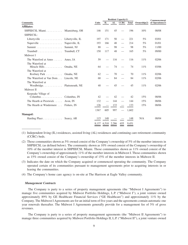|                                                |                  | <b>Resident Capacity(1)</b> |                                 |     |                                 |       | Commencement    |                  |
|------------------------------------------------|------------------|-----------------------------|---------------------------------|-----|---------------------------------|-------|-----------------|------------------|
| Community                                      |                  | <b>Units</b>                | $\mathbf{L}$                    | AL  | <b>CCRC</b>                     | Total | Ownership $(2)$ | of Operations(3) |
| <b>Affiliates:</b>                             |                  |                             |                                 |     |                                 |       |                 |                  |
| SHPIII/CSL Miami Miamisburg, OH                |                  | 146                         | 151                             | 45  |                                 | 196   | 10%             | 08/08            |
| SHPII/CSL:                                     |                  |                             |                                 |     |                                 |       |                 |                  |
| Libertyville $\ldots \ldots \ldots$            | Libertyville, IL | 197                         | 171                             | 50  | $\hspace{0.05cm}$               | 221   | $5\%$           | 03/01            |
| Naperville $\ldots \ldots \ldots \ldots$       | Naperville, IL   | 193                         | 166                             | 48  | $\qquad \qquad$                 | 214   | $5\%$           | 01/01            |
| Summit                                         | Summit, NJ       | 88                          | $\overline{\phantom{m}}$        | 98  | $\qquad \qquad \qquad$          | 98    | $5\%$           | 11/00            |
|                                                | Trumbull, CT     | 150                         | 117                             | 48  | $\qquad \qquad \longleftarrow$  | 165   | $5\%$           | 09/00            |
| Midwest I                                      |                  |                             |                                 |     |                                 |       |                 |                  |
| The Waterford at Ames Ames, IA                 |                  | 59                          |                                 | 116 | $\overline{\phantom{m}}$        | 116   | 11%             | 02/06            |
| The Waterford at<br>Miracle Hills Omaha, NE    |                  | 64                          |                                 | 74  |                                 | 74    | 11%             | 03/06            |
| The Waterford at<br>Roxbury Park Omaha, NE     |                  | 62                          |                                 | 70  |                                 | 70    | 11%             | 02/06            |
| The Waterford at Van Dorn                      | Lincoln, NE      | 68                          |                                 | 84  |                                 | 84    | 11%             | 02/06            |
| The Waterford at<br>Woodbridge Plattsmouth, NE |                  | 40                          |                                 | 45  |                                 | 45    | 11%             | 02/06            |
| Midwest II                                     |                  |                             |                                 |     |                                 |       |                 |                  |
| Keepsake Village of                            |                  | 42                          |                                 | 42  |                                 | 42    | 15%             | 08/06            |
| The Hearth at Prestwick                        | Avon. IN         | 132                         |                                 | 144 | $\qquad \qquad \qquad$          | 144   | 15%             | 08/06            |
| The Hearth at Windermere Fishers, IN           |                  | 126                         | $\hspace{0.1mm}-\hspace{0.1mm}$ | 133 | $\hspace{0.1mm}-\hspace{0.1mm}$ | 133   | 15%             | 08/06            |
|                                                |                  | 1367                        | 605                             | 997 | $\qquad \qquad$                 | 1,602 |                 |                  |
| <b>Managed:</b>                                |                  |                             |                                 |     |                                 |       |                 |                  |
| Harding Place Searcy, AR                       |                  | 115                         | 148                             |     |                                 | 148   | N/A             | 08/04            |
|                                                |                  |                             | 8,137 6,510 2,286               |     | 655                             | 9,451 |                 |                  |

(1) Independent living (IL) residences, assisted living (AL) residences and continuing care retirement community (CCRC) beds.

- (2) Those communities shown as 5% owned consist of the Company's ownership of 5% of the member interests in SHPII/CSL (as defined below). The community shown as 10% owned consist of the Company's ownership of 10% of the member interest in SHPIII/CSL Miami. Those communities shown as 11% owned consist of the Company's ownership of approximately 11% of the member interests in Midwest I. Those communities shown as 15% owned consist of the Company's ownership of 15% of the member interests in Midwest II.
- (3) Indicates the date on which the Company acquired or commenced operating the community. The Company operated certain of its communities pursuant to management agreements prior to acquiring interests in or leasing the communities.
- (4) The Company's home care agency is on-site at The Harrison at Eagle Valley community.

#### *Management Contracts*

The Company is party to a series of property management agreements (the "Midwest I Agreements") to manage five communities acquired by Midwest Portfolio Holdings, L.P. ("Midwest I"), a joint venture owned approximately 89% by GE Healthcare Financial Services ("GE Healthcare") and approximately 11% by the Company. The Midwest I Agreements are for an initial term of five years and the agreements contain automatic one year renewals thereafter. The Midwest I Agreements generally provide for a management fee of 5% of gross revenues.

The Company is party to a series of property management agreements (the "Midwest II Agreements") to manage three communities acquired by Midwest Portfolio Holdings II, L.P. ("Midwest II"), a joint venture owned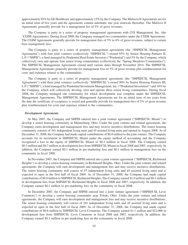approximately 85% by GE Healthcare and approximately 15% by the Company. The Midwest II Agreements are for an initial term of five years and the agreements contain automatic one year renewals thereafter. The Midwest II Agreements generally provide for a management fee of 5% of gross revenues.

The Company is party to a series of property management agreements with CGI Management, Inc. (the "CGIM Agreements). During fiscal 2008, the Company managed two communities under the CGIM Agreements. The CGIM Agreements generally provide for management fees of 5% to 6% of gross revenues, subject to certain base management fees.

The Company is party to a series of property management agreements (the "SHPII/CSL Management Agreements") with four joint ventures (collectively "SHPII/CSL") owned 95% by Senior Housing Partners II, L.P. ("SHPII"), a fund managed by Prudential Real Estate Investors ("Prudential") and 5% by the Company, which collectively own and operate four senior living communities (collectively the "Spring Meadows Communities"). The SHPII/CSL Management Agreements extend until various dates through November 2014. The SHPII/CSL Management Agreements generally provide for management fees of 5% of gross revenue plus reimbursement for costs and expenses related to the communities.

The Company is party to a series of property management agreements (the "SHPIII/CSL Management Agreements") with three joint ventures (collectively "SHPIII/CSL") owned 90% by Senior Housing Partners III, L.P. ("SHPIII"), a fund managed by Prudential Investment Management, Inc. ("Prudential Investment") and 10% by the Company, which will collectively develop, own and operate three senior living communities. During fiscal 2008, the Company managed one community for which development was complete under the SHPIII/CSL Management Agreements. The SHPIII/CSL Management Agreements are for an initial term of ten years from the date the certificate of occupancy is issued and generally provide for management fees of 5% of gross revenue plus reimbursement for costs and expenses related to the communities.

#### *Development Agreements*

In May 2007, the Company and SHPIII entered into a joint venture agreement ("SHPIII/CSL Miami") to develop a senior housing community in Miamisburg, Ohio. Under the joint venture and related agreements, the Company earns development and management fees and may receive incentive distributions. The senior housing community consists of 101 independent living units and 45 assisted living units and opened in August 2008. As of December 31, 2008, the Company had made capital contributions of \$0.8 million to the joint venture. The Company accounts for its investment in SHPIII/CSL Miami under the equity method of accounting and the Company recognized a loss in the equity of SHPIII/CSL Miami of \$0.1 million in fiscal 2008. The Company earned \$0.3 million and \$0.7 million in development fees from SHPIII/CSL Miami in fiscal 2008 and 2007, respectively. In addition, the Company earned \$0.1 million in pre-marketing fees and \$0.1 million in management fees on the community in fiscal 2008.

In November 2007, the Company and SHPIII entered into a joint venture agreement ("SHPIII/CSL Richmond Heights") to develop a senior housing community in Richmond Heights, Ohio. Under the joint venture and related agreements, the Company will earn development and management fees and may receive incentive distributions. The senior housing community will consist of 97 independent living units and 45 assisted living units and is expected to open in the first half of fiscal 2009. As of December 31, 2008, the Company had made capital contributions of \$0.8 million to SHPIII/CSL Richmond Heights. The Company earned \$1.0 million and \$0.1 million in development fees from SHPIII/CSL Richmond Heights in fiscal 2008 and 2007, respectively. In addition, the Company earned \$0.1 million in pre-marketing fees on the community in fiscal 2008.

In December 2007, the Company and SHPIII entered into a joint venture agreement ("SHPIII/CSL Levis Commons") to develop a senior housing community near Toledo, Ohio. Under the joint venture and related agreements, the Company will earn development and management fees and may receive incentive distributions. The senior housing community will consist of 101 independent living units and 45 assisted living units and is expected to open in the first half of fiscal 2009. As of December 31, 2008, the Company had made capital contributions of \$0.8 million to SHPIII/CSL Levis Commons. The Company earned \$1.1 million and \$22,000 in development fees from SHPIII/CSL Levis Commons in fiscal 2008 and 2007, respectively. In addition, the Company earned \$0.1 million in pre-marketing fees on the community in fiscal 2008.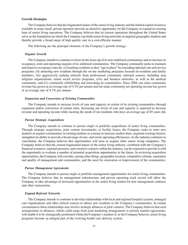#### **Growth Strategies**

The Company believes that the fragmented nature of the senior living industry and the limited capital resources available to many small, private operators provide an attractive opportunity for the Company to expand its existing base of senior living operations. The Company believes that its current operations throughout the United States serve as the foundation on which the Company can build senior living networks in targeted geographic markets and thereby provide a broad range of high quality care in a cost-efficient manner.

The following are the principal elements of the Company's growth strategy:

#### *Organic Growth*

The Company intends to continue to focus on the lease-up of its non-stabilized communities and to increase its occupancy, rents and operating margins of its stabilized communities. The Company continually seeks to maintain and improve occupancy rates by: (i) retaining residents as they "age in place" by extending optional care and service programs; (ii) attracting new residents through the on-site marketing programs focused on residents and family members; (iii) aggressively seeking referrals from professional community outreach sources, including area religious organizations, senior social service programs, civic and business networks, as well as the medical community; and (iv) continually refurbishing and renovating its communities. Since 2004, our same community revenue has grown at an average rate of 5.3% per annum and our same community net operating income has grown at an average rate of 8.7% per annum.

#### *Expansion and Conversion of Existing Communities*

The Company intends to increase levels of care and capacity at certain of its existing communities through expansion and/or conversion of certain units. Increasing our levels of care and capacity is expected to increase revenue and operating income while meeting the needs of our residents who have an average age of 85 years old.

#### *Pursue Strategic Acquisitions*

The Company intends to continue to pursue single or portfolio acquisitions of senior living communities. Through strategic acquisitions, joint venture investments, or facility leases, the Company seeks to enter new markets or acquire communities in existing markets as a means to increase market share, augment existing clusters, strengthen its ability to provide a broad range of care, and create operating efficiencies. As the industry continues to consolidate, the Company believes that opportunities will arise to acquire other senior living companies. The Company believes that the current fragmented nature of the senior living industry, combined with the Company's financial resources, national presence, and extensive contacts within the industry, can be expected to provide it with the opportunity to evaluate a number of potential acquisition opportunities in the future. In reviewing acquisition opportunities, the Company will consider, among other things, geographic location, competitive climate, reputation and quality of management and communities, and the need for renovation or improvement of the communities.

#### *Pursue Management Agreements*

The Company intends to pursue single or portfolio management opportunities for senior living communities. The Company believes that its management infrastructure and proven operating track record will allow the Company to take advantage of increased opportunities in the senior living market for new management contracts and other transactions.

#### *Expand Referral Networks*

The Company intends to continue to develop relationships with local and regional hospital systems, managed care organizations and other referral sources to attract new residents to the Company's communities. In certain circumstances these relationships may involve strategic alliances or joint ventures. The Company believes that such arrangements or alliances, which could range from joint marketing arrangements to priority transfer agreements, will enable it to be strategically positioned within the Company's markets if, as the Company believes, senior living programs become an integral part of the evolving health care delivery system.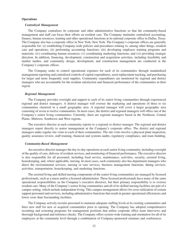#### **Operations**

#### *Centralized Management*

The Company centralizes its corporate and other administrative functions so that the community-based management and staff can focus their efforts on resident care. The Company maintains centralized accounting, finance, human resources, training and other operational functions at its national corporate office in Dallas, Texas. The Company also has a corporate office in New York, New York. The Company's corporate offices are generally responsible for: (i) establishing Company-wide policies and procedures relating to, among other things, resident care and operations; (ii) performing accounting functions; (iii) developing employee training programs and materials; (iv) coordinating human resources; (v) coordinating marketing functions; and (vi) providing strategic direction. In addition, financing, development, construction and acquisition activities, including feasibility and market studies, and community design, development, and construction management are conducted at the Company's corporate offices.

The Company seeks to control operational expenses for each of its communities through standardized management reporting and centralized controls of capital expenditures, asset replacement tracking, and purchasing for larger and more frequently used supplies. Community expenditures are monitored by regional and district managers who are accountable for the resident satisfaction and financial performance of the communities in their region.

#### *Regional Management*

The Company provides oversight and support to each of its senior living communities through experienced regional and district managers. A district manager will oversee the marketing and operations of three to six communities clustered in a small geographic area. A regional manager will cover a larger geographic area consisting of seven to twelve communities. In most cases, the district and regional managers will office out of the Company's senior living communities. Currently, there are regional managers based in the Northeast, Central Plains, Midwest, Southwest and West regions.

The executive director at each community reports to a regional or district manager. The regional and district managers report directly to senior management at the Company's corporate office. The district and regional managers make regular site visits to each of their communities. The site visits involve a physical plant inspection, quality assurance review, staff training, financial and systems audits, regulatory compliance, and team building.

#### *Community-Based Management*

An executive director manages the day-to-day operations at each senior living community, including oversight of the quality of care, delivery of resident services, and monitoring of financial performance. The executive director is also responsible for all personnel, including food service, maintenance, activities, security, assisted living, housekeeping, and, where applicable, nursing. In most cases, each community also has department managers who direct the environmental services, nursing or care services, business management functions, dining services, activities, transportation, housekeeping, and marketing functions.

The assisted living and skilled nursing components of the senior living communities are managed by licensed professionals, such as a nurse and/or a licensed administrator. These licensed professionals have many of the same operational responsibilities as the Company's executive directors, but their primary responsibility is to oversee resident care. Many of the Company's senior living communities and all of its skilled nursing facilities are part of a campus setting, which include independent living. This campus arrangement allows for cross-utilization of certain support personnel and services, including administrative functions that result in greater operational efficiencies and lower costs than freestanding facilities.

The Company actively recruits personnel to maintain adequate staffing levels at its existing communities and hires new staff for new or acquired communities prior to opening. The Company has adopted comprehensive recruiting and screening programs for management positions that utilize corporate office team interviews and thorough background and reference checks. The Company offers system-wide training and orientation for all of its employees at the community level through a combination of Company-sponsored seminars and conferences.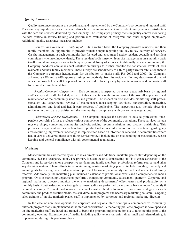#### *Quality Assurance*

Quality assurance programs are coordinated and implemented by the Company's corporate and regional staff. The Company's quality assurance is targeted to achieve maximum resident and resident family member satisfaction with the care and services delivered by the Company. The Company's primary focus in quality control monitoring includes routine in-service training and performance evaluations of caregivers and other support employees. Additional quality assurance measures include:

*Resident and Resident's Family Input.* On a routine basis, the Company provides residents and their family members the opportunity to provide valuable input regarding the day-to-day delivery of services. On-site management at each community has fostered and encouraged active resident councils and resident committees who meet independently. These resident bodies meet with on-site management on a monthly basis to offer input and suggestions as to the quality and delivery of services. Additionally, at each community the Company conducts annual resident satisfaction surveys to further monitor the satisfaction levels of both residents and their family members. These surveys are sent directly to a third party firm for tabulation then to the Company's corporate headquarters for distribution to onsite staff. For 2008 and 2007, the Company achieved a 95% and a 94% approval ratings, respectively, from its residents. For any departmental area of service scoring below a 90%, a plan of correction is developed jointly by on-site, regional and corporate staff for immediate implementation.

*Regular Community Inspections.* Each community is inspected, on at least a quarterly basis, by regional and/or corporate staff. Included, as part of this inspection is the monitoring of the overall appearance and maintenance of the community interiors and grounds. The inspection also includes monitoring staff professionalism and departmental reviews of maintenance, housekeeping, activities, transportation, marketing, administration and food and health care services, if applicable. The inspections also include observing residents in their daily activities and the community's compliance with government regulations.

*Independent Service Evaluations.* The Company engages the services of outside professional independent consulting firms to evaluate various components of the community operations. These services include mystery shops, competing community analysis, pricing recommendations and product positioning. This provides management with valuable unbiased product and service information. A plan of action regarding any areas requiring improvement or change is implemented based on information received. At communities where health care is delivered, these consulting service reviews include the on-site handling of medications, record keeping and general compliance with all governmental regulations.

#### *Marketing*

Most communities are staffed by on-site sales directors and additional marketing/sales staff depending on the community size and occupancy status. The primary focus of the on-site marketing staff is to create awareness of the Company and its services among prospective residents and family members, professional referral sources and other key decision makers. These efforts incorporate an aggressive marketing plan to include monthly, quarterly and annual goals for leasing, new lead generation, prospect follow up, community outreach and resident and family referrals. Additionally, the marketing plan includes a calendar of promotional events and a comprehensive media program. On-site marketing departments perform a competing community assessment quarterly. Corporate and regional marketing directors monitor the on-site marketing departments' effectiveness and productivity on a monthly basis. Routine detailed marketing department audits are performed on an annual basis or more frequently if deemed necessary. Corporate and regional personnel assist in the development of marketing strategies for each community and produce creative media, assist in direct mail programs and necessary marketing collateral. Ongoing sales training of on-site marketing/sales staff is implemented by corporate and regional marketing directors.

In the case of new development, the corporate and regional staff develops a comprehensive community outreach program that is implemented at the start of construction. A marketing pre-lease program is developed and on-site marketing staff are hired and trained to begin the program implementation six to nine months prior to the community opening. Extensive use of media, including radio, television, print, direct mail and telemarketing, is implemented during this pre-lease phase.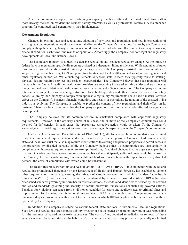After the community is opened and sustaining occupancy levels are attained, the on-site marketing staff is more heavily focused on resident and resident family referrals, as well as professional referrals. A maintenance program for continued lead generation is then implemented.

#### **Government Regulation**

Changes in existing laws and regulations, adoption of new laws and regulations and new interpretations of existing laws and regulations could have a material effect on the Company's operations. Failure by the Company to comply with applicable regulatory requirements could have a material adverse effect on the Company's business, financial condition, cash flows, and results of operations. Accordingly, the Company monitors legal and regulatory developments on local and national levels.

The health care industry is subject to extensive regulation and frequent regulatory change. At this time, no federal laws or regulations specifically regulate assisted or independent living residences. While a number of states have not yet enacted specific assisted living regulations, certain of the Company's assisted living communities are subject to regulation, licensing, CON and permitting by state and local health care and social service agencies and other regulatory authorities. While such requirements vary from state to state, they typically relate to staffing, physical design, required services and resident characteristics. The Company believes that such regulation will increase in the future. In addition, health care providers are receiving increased scrutiny under anti-trust laws as integration and consolidation of health care delivery increases and affects competition. The Company's communities are also subject to various zoning restrictions, local building codes, and other ordinances, such as fire safety codes. Failure by the Company to comply with applicable regulatory requirements could have a material adverse effect on the Company's business, financial condition, and results of operations. Regulation of the assisted living industry is evolving. The Company is unable to predict the content of new regulations and their effect on its business. There can be no assurance that the Company's operations will not be adversely affected by regulatory developments.

The Company believes that its communities are in substantial compliance with applicable regulatory requirements. However, in the ordinary course of business, one or more of the Company's communities could be cited for deficiencies. In such cases, the appropriate corrective action would be taken. To the Company's knowledge, no material regulatory actions are currently pending with respect to any of the Company's communities.

Under the Americans with Disabilities Act of 1990 ("ADA"), all places of public accommodation are required to meet certain federal requirements related to access and use by disabled persons. A number of additional federal, state and local laws exist that also may require modifications to existing and planned properties to permit access to the properties by disabled persons. While the Company believes that its communities are substantially in compliance with present requirements or are exempt therefrom, if required changes involve a greater expenditure than anticipated or must be made on a more accelerated basis than anticipated, additional costs would be incurred by the Company. Further legislation may impose additional burdens or restrictions with respect to access by disabled persons, the costs of compliance with which could be substantial.

The Health Insurance Portability and Accountability Act of 1996 ("HIPAA"), in conjunction with the federal regulations promulgated thereunder by the Department of Health and Human Services, has established, among other requirements, standards governing the privacy of certain protected and individually identifiable health information ("PHI") that is created, received or maintained by a range of covered entities. HIPAA has also established standards governing uniform health care transactions, the codes and identifiers to be used by the covered entities and standards governing the security of certain electronic transactions conducted by covered entities. Penalties for violations can range from civil money penalties for errors and negligent acts to criminal fines and imprisonment for knowing and intentional misconduct. HIPAA is a complex set of regulations and many unanswered questions remain with respect to the manner in which HIPAA applies to businesses such as those operated by the Company.

In addition, the Company is subject to various federal, state and local environmental laws and regulations. Such laws and regulations often impose liability whether or not the owner or operator knew of, or was responsible for, the presence of hazardous or toxic substances. The costs of any required remediation or removal of these substances could be substantial and the liability of an owner or operator as to any property is generally not limited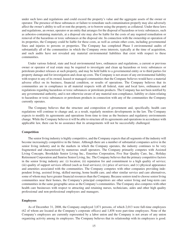under such laws and regulations and could exceed the property's value and the aggregate assets of the owner or operator. The presence of these substances or failure to remediate such contamination properly may also adversely affect the owner's ability to sell or rent the property, or to borrow using the property as collateral. Under these laws and regulations, an owner, operator or an entity that arranges for the disposal of hazardous or toxic substances, such as asbestos-containing materials, at a disposal site may also be liable for the costs of any required remediation or removal of the hazardous or toxic substances at the disposal site. In connection with the ownership or operation of its properties, the Company could be liable for these costs, as well as certain other costs, including governmental fines and injuries to persons or properties. The Company has completed Phase I environmental audits of substantially all of the communities in which the Company owns interests, typically at the time of acquisition, and such audits have not revealed any material environmental liabilities that exist with respect to these communities.

Under various federal, state and local environmental laws, ordinances and regulations, a current or previous owner or operator of real estate may be required to investigate and clean up hazardous or toxic substances or petroleum product releases at such property, and may be held liable to a governmental entity or to third parties for property damage and for investigation and clean up costs. The Company is not aware of any environmental liability with respect to any of its owned, leased or managed communities that the Company believes would have a material adverse effect on its business, financial condition, or results of operations. The Company believes that its communities are in compliance in all material respects with all federal, state and local laws, ordinances and regulations regarding hazardous or toxic substances or petroleum products. The Company has not been notified by any governmental authority, and is not otherwise aware of any material non-compliance, liability or claim relating to hazardous or toxic substances or petroleum products in connection with any of the communities the Company currently operates.

The Company believes that the structure and composition of government and, specifically, health care regulations will continue to change and, as a result, regularly monitors developments in the law. The Company expects to modify its agreements and operations from time to time as the business and regulatory environments change. While the Company believes it will be able to structure all its agreements and operations in accordance with applicable law, there can be no assurance that its arrangements will not be successfully challenged.

#### **Competition**

The senior living industry is highly competitive, and the Company expects that all segments of the industry will become increasingly competitive in the future. Although there are a number of substantial companies active in the senior living industry and in the markets in which the Company operates, the industry continues to be very fragmented and characterized by numerous small operators. The Company primarily competes with Assisted Living Concepts, Brookdale Senior Living Inc., Emeritus Corporation, Five Star Quality Care, Inc., Holiday Retirement Corporation and Sunrise Senior Living, Inc. The Company believes that the primary competitive factors in the senior living industry are: (i) location; (ii) reputation for and commitment to a high quality of service; (iii) quality of support services offered (such as food services); (iv) price of services; and (v) physical appearance and amenities associated with the communities. The Company competes with other companies providing independent living, assisted living, skilled nursing, home health care, and other similar service and care alternatives, some of whom may have greater financial resources than the Company. Because seniors tend to choose senior living communities near their homes, the Company's principal competitors are other senior living and long-term care communities in the same geographic areas as the Company's communities. The Company also competes with other health care businesses with respect to attracting and retaining nurses, technicians, aides and other high quality professional and non-professional employees and managers.

#### **Employees**

As of December 31, 2008, the Company employed 3,871 persons, of which 2,013 were full-time employees (62 of whom are located at the Company's corporate offices) and 1,858 were part-time employees. None of the Company's employees are currently represented by a labor union and the Company is not aware of any union organizing activity among its employees. The Company believes that its relationship with its employees is good.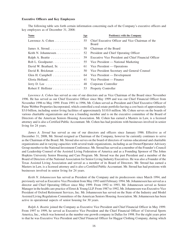#### **Executive Officers and Key Employees**

The following table sets forth certain information concerning each of the Company's executive officers and key employees as of December 31, 2008:

| Name                                                        | Age | Position(s) with the Company                              |
|-------------------------------------------------------------|-----|-----------------------------------------------------------|
| Lawrence A. Cohen $\dots \dots \dots \dots$                 | 55  | Chief Executive Officer and Vice Chairman of the<br>Board |
|                                                             | 58  | Chairman of the Board                                     |
|                                                             |     | 52 President and Chief Operating Officer                  |
| Ralph A. Beattie $\ldots \ldots \ldots \ldots$              | 59  | Executive Vice President and Chief Financial Officer      |
|                                                             |     |                                                           |
| David W. Beathard, Sr. 61 Vice President — Operations       |     |                                                           |
| David R. Brickman                                           |     | 50 Vice President Secretary and General Counsel           |
|                                                             |     |                                                           |
|                                                             |     |                                                           |
| Jerry D. Lee $\dots \dots \dots \dots \dots \dots \dots$ 48 |     | Corporate Controller                                      |
|                                                             |     | <b>Property Controller</b>                                |

*Lawrence A. Cohen* has served as one of our directors and as Vice Chairman of the Board since November 1996. He has served as our Chief Executive Officer since May 1999 and was our Chief Financial Officer from November 1996 to May 1999. From 1991 to 1996, Mr. Cohen served as President and Chief Executive Officer of Paine Webber Properties Incorporated, which controlled a real estate portfolio having a cost basis of approximately \$3.0 billion, including senior living facilities of approximately \$110.0 million. Mr. Cohen serves on the boards of various charitable organizations and was a founding member and is on the executive committee of the Board of Directors of the American Seniors Housing Association. Mr. Cohen has earned a Masters in Law, is a licensed attorney and is also a Certified Public Accountant. Mr. Cohen has had positions with businesses involved in senior living for 24 years.

*James A. Stroud* has served as one of our directors and officers since January 1986. Effective as of December 31, 2008, Mr. Stroud resigned as Chairman of the Company, however he currently continues to serve as the Chairman of the Board. Mr. Stroud also serves on the board of directors of various educational and charitable organizations and in varying capacities with several trade organizations, including as an Owner/Operator Advisory Group member to the National Investment Conference. Mr. Stroud has served as a member of the Founder's Council and Leadership Counsel of the Assisted Living Federation of America and as a Founding Sponsor of The Johns Hopkins University Senior Housing and Care Program. Mr. Stroud was the past President and a member of the Board of Directors of the National Association for Senior Living Industry Executives. He was also a Founder of the Texas Assisted Living Association and served as a member of its Board of Directors. Mr. Stroud has earned a Masters in Law, is a licensed attorney and is also a Certified Public Accountant. Mr. Stroud has had positions with businesses involved in senior living for 24 years.

*Keith N. Johannessen* has served as President of the Company and its predecessors since March 1994, and previously served as Executive Vice President from May 1993 until February 1994. Mr. Johannessen has served as a director and Chief Operating Officer since May 1999. From 1992 to 1993, Mr. Johannessen served as Senior Manager in the health care practice of Ernst & Young LLP. From 1987 to 1992, Mr. Johannessen was Executive Vice President of Oxford Retirement Services, Inc. Mr. Johannessen has served on the State of the Industry and Model Assisted Living Regulations Committees of the American Seniors Housing Association. Mr. Johannessen has been active in operational aspects of senior housing for 30 years.

*Ralph A. Beattie* joined the Company as Executive Vice President and Chief Financial Officer in May 1999. From 1997 to 1999, he served as Executive Vice President and the Chief Financial Officer of Universal Sports America, Inc., which was honored as the number one growth company in Dallas for 1998. For the eight years prior to that he was Executive Vice President and Chief Financial Officer for Haggar Clothing Company, during which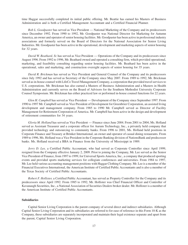time Haggar successfully completed its initial public offering. Mr. Beattie has earned his Masters of Business Administration and is both a Certified Management Accountant and a Certified Financial Planner.

*Rob L. Goodpaster* has served as Vice President — National Marketing of the Company and its predecessors since December 1992. From 1990 to 1992, Mr. Goodpaster was National Director for Marketing for Autumn America, an owner and operator of senior housing facilities. Mr. Goodpaster has been active in professional industry associations and formerly served on the Board of Directors for the National Association for Senior Living Industries. Mr. Goodpaster has been active in the operational, development and marketing aspects of senior housing for 32 years.

*David W. Beathard, Sr.* has served as Vice President — Operations of the Company and its predecessors since August 1996. From 1992 to 1996, Mr. Beathard owned and operated a consulting firm, which provided operational, marketing, and feasibility consulting regarding senior housing facilities. Mr. Beathard has been active in the operational, sales and marketing, and construction oversight aspects of senior housing for 35 years.

*David R. Brickman* has served as Vice President and General Counsel of the Company and its predecessors since July 1992 and has served as Secretary of the Company since May 2007. From 1989 to 1992, Mr. Brickman served as in-house counsel with LifeCo Travel Management Company, a corporation that provided travel services to U.S. corporations. Mr. Brickman has also earned a Masters of Business Administration and a Masters in Health Administration and currently serves on the Board of Advisors for the Southern Methodist University Corporate Counsel Symposium. Mr. Brickman has either practiced law or performed in-house counsel functions for 22 years.

*Glen H. Campbell* has served as Vice President — Development of the Company since September 1997. From 1990 to 1997 Mr. Campbell served as Vice President of Development for Greenbrier Corporation, an assisted living development and management company. From 1985 to 1990 Mr. Campbell served as Director of Facility Management for Retirement Corporation of America. Mr. Campbell has been active in the design and development of retirement communities for 34 years.

*Gloria M. Holland* has served as Vice President — Finance since June 2004. From 2001 to 2004, Ms. Holland served as Assistant Treasurer and a corporate officer for Aurum Technology, Inc., a privately held company that provided technology and outsourcing to community banks. From 1996 to 2001, Ms. Holland held positions in Corporate Finance and Treasury at Brinker International, an owner and operator of casual dining restaurants. From 1989 to 1996, Ms. Holland was a Vice President in the Corporate Banking division of NationsBank and predecessor banks. Ms. Holland received a BBA in Finance from the University of Mississippi in 1989.

*Jerry D. Lee,* a Certified Public Accountant, who had served as Corporate Controller since April 1999, resigned from the Company effective January 2, 2009. Prior to joining the Company, Mr. Lee served as the Senior Vice President of Finance, from 1997 to 1999, for Universal Sports America, Inc., a company that produced sporting events and provided sports marketing services for collegiate conferences and universities. From 1984 to 1997, Mr. Lee held various accounting management positions with Haggar Clothing Company. Mr. Lee is a member of the Financial Executives International, the American Institute of Certified Public Accountants and is also a member of the Texas Society of Certified Public Accountants.

*Robert F. Hollister,* a Certified Public Accountant, has served as Property Controller for the Company and its predecessors since April 1992. From 1985 to 1992, Mr. Hollister was Chief Financial Officer and Controller of Kavanaugh Securities, Inc., a National Association of Securities Dealers broker dealer. Mr. Hollister is a member of the American Institute of Certified Public Accountants.

#### **Subsidiaries**

Capital Senior Living Corporation is the parent company of several direct and indirect subsidiaries. Although Capital Senior Living Corporation and its subsidiaries are referred to for ease of reference in this Form 10-K as the Company, these subsidiaries are separately incorporated and maintain their legal existence separate and apart from the parent, Capital Senior Living Corporation.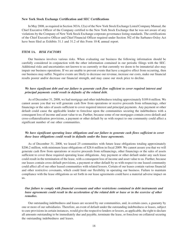#### **New York Stock Exchange Certification and SEC Certifications**

In May 2008, as required in Section 303A.12(a) of the New York Stock Exchange Listed Company Manual, the Chief Executive Officer of the Company certified to the New York Stock Exchange that he was not aware of any violations by the Company of New York Stock Exchange corporate governance listing standards. The certifications of the Chief Executive Officer and Chief Financial Officer required under Section 302 of the Sarbanes-Oxley Act have been filed as Exhibits 31.1 and 31.2 of this Form 10-K annual report.

#### **ITEM 1A.** *RISK FACTORS*

Our business involves various risks. When evaluating our business the following information should be carefully considered in conjunction with the other information contained in our periodic filings with the SEC. Additional risks and uncertainties not known to us currently or that currently we deem to be immaterial also may impair our business operations. If we are unable to prevent events that have a negative effect from occurring, then our business may suffer. Negative events are likely to decrease our revenue, increase our costs, make our financial results poorer and/or decrease our financial strength, and may cause our stock price to decline.

#### *We have significant debt and our failure to generate cash flow sufficient to cover required interest and principal payments could result in defaults of the related debt.*

As of December 31, 2008, we had mortgage and other indebtedness totaling approximately \$189.6 million. We cannot assure you that we will generate cash flow from operations or receive proceeds from refinancings, other financings or the sales of assets sufficient to cover required interest and principal payments. Any payment or other default could cause the applicable lender to foreclose upon the communities securing the indebtedness with a consequent loss of income and asset value to us. Further, because some of our mortgages contain cross-default and cross-collateralization provisions, a payment or other default by us with respect to one community could affect a significant number of our other communities.

#### *We have significant operating lease obligations and our failure to generate cash flows sufficient to cover these lease obligations could result in defaults under the lease agreements.*

As of December 31, 2008, we leased 25 communities with future lease obligations totaling approximately \$206.2 million, with minimum lease obligations of \$28.6 million in fiscal 2009. We cannot assure you that we will generate cash flow from operations or receive proceeds from refinancings, other financings or the sales of assets sufficient to cover these required operating lease obligations. Any payment or other default under any such lease could result in the termination of the lease, with a consequent loss of income and asset value to us. Further, because our leases contain cross-default provisions, a payment or other default by us with respect to one leased community could affect all of our other leased communities with related lessors. Certain of our leases contain various financial and other restrictive covenants, which could limit our flexibility in operating our business. Failure to maintain compliance with the lease obligations as set forth in our lease agreements could have a material adverse impact on us.

#### *Our failure to comply with financial covenants and other restrictions contained in debt instruments and lease agreements could result in the acceleration of the related debt or lease or in the exercise of other remedies.*

Our outstanding indebtedness and leases are secured by our communities, and, in certain cases, a guaranty by one or more of our subsidiaries. Therefore, an event of default under the outstanding indebtedness or leases, subject to cure provisions in certain instances, would give the respective lenders or lessors, as applicable, the right to declare all amounts outstanding to be immediately due and payable, terminate the lease, or foreclose on collateral securing the outstanding indebtedness and leases.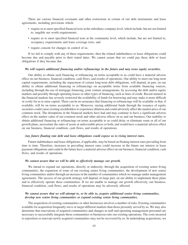There are various financial covenants and other restrictions in certain of our debt instruments and lease agreements, including provisions which:

- require us to meet specified financial tests at the subsidiary company level, which include, but are not limited to, tangible net worth requirements;
- require us to meet specified financial tests at the community level, which include, but are not limited to, occupancy requirements and lease coverage tests; and
- require consent for changes in control of us.

If we fail to comply with any of these requirements, then the related indebtedness or lease obligations could become due and payable prior to their stated dates. We cannot assure that we could pay these debt or lease obligations if they became due.

#### *We will require additional financing and/or refinancings in the future and may issue equity securities.*

Our ability to obtain such financing or refinancing on terms acceptable to us could have a material adverse effect on our business, financial condition, cash flows, and results of operations. Our ability to meet our long-term capital requirements, including the repayment of certain long-term debt obligations, will depend, in part, on our ability to obtain additional financing or refinancings on acceptable terms from available financing sources, including through the use of mortgage financing, joint venture arrangements, by accessing the debt and/or equity markets and possibly through operating leases or other types of financing, such as lines of credit. Recent turmoil in the financial markets has severely restricted the availability of funds for borrowing and may make it more difficult or costly for us to raise capital. There can be no assurance that financing or refinancings will be available or that, if available, will be on terms acceptable to us. Moreover, raising additional funds through the issuance of equity securities could cause existing stockholders to experience dilution and could adversely affect the market price of our common stock. The disruptions in the financial markets have had and may continue to have a significant adverse effect on the market value of our common stock and other adverse effects on us and our business. Our inability to obtain additional financing or refinancings on terms acceptable to us could delay or eliminate some or all of our growth plans, necessitate the sales of assets at unfavorable prices or both, and would have a material adverse effect on our business, financial condition, cash flows, and results of operations.

#### *Any future floating rate debt and lease obligations could expose us to rising interest rates.*

Future indebtedness and lease obligations, if applicable, may be based on floating interest rates prevailing from time to time. Therefore, increases in prevailing interest rates could increase in the future our interest or lease payment obligations and could in the future have a material adverse effect on our business, financial condition, cash flows, and results of operations.

#### *We cannot assure that we will be able to effectively manage our growth.*

We intend to expand our operations, directly or indirectly, through the acquisition of existing senior living communities, the expansion of some of our existing senior living communities, the development of new senior living communities and/or through an increase in the number of communities which we manage under management agreements. The success of our growth strategy will depend, in large part, on our ability to implement these plans and to effectively operate these communities. If we are unable to manage our growth effectively, our business, financial condition, cash flows, and results of operations may be adversely affected.

#### *We cannot assure that we will attempt to, or be able to, acquire additional senior living communities, develop new senior living communities or expand existing senior living communities.*

The acquisition of existing communities or other businesses involves a number of risks. Existing communities available for acquisition frequently serve or target different markets than those presently served by us. We may also determine that renovations of acquired communities and changes in staff and operating management personnel are necessary to successfully integrate those communities or businesses into our existing operations. The costs incurred to reposition or renovate newly acquired communities may not be recovered by us. In undertaking acquisitions, we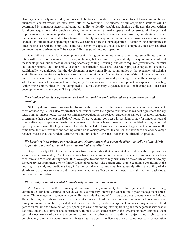also may be adversely impacted by unforeseen liabilities attributable to the prior operators of those communities or businesses, against whom we may have little or no recourse. The success of our acquisition strategy will be determined by numerous factors, including our ability to identify suitable acquisition candidates; the competition for those acquisitions; the purchase price; the requirement to make operational or structural changes and improvements; the financial performance of the communities or businesses after acquisition; our ability to finance the acquisitions; and our ability to integrate effectively any acquired communities or businesses into our management, information, and operating systems. We cannot assure that our acquisition of senior living communities or other businesses will be completed at the rate currently expected, if at all, or if completed, that any acquired communities or businesses will be successfully integrated into our operations.

Our ability to successfully develop new senior living communities or expand existing senior living communities will depend on a number of factors, including, but not limited to, our ability to acquire suitable sites at reasonable prices; our success in obtaining necessary zoning, licensing, and other required governmental permits and authorizations; and our ability to control construction costs and accurately project completion schedules. Additionally, we anticipate that the development of new senior living communities or the expansion of existing senior living communities may involve a substantial commitment of capital for a period of time of two years or more until the new senior living communities or expansions are operating and producing revenue, the consequence of which could be an adverse impact on our liquidity. We cannot assure that our developments or expansion of existing senior living communities will be completed at the rate currently expected, if at all, or if completed, that such developments or expansions will be profitable.

#### *Termination of resident agreements and resident attrition could affect adversely our revenues and earnings.*

State regulations governing assisted living facilities require written resident agreements with each resident. Most of these regulations also require that each resident have the right to terminate the resident agreement for any reason on reasonable notice. Consistent with these regulations, the resident agreements signed by us allow residents to terminate their agreement on 30 days' notice. Thus, we cannot contract with residents to stay for longer periods of time, unlike typical apartment leasing arrangements that involve lease agreements with specified leasing periods of up to a year or longer. If a large number of residents elected to terminate their resident agreements at or around the same time, then our revenues and earnings could be adversely affected. In addition, the advanced age of our average resident means that the resident turnover rate in our senior living facilities may be difficult to predict.

#### *We largely rely on private pay residents and circumstances that adversely affect the ability of the elderly to pay for our services could have a material adverse effect on us.*

Approximately 94% of our total revenues from communities that we operated were attributable to private pay sources and approximately 6% of our revenues from these communities were attributable to reimbursements from Medicare and Medicaid during fiscal 2008. We expect to continue to rely primarily on the ability of residents to pay for our services from their own or family financial resources. The current unfavorable economic conditions in the housing, financial, and credit markets, inflation, or other circumstances that adversely affect the ability of the elderly to pay for our services could have a material adverse effect on our business, financial condition, cash flows, and results of operations.

#### *We are subject to risks related to third-party management agreements.*

At December 31, 2008, we managed one senior living community for a third party and 13 senior living communities for joint ventures in which we have a minority interest pursuant to multi-year management agreements. The management agreements generally have initial terms of five years, subject to certain renewal rights. Under these agreements we provide management services to third party and joint venture owners to operate senior living communities and have provided, and may in the future provide, management and consulting services to third parties on market and site selection, pre-opening sales and marketing, start-up training and management services for facilities under development and construction. In most cases, either party to the agreements may terminate them upon the occurrence of an event of default caused by the other party. In addition, subject to our rights to cure deficiencies, community owners may terminate us as manager if any licenses or certificates necessary for operation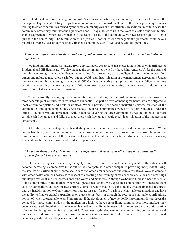are revoked, or if we have a change of control. Also, in some instances, a community owner may terminate the management agreement relating to a particular community if we are in default under other management agreements relating to other communities owned by the same community owner or its affiliates. In addition, in certain cases the community owner may terminate the agreement upon 30 days' notice to us in the event of a sale of the community. In those agreements, which are terminable in the event of a sale of the community, we have certain rights to offer to purchase the community. The termination of a significant portion of our management agreements could have a material adverse effect on our business, financial condition, cash flows, and results of operations.

#### *Failure to perform our obligations under our joint venture arrangements could have a material adverse effect on us.*

We hold minority interests ranging from approximately 5% to 15% in several joint ventures with affiliates of Prudential and GE Healthcare. We also manage the communities owned by these joint ventures. Under the terms of the joint venture agreements with Prudential covering four properties, we are obligated to meet certain cash flow targets and failure to meet these cash flow targets could result in termination of the management agreements. Under the terms of the joint venture agreements with GE Healthcare covering eight properties, we are obligated to meet certain net operating income targets and failure to meet these net operating income targets could result in termination of the management agreements.

We are currently developing two communities and recently opened a third community, which are owned in three separate joint ventures with affiliates of Prudential. As part of development agreements, we are obligated to meet certain completion and costs guarantees. We will provide per-opening marketing services for each of the communities and upon completion we will manage the three communities owned by the joint ventures. Under the terms of the joint venture agreements with Prudential covering the three communities, we are obligated to meet certain cash flow targets and failure to meet these cash flow targets could result in termination of the management agreements.

All of the management agreements with the joint ventures contain termination and renewal provisions. We do not control these joint venture decisions covering termination or renewal. Performance of the above obligations or termination or non-renewal of the management agreements could have a material adverse effect on our business, financial condition, cash flows, and results of operations.

#### *The senior living services industry is very competitive and some competitors may have substantially greater financial resources than us.*

The senior living services industry is highly competitive, and we expect that all segments of the industry will become increasingly competitive in the future. We compete with other companies providing independent living, assisted living, skilled nursing, home health care and other similar services and care alternatives. We also compete with other health care businesses with respect to attracting and retaining nurses, technicians, aides and other high quality professional and non-professional employees and managers. Although we believe there is a need for senior living communities in the markets where we operate residences, we expect that competition will increase from existing competitors and new market entrants, some of whom may have substantially greater financial resources than us. In addition, some of our competitors operate on a not-for-profit basis or as charitable organizations and have the ability to finance capital expenditures on a tax-exempt basis or through the receipt of charitable contributions, neither of which are available to us. Furthermore, if the development of new senior living communities outpaces the demand for those communities in the markets in which we have senior living communities, those markets may become saturated. Regulation in the independent and assisted living industry, which represents a substantial portion of our senior living services, is not substantial. Consequently, development of new senior living communities could outpace demand. An oversupply of those communities in our markets could cause us to experience decreased occupancy, reduced operating margins and lower profitability.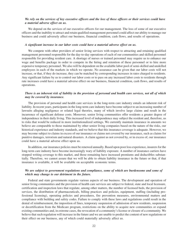#### *We rely on the services of key executive officers and the loss of these officers or their services could have a material adverse effect on us.*

We depend on the services of our executive officers for our management. The loss of some of our executive officers and the inability to attract and retain qualified management personnel could affect our ability to manage our business and could adversely affect our business, financial condition, cash flows, and results of operations.

#### *A significant increase in our labor costs could have a material adverse effect on us.*

We compete with other providers of senior living services with respect to attracting and retaining qualified management personnel responsible for the day-to-day operations of each of our communities and skilled personnel responsible for providing resident care. A shortage of nurses or trained personnel may require us to enhance our wage and benefits package in order to compete in the hiring and retention of these personnel or to hire more expensive temporary personnel. We also will be dependent on the available labor pool of semi-skilled and unskilled employees in each of the markets in which we operate. No assurance can be given that our labor costs will not increase, or that, if they do increase, they can be matched by corresponding increases in rates charged to residents. Any significant failure by us to control our labor costs or to pass on any increased labor costs to residents through rate increases could have a material adverse effect on our business, financial condition, cash flows, and results of operations.

#### *There is an inherent risk of liability in the provision of personal and health care services, not all of which may be covered by insurance.*

The provision of personal and health care services in the long-term care industry entails an inherent risk of liability. In recent years, participants in the long-term care industry have become subject to an increasing number of lawsuits alleging negligence or related legal theories, many of which involve large claims and result in the incurrence of significant defense costs. Moreover, senior living communities offer residents a greater degree of independence in their daily living. This increased level of independence may subject the resident and, therefore, us to risks that would be reduced in more institutionalized settings. We currently maintain insurance in amounts we believe are comparable to those maintained by other senior living companies based on the nature of the risks, our historical experience and industry standards, and we believe that this insurance coverage is adequate. However, we may become subject to claims in excess of our insurance or claims not covered by our insurance, such as claims for punitive damages, terrorism and natural disasters. A claim against us not covered by, or in excess of, our insurance could have a material adverse effect upon us.

In addition, our insurance policies must be renewed annually. Based upon poor loss experience, insurers for the long-term care industry have become increasingly wary of liability exposure. A number of insurance carriers have stopped writing coverage to this market, and those remaining have increased premiums and deductibles substantially. Therefore, we cannot assure that we will be able to obtain liability insurance in the future or that, if that insurance is available, it will be available on acceptable economic terms.

#### *We are subject to government regulations and compliance, some of which are burdensome and some of which may change to our detriment in the future.*

Federal and state governments regulate various aspects of our business. The development and operation of senior living communities and the provision of health care services are subject to federal, state and local licensure, certification and inspection laws that regulate, among other matters, the number of licensed beds, the provision of services, the distribution of pharmaceuticals, billing practices and policies, equipment, staffing (including professional licensing), operating policies and procedures, fire prevention measures, environmental matters and compliance with building and safety codes. Failure to comply with these laws and regulations could result in the denial of reimbursement, the imposition of fines, temporary suspension of admission of new residents, suspension or decertification from the Medicare program, restrictions on the ability to acquire new communities or expand existing communities and, in extreme cases, the revocation of a community's license or closure of a community. We believe that such regulation will increase in the future and we are unable to predict the content of new regulations or their effect on our business, any of which could materially adversely affect us.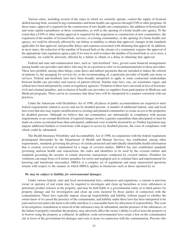Various states, including several of the states in which we currently operate, control the supply of licensed skilled nursing beds, assisted living communities and home health care agencies through CON or other programs. In those states, approval is required for the construction of new health care communities, the addition of licensed beds and some capital expenditures at those communities, as well as the opening of a home health care agency. To the extent that a CON or other similar approval is required for the acquisition or construction of new communities, the expansion of the number of licensed beds, services, or existing communities, or the opening of a home health care agency, we could be adversely affected by our failure or inability to obtain that approval, changes in the standards applicable for that approval, and possible delays and expenses associated with obtaining that approval. In addition, in most states, the reduction of the number of licensed beds or the closure of a community requires the approval of the appropriate state regulatory agency and, if we were to seek to reduce the number of licensed beds at, or to close, a community, we could be adversely affected by a failure to obtain or a delay in obtaining that approval.

Federal and state anti-remuneration laws, such as "anti-kickback" laws, govern some financial arrangements among health care providers and others who may be in a position to refer or recommend patients to those providers. These laws prohibit, among other things, some direct and indirect payments that are intended to induce the referral of patients to, the arranging for services by, or the recommending of, a particular provider of health care items or services. Federal anti-kickback laws have been broadly interpreted to apply to some contractual relationships between health care providers and sources of patient referral. Similar state laws vary, are sometimes vague, and seldom have been interpreted by courts or regulatory agencies. Violation of these laws can result in loss of licensure, civil and criminal penalties, and exclusion of health care providers or suppliers from participation in Medicare and Medicaid programs. There can be no assurance that those laws will be interpreted in a manner consistent with our practices.

Under the Americans with Disabilities Act of 1990, all places of public accommodation are required to meet federal requirements related to access and use by disabled persons. A number of additional federal, state and local laws exist that also may require modifications to existing and planned communities to create access to the properties by disabled persons. Although we believe that our communities are substantially in compliance with present requirements or are exempt therefrom, if required changes involve a greater expenditure than anticipated or must be made on a more accelerated basis than anticipated, additional costs would be incurred by us. Further legislation may impose additional burdens or restrictions with respect to access by disabled persons, the costs of compliance with which could be substantial.

The Health Insurance Portability and Accountability Act of 1996, in conjunction with the federal regulations promulgated thereunder by the Department of Health and Human Services, has established, among other requirements, standards governing the privacy of certain protected and individually identifiable health information that is created, received or maintained by a range of covered entities. HIPAA has also established standards governing uniform health care transactions, the codes and identifiers to be used by the covered entities and standards governing the security of certain electronic transactions conducted by covered entities. Penalties for violations can range from civil money penalties for errors and negligent acts to criminal fines and imprisonment for knowing and intentional misconduct. HIPAA is a complex set of regulations and many unanswered questions remain with respect to the manner in which HIPAA applies to businesses such as those operated by us.

#### *We may be subject to liability for environmental damages.*

Under various federal, state and local environmental laws, ordinances and regulations, a current or previous owner or operator of real estate may be required to investigate and clean up hazardous or toxic substances or petroleum product releases at the property, and may be held liable to a governmental entity or to third parties for property damage and for investigation and clean up costs incurred by those parties in connection with the contamination. These laws typically impose clean-up responsibility and liability without regard to whether the owner knew of or caused the presence of the contaminants, and liability under these laws has been interpreted to be joint and several unless the harm is divisible and there is a reasonable basis for allocation of responsibility. The costs of investigation, remediation or removal of the substances may be substantial, and the presence of the substances, or the failure to properly remediate the property, may adversely affect the owner's ability to sell or lease the property or to borrow using the property as collateral. In addition, some environmental laws create a lien on the contaminated site in favor of the government for damages and costs it incurs in connection with the contamination. Persons who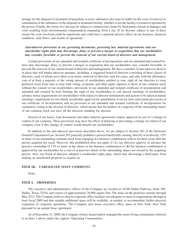arrange for the disposal or treatment of hazardous or toxic substances also may be liable for the costs of removal or remediation of the substances at the disposal or treatment facility, whether or not the facility is owned or operated by the person. Finally, the owner of a site may be subject to common law claims by third parties based on damages and costs resulting from environmental contamination emanating from a site. If we become subject to any of these claims the costs involved could be significant and could have a material adverse effect on our business, financial condition, cash flows, and results of operations.

#### *Anti-takeover provisions in our governing documents, governing law, material agreements and our shareholder rights plan may discourage, delay or prevent a merger or acquisition that our stockholders may consider favorable or prevent the removal of our current board of directors and management.*

Certain provisions of our amended and restated certificate of incorporation and our amended and restated bylaws may discourage, delay or prevent a merger or acquisition that our stockholders may consider favorable or prevent the removal of our current board of directors and management. We have a number of anti-takeover devices in place that will hinder takeover attempts, including: a staggered board of directors consisting of three classes of directors, each of whom serve three-year terms; removal of directors only for cause, and only with the affirmative vote of at least a majority of the voting interest of stockholders entitled to vote; right of our directors to issue preferred stock from time to time with voting, economic and other rights superior to those of our common stock without the consent of our stockholders; provisions in our amended and restated certificate of incorporation and amended and restated by-laws limiting the right of our stockholders to call special meetings of stockholders; advance notice requirements for stockholders with respect to director nominations and actions to be taken at annual meetings; requirement for two-thirds stockholder approval for amendment of our by-laws and certain provisions of our certificate of incorporation; and no provision in our amended and restated certificate of incorporation for cumulative voting in the election of directors, which means that the holders of a majority of the outstanding shares of our common stock can elect all the directors standing for election.

Several of our leases, loan documents and other material agreements require approval in case of a change of control of our company. These provisions may have the effect of delaying or preventing a change of control of our company even if this change of control would benefit our stockholders.

In addition to the anti-takeover provisions described above, we are subject to Section 203 of the Delaware General Corporation Law. Section 203 generally prohibits a person beneficially owning, directly or in directly, 15% or more of our outstanding common stock from engaging in a business combination with us for three years after the person acquired the stock. However, this prohibition does not apply if (A) our directors approve in advance the person's ownership of 15% or more of the shares or the business combination or (B) the business combination is approved by our stockholders by a vote of at least two-thirds of the outstanding shares not owned by the acquiring person. Also, our board of directors adopted a stockholder rights plan, which may discourage a third party from making an unsolicited proposal to acquire us.

#### **ITEM 1B.** *UNRESOLVED STAFF COMMENTS.*

None.

#### **ITEM 2.** *PROPERTIES*

The executive and administrative offices of the Company are located at 14160 Dallas Parkway, Suite 300, Dallas, Texas 75254, and consist of approximately 26,000 square feet. The lease on the premises extends through May 2013. The Company believes that its corporate office facilities are adequate to meet its requirements through at least fiscal 2009 and that suitable additional space will be available, as needed, to accommodate further physical expansion of corporate operations. The Company also leases executive office space in New York, New York pursuant to an annual lease agreement.

As of December 31, 2008, the Company owned, leased and/or managed the senior living communities referred to in Item 1 above under the caption "Operating Communities."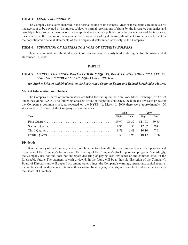#### **ITEM 3.** *LEGAL PROCEEDINGS*

The Company has claims incurred in the normal course of its business. Most of these claims are believed by management to be covered by insurance, subject to normal reservations of rights by the insurance companies and possibly subject to certain exclusions in the applicable insurance policies. Whether or not covered by insurance, these claims, in the opinion of management, based on advice of legal counsel, should not have a material effect on the consolidated financial statements of the Company if determined adversely to the Company.

#### **ITEM 4.** *SUBMISSION OF MATTERS TO A VOTE OF SECURITY HOLDERS*

There were no matters submitted to a vote of the Company's security holders during the fourth quarter ended December 31, 2008.

#### **PART II**

#### **ITEM 5.** *MARKET FOR REGISTRANT'S COMMON EQUITY, RELATED STOCKHOLDER MATTERS AND ISSUER PURCHASES OF EQUITY SECURITIES.*

#### *(a) Market Price of and Dividends on the Registrant's Common Equity and Related Stockholder Matters.*

#### **Market Information and Holders**

The Company's shares of common stock are listed for trading on the New York Stock Exchange ("NYSE") under the symbol "CSU". The following table sets forth, for the periods indicated, the high and low sales prices for the Company's common stock, as reported on the NYSE. At March 6, 2009 there were approximately 150 stockholders of record of the Company's common stock.

|      | 2008 — 2008 — 2008 — 2008 — 2008 — 2008 — 2008 — 2008 — 2008 — 2008 — 2008 — 2008 — 2008 — 2008 — 2008 — 2008 — 2008 — 2008 — 2008 — 2008 — 2008 — 2008 — 2008 — 2008 — 2008 — 2008 — 2008 — 2008 — 2008 — 2008 — 2008 — 2008 — | 2007              |  |  |
|------|---------------------------------------------------------------------------------------------------------------------------------------------------------------------------------------------------------------------------------|-------------------|--|--|
| Year |                                                                                                                                                                                                                                 | High Low High Low |  |  |
|      |                                                                                                                                                                                                                                 |                   |  |  |
|      |                                                                                                                                                                                                                                 |                   |  |  |
|      |                                                                                                                                                                                                                                 |                   |  |  |
|      |                                                                                                                                                                                                                                 |                   |  |  |

#### **Dividends**

It is the policy of the Company's Board of Directors to retain all future earnings to finance the operation and expansion of the Company's business and the funding of the Company's stock repurchase program. Accordingly, the Company has not and does not anticipate declaring or paying cash dividends on the common stock in the foreseeable future. The payment of cash dividends in the future will be at the sole discretion of the Company's Board of Directors and will depend on, among other things, the Company's earnings, operations, capital requirements, financial condition, restrictions in then existing financing agreements, and other factors deemed relevant by the Board of Directors.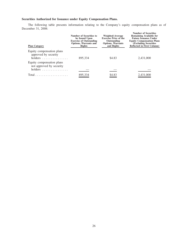#### **Securities Authorized for Issuance under Equity Compensation Plans.**

The following table presents information relating to the Company's equity compensation plans as of December 31, 2008:

| <b>Plan Category</b>                                                                         | Number of Securities to<br>be Issued Upon<br><b>Exercise of Outstanding</b><br><b>Options, Warrants and</b><br><b>Rights</b> | <b>Weighted-Average</b><br><b>Exercise Price of the</b><br>Outstanding<br><b>Options, Warrants</b><br>and Rights | <b>Number of Securities</b><br><b>Remaining Available for</b><br><b>Future Issuance Under</b><br><b>Equity Compensation Plans</b><br><b>(Excluding Securities)</b><br><b>Reflected in First Column)</b> |
|----------------------------------------------------------------------------------------------|------------------------------------------------------------------------------------------------------------------------------|------------------------------------------------------------------------------------------------------------------|---------------------------------------------------------------------------------------------------------------------------------------------------------------------------------------------------------|
| Equity compensation plans<br>approved by security<br>holders $\ldots \ldots \ldots \ldots$   | 895,334                                                                                                                      | \$4.83                                                                                                           | 2,431,000                                                                                                                                                                                               |
| Equity compensation plans<br>not approved by security<br>holders $\dots\dots\dots\dots\dots$ |                                                                                                                              |                                                                                                                  |                                                                                                                                                                                                         |
| $Total \dots \dots \dots \dots \dots \dots \dots$                                            |                                                                                                                              | \$4.83                                                                                                           | 2.431,000                                                                                                                                                                                               |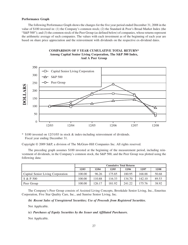#### **Performance Graph**

The following Performance Graph shows the changes for the five year period ended December 31, 2008 in the value of \$100 invested in: (1) the Company's common stock; (2) the Standard & Poor's Broad Market Index (the "S&P 500"); and (3) the common stock of the Peer Group (as defined below) of companies, whose returns represent the arithmetic average of such companies. The values with each investment as of the beginning of each year are based on share price appreciation and the reinvestment with dividends on the respective ex-dividend dates.





Fiscal year ending December 31.

Copyright © 2009 S&P, a division of The McGraw-Hill Companies Inc. All rights reserved.

The preceding graph assumes \$100 invested at the beginning of the measurement period, including reinvestment of dividends, in the Company's common stock, the S&P 500, and the Peer Group was plotted using the following data:

|                                   | <b>Cumulative Total Returns</b> |        |        |        |        |       |  |  |  |
|-----------------------------------|---------------------------------|--------|--------|--------|--------|-------|--|--|--|
|                                   | 12/03                           | 12/04  | 12/05  | 12/06  | 12/07  | 12/08 |  |  |  |
| Capital Senior Living Corporation | 100.00                          | 96.26  | 175.85 | 180.95 | 168.88 | 50.68 |  |  |  |
| S & P 500                         | 100.00                          | 10.88  | 116.33 | 134.70 | 142.10 | 89.53 |  |  |  |
| Peer Group                        | 100.00                          | 126.17 | 181.92 | 241.22 | 175.76 | 38.92 |  |  |  |

The Company's Peer Group consists of Assisted Living Concepts, Brookdale Senior Living, Inc., Emeritus Corporation, Five Star Quality Care, Inc., and Sunrise Senior Living, Inc.

**(b)** *Recent Sales of Unregistered Securities; Use of Proceeds from Registered Securities.*

Not Applicable.

**(c)** *Purchases of Equity Securities by the Issuer and Affiliated Purchasers.*

Not Applicable.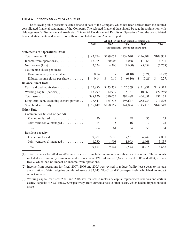#### **ITEM 6.** *SELECTED FINANCIAL DATA.*

The following table presents selected financial data of the Company which has been derived from the audited consolidated financial statements of the Company. The selected financial data should be read in conjunction with "Management's Discussion and Analysis of Financial Condition and Results of Operations" and the consolidated financial statements and related notes thereto included in this Annual Report.

|                                                               |                                       |            | At and for the Year Ended December 31, |              |              |  |  |  |
|---------------------------------------------------------------|---------------------------------------|------------|----------------------------------------|--------------|--------------|--|--|--|
|                                                               | 2008                                  | 2007       | 2006                                   | 2005         | 2004         |  |  |  |
|                                                               | (In thousands, except per share data) |            |                                        |              |              |  |  |  |
| <b>Statements of Operations Data:</b>                         |                                       |            |                                        |              |              |  |  |  |
| Total revenues $(1)$                                          | \$193,274                             | \$189,052  | \$159,070                              | \$126,404    | \$108,935    |  |  |  |
| Income from operations $(2)$                                  | 17,015                                | 20,006     | 14,068                                 | 11,066       | 6,731        |  |  |  |
|                                                               | 3,724                                 | 4,360      | (2,600)                                | (5,354)      | (6,758)      |  |  |  |
| Net income (loss) per share:                                  |                                       |            |                                        |              |              |  |  |  |
| Basic income (loss) per share                                 | 0.14                                  | 0.17       | (0.10)                                 | (0.21)       | (0.27)       |  |  |  |
| Diluted income (loss) per share $\dots \dots$                 | 0.14<br>S                             | \$<br>0.16 | (0.10)<br>\$                           | \$<br>(0.21) | \$<br>(0.27) |  |  |  |
| <b>Balance Sheet Data:</b>                                    |                                       |            |                                        |              |              |  |  |  |
|                                                               | \$25,880                              | \$23,359   | \$25,569                               | \$21,831     | \$19,515     |  |  |  |
| Working capital $(\text{deficit})(3) \dots \dots \dots \dots$ | 13,799                                | 12,919     | 15,331                                 | 10,860       | (22, 289)    |  |  |  |
| Total assets                                                  | 388,120                               | 390,053    | 394,488                                | 434,051      | 431,175      |  |  |  |
| Long-term debt, excluding current portion                     | 177,541                               | 185,733    | 196,647                                | 252,733      | 219,526      |  |  |  |
|                                                               | \$155,149                             | \$150,157  | \$144,084                              | \$145,415    | \$149,547    |  |  |  |
| <b>Other Data:</b>                                            |                                       |            |                                        |              |              |  |  |  |
| Communities (at end of period)                                |                                       |            |                                        |              |              |  |  |  |
|                                                               | 50                                    | 49         | 48                                     | 36           | 29           |  |  |  |
| Joint ventures & managed                                      | 14                                    | 15         | 16                                     | 19           | 25           |  |  |  |
| Total                                                         | 64                                    | 64         | 64                                     | 55           | 54           |  |  |  |
| Resident capacity:                                            |                                       |            |                                        |              |              |  |  |  |
|                                                               | 7,701                                 | 7,636      | 7,551                                  | 6,247        | 4,831        |  |  |  |
| Joint ventures & managed                                      | 1,750                                 | 1,908      | 1,993                                  | 2,668        | 3,837        |  |  |  |
| $Total$                                                       | 9,451                                 | 9,544      | 9,544                                  | 8,915        | 8,668        |  |  |  |

(1) Total revenues for 2004 — 2005 were revised to include community reimbursement revenue. The amounts included as community reimbursement revenue were \$21,174 and \$15,673 for fiscal 2005 and 2004, respectively, which had no impact on income from operations.

(2) Income from operations for fiscal 2007, 2006 and 2005 was revised to reduce facility lease costs to include amortization of deferred gains on sales of assets of \$3,243, \$2,401, and \$104 respectively, which had no impact on net income.

(3) Working capital for fiscal 2007 and 2006 was revised to reclassify capital replacement reserves and certain escrow deposits of \$220 and \$76, respectively, from current assets to other assets, which had no impact on total assets.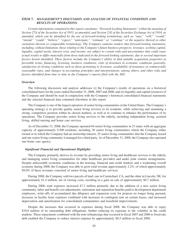#### **ITEM 7.** *MANAGEMENT'S DISCUSSION AND ANALYSIS OF FINANCIAL CONDITION AND RESULTS OF OPERATIONS.*

*Certain information contained in this report constitutes "Forward-Looking Statements" within the meaning of Section 27A of the Securities Act of 1933, as amended, and Section 21E of the Securities Exchange Act of 1934, as amended, which can be identified by the use of forward-looking terminology such as "may," "will," "would," "intend," "could," "believe," "expect," "anticipate," "estimate" or "continue" or the negative thereof or other variations thereon or comparable terminology. The Company cautions readers that forward-looking statements, including, without limitation, those relating to the Company's future business prospects, revenues, working capital, liquidity, capital needs, interest costs, and income, are subject to certain risks and uncertainties that could cause actual results to differ materially from those indicated in the forward-looking statements, due to several important factors herein identified. These factors include the Company's ability to find suitable acquisition properties at favorable terms, financing, licensing, business conditions, risks of downturn in economic conditions generally, satisfaction of closing conditions such as those pertaining to licensure, availability of insurance at commercially reasonable rates, and changes in accounting principles and interpretations, among others, and other risks and factors identified from time to time in the Company's reports filed with the SEC.*

#### **Overview**

The following discussion and analysis addresses (i) the Company's results of operations on a historical consolidated basis for the years ended December 31, 2008, 2007 and 2006, and (ii) liquidity and capital resources of the Company and should be read in conjunction with the Company's historical consolidated financial statements and the selected financial data contained elsewhere in this report.

The Company is one of the largest operators of senior living communities in the United States. The Company's operating strategy is to provide quality senior living services to its residents, while achieving and sustaining a strong, competitive position within its chosen markets, as well as to continue to enhance the performance of its operations. The Company provides senior living services to the elderly, including independent living, assisted living, skilled nursing and home care services.

As of December 31, 2008, the Company operated 64 senior living communities in 23 states with an aggregate capacity of approximately 9,500 residents, including 38 senior living communities which the Company either owned or in which the Company had an ownership interest, 25 senior living communities that the Company leased and one senior living community it managed for a third party. As of December 31, 2008, the Company also operated one home care agency.

#### *Significant Financial and Operational Highlights*

The Company primarily derives its revenue by providing senior living and healthcare services to the elderly and managing senior living communities for other healthcare providers and under joint venture arrangements. Despite unfavorable economic conditions in the housing, financial and credit markets and a weakening overall economy during 2008, the Company was able to grow total revenue approximately 2.2%, of which approximately 89.0% of these revenues consisted of senior living and healthcare services.

During 2008, the Company sold two parcels of land, one in Carmichael, CA, and the other in Lincoln, NE, for approximately \$1.4 million, net of closing costs, resulting in a gain on sale of approximately \$0.7 million.

During 2008, total expenses increased \$7.2 million primarily due to the addition of a new senior living community, labor and benefit cost adjustments, retirement and separation benefits paid to development department employees, write-offs of accumulated due diligence and expansion costs for projects no longer being pursued, increases in facility lease expenses combined with increases in contingent rent on certain leases, and increased depreciation and amortization for consolidated communities and leasehold improvements.

Despite the increases that occurred in expenses during fiscal 2008, the Company was able to repay \$10.0 million of its outstanding debt obligations, further reducing its exposure to the volatility in the credit markets. These repayments combined with the note refinancings that occurred in fiscal 2007 and 2006 to fixed rate debt enabled the Company to reduce interest expense by approximately \$0.5 million in fiscal 2008.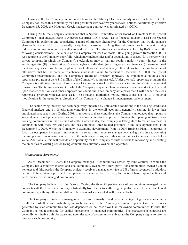During 2008, the Company entered into a lease on the Whitley Place community located in Keller, TX. The Company has leased this community for a ten-year term with two five-year renewal options. Additionally, effective December 15, 2008, the Mountain Creek management contract was terminated by CGIM.

During 2008, the Company announced that a Special Committee of its Board of Directors ("the Special Committee") had engaged Banc of America Securities LLC ("BAS") as its financial advisor to assist the Special Committee in exploring and considering a range of strategic alternatives for the Company that would enhance shareholder value. BAS is a nationally recognized investment banking firm with expertise in the senior living industry and is prominent in both healthcare and real estate. The strategic alternatives explored by BAS included the following considerations: (A) a sale of the Company for cash or stock, (B) a going private transaction, (C) a restructuring of the Company's portfolio, which may include sales and/or acquisitions of assets, (D) a merger with a private company in which the Company's stockholders may or may not retain a majority equity interest in the surviving entity, (E) the institution of a share buyback or dividend (recurring or extraordinary), (F) the execution of the Company's existing business plan without alteration, and (G) any other alternative or combination of alternatives that has the potential to enhance shareholder value. Subsequent to December 31, 2008, the Special Committee recommended, and the Company's Board of Directors approved, the implementation of a stock repurchase program of up to \$10 million of the Company's common stock. Under the stock repurchase program, the Company is authorized to repurchase shares of its common stock in the open market and in privately negotiated transactions. The timing and extent to which the Company may repurchase its shares of common stock will depend upon market conditions and other corporate considerations. The Company anticipates that it will finance the stock repurchase program with available cash. The strategic alternatives review process has not led to a material modification in the operational direction of the Company or a change in management style or intent.

The senior living industry has been negatively impacted by unfavorable conditions in the housing, credit and financial markets and by deteriorating conditions in the overall economy, generally resulting in lower than anticipated occupancy rates. During 2008, in response to these conditions, the Company announced that it plans to suspend new development activities until economic conditions improve following the opening of two senior housing communities in the first half of 2009. Consequently, the Company is taking steps to reduce overhead in conjunction with these revised plans and has eliminated three related positions in the development area as of December 31, 2008. While the Company is excluding development from its 2009 Business Plan, it continues to focus on occupancy increases, improvement in rental rates, expense management and growth in net operating income per unit; increasing levels of care through conversions; and other opportunities to enhance shareholder value. Additionally, this will provide an opportunity for the Company to shift its focus to renovating and updating the amenities at existing senior living communities currently owned and operated.

#### *Management Agreements*

As of December 31, 2008, the Company managed 13 communities owned by joint ventures in which the Company has a minority interest and one community owned by a third party. For communities owned by joint ventures and third parties, the Company typically receives a management fee of 5% of gross revenues. In addition, certain of the contracts provide for supplemental incentive fees that vary by contract based upon the financial performance of the managed community.

The Company believes that the factors affecting the financial performance of communities managed under contracts with third parties do not vary substantially from the factors affecting the performance of owned and leased communities, although there are different business risks associated with these activities.

The Company's third-party management fees are primarily based on a percentage of gross revenues. As a result, the cash flow and profitability of such contracts to the Company are more dependent on the revenues generated by such communities and less dependent on net cash flow than for owned communities. Further, the Company is not responsible for capital investments in managed communities. The management contracts are generally terminable only for cause and upon the sale of a community, subject to the Company's rights to offer to purchase such community.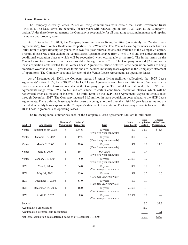#### *Lease Transactions*

The Company currently leases 25 senior living communities with certain real estate investment trusts ("REITs"). The lease terms are generally for ten years with renewal options for 10-20 years at the Company's option. Under these lease agreements the Company is responsible for all operating costs, maintenance and repairs, insurance and property taxes.

As of December 31, 2008, the Company leased ten senior living facilities (collectively the "Ventas Lease Agreements'), from Ventas Healthcare Properties, Inc. ("Ventas"). The Ventas Lease Agreements each have an initial term of approximately ten years, with two five-year renewal extensions available at the Company's option. The initial lease rate under each of the Ventas Lease Agreements range from 7.75% to 8% and are subject to certain conditional escalation clauses which will be recognized when estimatable or incurred. The initial terms on the Ventas Lease Agreements expire on various dates through January 2018. The Company incurred \$2.2 million in lease acquisition costs related to the Ventas Lease Agreements. These deferred lease acquisition costs are being amortized over the initial 10 year lease terms and are included in facility lease expense in the Company's statement of operations. The Company accounts for each of the Ventas Lease Agreements as operating leases.

As of December 31, 2008, the Company leased 15 senior living facilities (collectively the "HCP Lease Agreements"), from HCP, Inc. ("HCP"). The HCP Lease Agreements each have an initial term of ten years, with two ten year renewal extensions available at the Company's option. The initial lease rate under the HCP Lease Agreements range from 7.25% to 8% and are subject to certain conditional escalation clauses, which will be recognized when estimatable or incurred. The initial terms on the HCP Lease Agreements expire on various dates through December 2017. The Company incurred \$1.5 million in lease acquisition costs related to the HCP Lease Agreements. These deferred lease acquisition costs are being amortized over the initial 10 year lease terms and are included in facility lease expense in the Company's statement of operations. The Company accounts for each of the HCP Lease Agreements as operating leases.

| Landlord   | Date of Lease                                                      | Number of<br><b>Communities</b> | Value of<br><b>Transaction</b> | <b>Term</b>                           | <b>Initial</b><br>Lease $Rate(1)$ | <b>Acquisition</b><br>Costs(2) | Gains/Lease<br>Concessions(3) |
|------------|--------------------------------------------------------------------|---------------------------------|--------------------------------|---------------------------------------|-----------------------------------|--------------------------------|-------------------------------|
| Ventas     | September 30, 2005                                                 | 6                               | \$84.6                         | 10 years<br>(Two five-year renewals)  | 8%                                | \$1.3                          | \$4.6                         |
| Ventas     | October 18, 2005                                                   | $\mathbf{1}$                    | 19.5                           | 10 years<br>(Two five-year renewals)  | 8%                                | 0.2                            |                               |
| Ventas     | March 31,2006                                                      | 1                               | 29.0                           | 10 years<br>(Two five-year renewals)  | 8%                                | 0.1                            | 14.3                          |
| Ventas     | June 8, 2006                                                       | 1                               | 19.1                           | 9.5 years<br>(Two five-year renewals) | 8%                                | 0.4                            |                               |
| Ventas     | January 31, 2008                                                   | $\mathbf{1}$                    | 5.0                            | 10 years<br>(Two five-year renewals)  | 7.75%                             | 0.2                            |                               |
| <b>HCP</b> | May 1, 2006                                                        | 3                               | 54.0                           | 10 years<br>(Two ten-year renewals)   | 8%                                | 0.2                            | 12.8                          |
| <b>HCP</b> | May 31, 2006                                                       | 6                               | 43.0                           | 10 years<br>(Two ten-year renewals)   | 8%                                | 0.2                            | 0.6                           |
| <b>HCP</b> | December 1, 2006                                                   | $\overline{4}$                  | 51.0                           | 10 years<br>(Two ten-year renewals)   | 8%                                | 0.7                            |                               |
| <b>HCP</b> | December 14, 2006                                                  | $\mathbf{1}$                    | 18.0                           | 10 years<br>(Two ten-year renewals)   | 7.75%                             | 0.3                            |                               |
| <b>HCP</b> | April 11, 2007                                                     | 1                               | 8.0                            | 10 years<br>(Two ten-year renewals)   | 7.25%                             | 0.1                            |                               |
| Subtotal   |                                                                    |                                 |                                |                                       |                                   | 3.7                            | 32.3                          |
|            | Accumulated amortization                                           |                                 |                                |                                       |                                   | (1.0)                          |                               |
|            | Accumulated deferred gain recognized                               |                                 |                                |                                       |                                   |                                | (9.1)                         |
|            | Net lease acquisition costs/deferred gains as of December 31, 2008 |                                 |                                |                                       |                                   | $\frac{$2.7}{2}$               | $\frac{$23.2}{2}$             |

The following table summarizes each of the Company's lease agreements (dollars in millions):

**Lease**

**Deferred**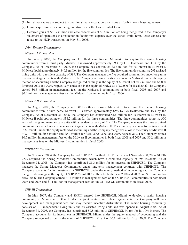- (1) Initial lease rates are subject to conditional lease escalation provisions as forth in each lease agreement.
- (2) Lease acquisition costs are being amortized over the leases' initial term.
- (3) Deferred gains of \$31.7 million and lease concessions of \$0.6 million are being recognized in the Company's statement of operations as a reduction in facility rent expense over the leases' initial term. Lease concessions relate to the HCP transaction on May 31, 2006.

#### *Joint Venture Transactions*

#### *Midwest I Transaction*

In January 2006, the Company and GE Healthcare formed Midwest I to acquire five senior housing communities from a third party. Midwest I is owned approximately 89% by GE Healthcare and 11% by the Company. As of December 31, 2008, the Company has contributed \$2.7 million for its interest in Midwest I. Midwest I paid approximately \$46.9 million for the five communities. The five communities comprise 293 assisted living units with a resident capacity of 389. The Company manages the five acquired communities under long-term management agreements with Midwest I. The Company accounts for its investment in Midwest I under the equity method of accounting and the Company recognized earnings in the equity of Midwest I of \$0.2 million and \$8,000 for fiscal 2008 and 2007, respectively, and a loss in the equity of Midwest I of \$9,000 for fiscal 2006. The Company earned \$0.5 million in management fees on the Midwest I communities in both fiscal 2008 and 2007 and \$0.4 million in management fees on the Midwest I communities in fiscal 2006.

#### *Midwest II Transaction*

In August 2006, the Company and GE Healthcare formed Midwest II to acquire three senior housing communities from a third party. Midwest II is owned approximately 85% by GE Healthcare and 15% by the Company. As of December 31, 2008, the Company has contributed \$1.6 million for its interest in Midwest II. Midwest II paid approximately \$38.2 million for the three communities. The three communities comprise 300 assisted living and memory care units with a resident capacity of 319. The Company manages the three acquired communities under long-term management agreements with Midwest II. The Company accounts for its investment in Midwest II under the equity method of accounting and the Company recognized a loss in the equity of Midwest II of \$0.1 million, \$0.3 million and \$0.1 million for fiscal 2008, 2007 and 2006, respectively. The Company earned \$0.5 million in management fees on the Midwest II communities in both fiscal 2008 and 2007 and \$0.2 million in management fees on the Midwest I communities in fiscal 2006.

#### *SHPII/CSL Transactions*

In November 2004, the Company formed SHPII/CSL with SHPII. Effective as of November 30, 2004, SHPII/ CSL acquired the Spring Meadows Communities which have a combined capacity of 698 residents. As of December 31, 2008, the Company has contributed \$1.3 million for its interests in SHPII/CSL. The Company manages the Spring Meadows Communities under long-term management contracts with SHPII/CSL. The Company accounts for its investment in SHPII/CSL under the equity method of accounting and the Company recognized earnings in the equity of SHPII/CSL of \$0.3 million for both fiscal 2008 and 2007 and \$0.1 million for fiscal 2006. The Company earned \$1.2 million in management fees on the SHPII/CSL communities in both fiscal 2008 and 2007 and \$1.1 million in management fees on the SHPII/CSL communities in fiscal 2006.

#### *SHP III Transactions*

In May 2007, the Company and SHPIII entered into SHPIII/CSL Miami to develop a senior housing community in Miamisburg, Ohio. Under the joint venture and related agreements, the Company will earn development and management fees and may receive incentive distributions. The senior housing community consists of 101 independent living units and 45 assisted living units and was opened in August 2008. As of December 31, 2008, the Company has contributed \$0.8 million to SHPIII/CSL Miami for its 10% interest. The Company accounts for its investment in SHPIII/CSL Miami under the equity method of accounting and the Company recognized a loss in the equity of SHPIII/CSL Miami of \$0.1 million for fiscal 2008. The Company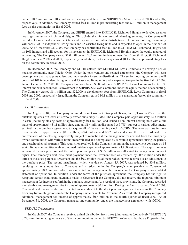earned \$0.2 million and \$0.7 million in development fees from SHPIII/CSL Miami in fiscal 2008 and 2007, respectively. In addition, the Company earned \$0.1 million in pre-marketing fees and \$0.1 million in management fees on the community in fiscal 2008.

In November 2007, the Company and SHPIII entered into SHPIII/CSL Richmond Heights to develop a senior housing community in Richmond Heights, Ohio. Under the joint venture and related agreements, the Company will earn development and management fees and may receive incentive distributions. The senior housing community will consist of 97 independent living units and 45 assisted living units and is expected to open in the first half of 2009. As of December 31, 2008, the Company has contributed \$0.8 million to SHPIII/CSL Richmond Heights for its 10% interest and will account for its investment in SHPIII/CSL Richmond Heights under the equity method of accounting. The Company earned \$1.0 million and \$0.1 million in development fees from SHPIII/CSL Richmond Heights in fiscal 2008 and 2007, respectively. In addition, the Company earned \$0.1 million in pre-marketing fees on the community in fiscal 2008.

In December 2007, the Company and SHPIII entered into SHPIII/CSL Levis Commons to develop a senior housing community near Toledo, Ohio. Under the joint venture and related agreements, the Company will earn development and management fees and may receive incentive distributions. The senior housing community will consist of 101 independent living units and 45 assisted living units and is expected to open in the first half of 2009. As of December 31, 2008, the Company has contributed \$0.8 million to SHPIII/CSL Levis Commons for its 10% interest and will account for its investment in SHPIII/CSL Levis Commons under the equity method of accounting. The Company earned \$1.1 million and \$22,000 in development fees from SHPIII/CSL Levis Commons in fiscal 2008 and 2007, respectively. In addition, the Company earned \$0.1 million in pre-marketing fees on the community in fiscal 2008.

### *CGIM Transaction*

In August 2004, the Company acquired from Covenant Group of Texas, Inc. ("Covenant") all of the outstanding stock of Covenant's wholly owned subsidiary, CGIM. The Company paid approximately \$2.3 million in cash (including closing costs of approximately \$0.1 million) and issued a non-interest bearing note with a fair value of approximately \$1.1 million (face amount \$1.4 million discounted at 5.7%), subject to various adjustments set forth in the purchase agreement, to acquire all of the outstanding stock of CGIM. The note was due in three installments of approximately \$0.3 million, \$0.4 million and \$0.7 million due on the first, third and fifth anniversaries of the closing, respectively, subject to reduction if the management fees earned from the third party owned communities with various terms are terminated and not replaced by substitute agreements during the period, and certain other adjustments. This acquisition resulted in the Company assuming the management contracts on 14 senior living communities with a combined resident capacity of approximately 1,800 residents. The acquisition was accounted for as a purchase and the entire purchase price of \$3.5 million was allocated to management contract rights. The Company's first installment payment under the Covenant note was reduced by \$0.2 million under the terms of the stock purchase agreement and the \$0.2 million installment reduction was recorded as an adjustment to the purchase price. The second installment, which was due on August 15, 2007, was reduced by \$0.4 million, resulting in no amount due to Covenant and a reduction in the Company's note payable to Covenant of approximately \$0.3 million, which was reflected as management fee income in the Company's consolidated statement of operations. In addition, under the terms of the purchase agreement, the Company has the right to recapture certain contingent payments made to Covenant if the Company did not receive the required minimum management fee income set forth in the purchase agreement. As a result of these provisions, the Company recorded a receivable and management fee income of approximately \$0.4 million. During the fourth quarter of fiscal 2007, Covenant paid this receivable and executed an amendment to the stock purchase agreement releasing the Company from any future obligations under the Company's note payable to Covenant. As a result, the Company recognized additional management fee income of approximately \$0.6 million in the fourth quarter of fiscal 2007. As of December 31, 2008, the Company managed one community under the management agreement with CGIM.

### *BRE/CSL Transactions*

In March 2007, the Company received a final distribution from three joint ventures (collectively "BRE/CSL") of \$0.4 million relating to the sale of the six communities owned by BRE/CSL to Ventas Healthcare Properties, Inc.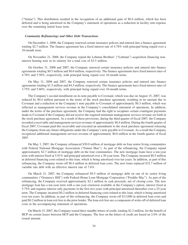("Ventas"). This distribution resulted in the recognition of an additional gain of \$0.4 million, which has been deferred and is being amortized in the Company's statement of operations as a reduction in facility rent expense over the remaining initial lease term.

### *Community Refinancings and Other Debt Transactions*

On December 1, 2008, the Company renewed certain insurance policies and entered into a finance agreement totaling \$2.7 million. The finance agreement has a fixed interest rate of 4.78% with principal being repaid over a 10-month term.

On November 21, 2008, the Company repaid the Lehman Brothers' ("Lehman") acquisition financing noninterest bearing note in its entirety for a total cost of \$3.5 million.

On October 31, 2008 and 2007, the Company renewed certain insurance policies and entered into finance agreements totaling \$0.5 million and \$0.6 million, respectively. The finance agreements have fixed interest rates of 4.78% and 5.50%, respectively, with principal being repaid over 10-month terms.

On May 31, 2008 and 2007, the Company renewed certain insurance policies and entered into finance agreements totaling \$1.5 million and \$4.5 million, respectively. The finance agreements have fixed interest rates of 3.75% and 5.60%, respectively, with principal being repaid over 10-month terms.

The Company's second installment on its note payable to Covenant, which was due on August 15, 2007, was reduced by \$0.4 million pursuant to the terms of the stock purchase agreement, resulting in no amount due to Covenant and a reduction in the Company's note payable to Covenant of approximately \$0.3 million, which was reflected as management services revenue in the Company's consolidated statement of operations. In addition, under the terms of the purchase agreement, the Company had the right to recapture certain contingent payments made to Covenant if the Company did not receive the required minimum management services revenue set forth in the stock purchase agreement. As a result of these provisions, during the third quarter of fiscal 2007, the Company recorded a receivable and management services revenue of approximately \$0.4 million. During the fourth quarter of fiscal 2007, Covenant paid this receivable and executed an amendment to the stock purchase agreement releasing the Company from any future obligations under the Company's note payable to Covenant. As a result the Company recognized additional management services revenue of approximately \$0.6 million in the fourth quarter of fiscal 2007.

On May 3, 2007, the Company refinanced \$30.0 million of mortgage debt on four senior living communities with Federal National Mortgage Association ("Fannie Mae"). As part of the refinancing, the Company repaid approximately \$2.7 million of mortgage debt on the four communities. The new mortgage loans have a ten-year term with interest fixed at 5.91% and principal amortized over a 30-year term. The Company incurred \$0.5 million in deferred financing costs related to this loan, which is being amortized over ten years. In addition, as part of this refinancing, the Company wrote-off \$0.4 million in deferred loan costs. The new loans replaced \$32.7 million of variable rate debt with an effective interest rate of 7.6%.

On March 21, 2007, the Company refinanced \$9.5 million of mortgage debt on one of its senior living communities ("Gramercy Hill") with Federal Home Loan Mortgage Corporation ("Freddie Mac"). As part of the refinancing, the Company received approximately \$2.1 million in cash proceeds, net of closing costs. The new mortgage loan has a ten-year term with a one-year extension available at the Company's option, interest fixed at 5.75% and requires interest only payments in the first two years with principal amortized thereafter over a 25-year term. The Company incurred \$0.2 million in deferred financing costs related to this loan, which is being amortized over ten years. In addition, as part of this refinancing, the Company wrote-off \$13,000 in deferred loan costs and paid \$0.2 million in loan exit fees to the prior lender. The loan exit fees are a component of write-off of deferred loan costs in the accompanying statement of operations.

On March 15, 2007, the Company issued three standby letters of credit, totaling \$2.2 million, for the benefit of HCP on certain leases between HCP and the Company. The fees on the letters of credit are based on 2.0% of the issued amount.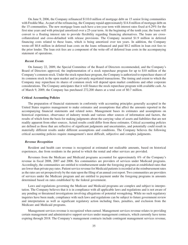On June 9, 2006, the Company refinanced \$110.0 million of mortgage debt on 15 senior living communities with Freddie Mac. As part of the refinancing, the Company repaid approximately \$14.8 million of mortgage debt on the 15 communities. The new mortgage loans each have a ten-year term with interest rates fixed at 6.29% for the first nine years and with principal amortized over a 25-year term. At the beginning of the tenth year, the loans will convert to a floating interest rate to provide flexibility regarding financing alternatives. The loans are crosscollateralized and cross-defaulted with release provisions. The Company incurred \$1.9 million in deferred financing costs related to these loans, which is being amortized over ten years. In addition, the Company wrote-off \$0.8 million in deferred loan costs on the loans refinanced and paid \$0.2 million in loan exit fees to the prior lender. The loan exit fees are a component of the write-off of deferred loan costs in the accompanying statement of operations.

### *Recent Events*

On January 22, 2009, the Special Committee of the Board of Directors recommended, and the Company's Board of Directors approved, the implementation of a stock repurchase program for up to \$10 million of the Company's common stock. Under the stock repurchase program, the Company is authorized to repurchase shares of its common stock in the open market and in privately negotiated transactions. The timing and extent to which the Company may repurchase its shares of common stock will depend upon market conditions and other corporate considerations. The Company anticipates that it will finance the stock repurchase program with available cash. As of March 9, 2009, the Company has purchased 272,200 shares at a total cost of \$0.7 million.

### **Critical Accounting Policies**

The preparation of financial statements in conformity with accounting principles generally accepted in the United States requires management to make estimates and assumptions that affect the amounts reported in the accompanying financial statements and related notes. Management bases its estimates and assumptions on historical experience, observance of industry trends and various other sources of information and factors, the results of which form the basis for making judgments about the carrying value of assets and liabilities that are not readily apparent from other sources. Actual results could differ from these estimates. Critical accounting policies are defined as those that are reflective of significant judgments and uncertainties, and potentially could result in materially different results under different assumptions and conditions. The Company believes the following critical accounting policies require management's most difficult, subjective and complex judgments.

### *Revenue Recognition*

Resident and health care revenue is recognized at estimated net realizable amounts, based on historical experiences, due from residents in the period to which the rental and other services are provided.

Revenues from the Medicare and Medicaid programs accounted for approximately 6% of the Company's revenue in fiscal 2008, 2007 and 2006. Six communities are providers of services under Medicaid programs. Accordingly, the communities are entitled to reimbursement under the foregoing program at established rates that are lower than private pay rates. Patient service revenue for Medicaid patients is recorded at the reimbursement rates as the rates are set prospectively by the state upon the filing of an annual cost report. Two communities are providers of services under the Medicare program and are entitled to payment under the foregoing programs in amounts determined based on rates established by the federal government.

Laws and regulations governing the Medicare and Medicaid programs are complex and subject to interpretation. The Company believes that it is in compliance with all applicable laws and regulations and is not aware of any pending or threatened investigations involving allegations of potential wrongdoing. While no such regulatory inquiries have been made, compliance with such laws and regulations can be subject to future government review and interpretation as well as significant regulatory action including fines, penalties, and exclusion from the Medicare and Medicaid programs.

Management services revenue is recognized when earned. Management services revenue relates to providing certain management and administrative support services under management contracts, which currently have terms expiring through 2018. The Company's management contracts include contingent management services revenue,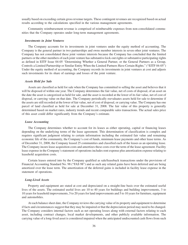usually based on exceeding certain gross revenue targets. These contingent revenues are recognized based on actual results according to the calculations specified in the various management agreements.

Community reimbursement revenue is comprised of reimbursable expenses from non-consolidated communities that the Company operates under long-term management agreements.

### *Investments in Joint Ventures*

The Company accounts for its investments in joint ventures under the equity method of accounting. The Company is the general partner in two partnerships and owns member interests in seven other joint ventures. The Company has not consolidated these joint venture interests because the Company has concluded that the limited partners or the other members of each joint venture has substantive kick-out rights or substantive participating rights as defined in EITF Issue 04-05 "Determining Whether a General Partner, or the General Partners as a Group, Controls a Limited Partnership or Similar Entity When the Limited Partners Have Certain Rights." ("EITF 04-05") Under the equity method of accounting, the Company records its investments in joint ventures at cost and adjusts such investments for its share of earnings and losses of the joint venture.

### *Assets Held for Sale*

Assets are classified as held for sale when the Company has committed to selling the asset and believes that it will be disposed of within one year. The Company determines the fair value, net of costs of disposal, of an asset on the date the asset is categorized as held for sale, and the asset is recorded at the lower of its fair value, net of cost of disposal, or carrying value on that date. The Company periodically reevaluates assets held for sale to determine if the assets are still recorded at the lower of fair value, net of cost of disposal, or carrying value. The Company has one parcel of land classified as held for sale at December 31, 2008. The fair value of this property is generally determined based on market rates, industry trends and recent comparable sales transactions. The actual sales price of this asset could differ significantly from the Company's estimate.

### *Lease Accounting*

The Company determines whether to account for its leases as either operating, capital or financing leases depending on the underlying terms of the lease agreement. This determination of classification is complex and requires significant judgment relating to certain information including the estimated fair value and remaining economic life of the community, the Company's cost of funds, minimum lease payments and other lease terms. As of December 31, 2008, the Company leased 25 communities and classified each of the leases as an operating lease. The Company incurs lease acquisition costs and amortizes these costs over the term of the lease agreement. Facility lease expense in the Company's statement of operations includes rent expense plus amortization expense relating to leasehold acquisition costs.

Certain leases entered into by the Company qualified as sale/leaseback transactions under the provisions of Financial Accounting Standard No. 98 ("FAS 98") and as such any related gains have been deferred and are being amortized over the lease term. The amortization of the deferred gains is included in facility lease expense in the statement of operations.

### *Long-Lived Assets*

Property and equipment are stated at cost and depreciated on a straight-line basis over the estimated useful lives of the assets. The estimated useful lives are 10 to 40 years for buildings and building improvements, 3 to 10 years for leasehold improvements, 5 to 20 years for land improvements and 5 to 10 years for furniture, equipment and automobiles.

At each balance sheet date, the Company reviews the carrying value of its property and equipment to determine if facts and circumstances suggest that they may be impaired or that the depreciation period may need to be changed. The Company considers internal factors such as net operating losses along with external factors relating to each asset, including contract changes, local market developments, and other publicly available information. The carrying value of a long-lived asset is considered impaired when the anticipated undiscounted cash flows from such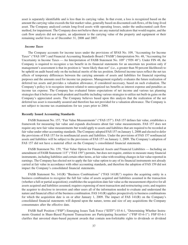asset is separately identifiable and is less than its carrying value. In that event, a loss is recognized based on the amount the carrying value exceeds the fair market value, generally based on discounted cash flows, of the long-lived asset. The Company analyzed certain long-lived assets with operating losses, under the undiscounted cash flow method, for impairment. The Company does not believe there are any material indicators that would require, and the cash flow analysis did not require, an adjustment to the carrying value of the property and equipment or their remaining useful lives as of December 31, 2008 and 2007.

### *Income Taxes*

The Company accounts for income taxes under the provisions of SFAS No. 109, "Accounting for Income Taxes" ("FAS 109") and Financial Accounting Standards Board ("FASB") Interpretation No. 48, "Accounting for Uncertainty in Income Taxes — An Interpretation of FASB Statement No. 109" ("FIN 48"). Under FIN 48, the Company is required to recognize a tax benefit in its financial statements for an uncertain tax position only if management's assessment is that its position is "more likely than not" (i.e., a greater than 50 percent likelihood) to be upheld on audit based only on the technical merits of the tax position. Deferred income taxes reflect the net tax effects of temporary differences between the carrying amounts of assets and liabilities for financial reporting purposes and the amounts used for income tax purposes. Management regularly evaluates the future realization of deferred tax assets and provides a valuation allowance, if considered necessary, based on such evaluation. The Company's policy is to recognize interest related to unrecognized tax benefits as interest expense and penalties as income tax expense. The Company has evaluated future expectations of net income and various tax planning strategies that it believes are both prudent and feasible including various strategies to utilize net built-in gains on the Company's appreciated assets. The Company believes based upon this analysis that the realization of the net deferred tax asset is reasonably assured and therefore has not provided for a valuation allowance. The Company is not subject to income tax examinations for tax years prior to 2004.

### **Recently Issued Accounting Standards**

FASB Statement No. 157, "Fair Value Measurements" ("FAS 157"). FAS 157 defines fair value, establishes a framework for measuring fair value and expands disclosures about fair value measurements. FAS 157 does not require any new fair value measurements but would apply to assets and liabilities that are required to be recorded at fair value under other accounting standards. The Company adopted FAS 157 on January 1, 2008 and elected to defer the provisions of FAS 157 for its nonfinancial assets and liabilities. Under the provisions of FAS 157 nonfinancial assets and liabilities will be subject to the provisions of FAS 157 on January 1, 2009. The Company's adoption of FAS 157 did not have a material effect on the Company's consolidated financial statements.

FASB Statement No. 159, "Fair Value Option for Financial Assets and Financial Liabilities — Including an amendment of FASB Statement 115" ("FAS 159") permits, but does not require, entities to measure many financial instruments, including liabilities and certain other items, at fair value with resulting changes in fair value reported in earnings. The Company has elected not to apply the fair value option to any of its financial instruments not already carried at fair value in accordance with other accounting standards, and therefore the adoption of FAS 159 did not impact the Company's consolidated financial statements.

FASB Statement No. 141(R) "Business Combinations" ("FAS 141(R)") requires the acquiring entity in a business combination to recognize the full fair value of assets acquired and liabilities assumed in the transaction (whether a full or partial acquisition); establishes the acquisition-date fair value as the measurement objective for all assets acquired and liabilities assumed; requires expensing of most transaction and restructuring costs; and requires the acquirer to disclose to investors and other users all of the information needed to evaluate and understand the nature and financial effect of the business combination. FAS 141(R) applies prospectively to business combinations for which the acquisition date is on or after January 1, 2009. The impact of FAS 141(R) on the Company's consolidated financial statements will depend upon the nature, terms and size of any acquisitions the Company consummates after the effective date.

FASB Staff Position ("FSP") Emerging Issues Task Force ("EITF") 03-6-1, "Determining Whether Instruments Granted in Share-Based Payment Transactions are Participating Securities" ("FSP 03-6-1"). FSP 03-6-1 clarifies that unvested share-based payment awards that contain non-forfeitable rights to dividends or dividend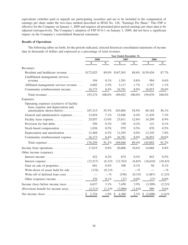equivalents (whether paid or unpaid) are participating securities and are to be included in the computation of earnings per share under the two-class method described in SFAS No. 128, "Earnings Per Share." This FSP is effective for the Company on January 1, 2009 and requires all presented prior-period earnings per share data to be adjusted retrospectively. The Company's adoption of FSP 03-6-1 on January 1, 2009, did not have a significant impact on the Company's consolidated financial statements.

# **Results of Operations**

The following tables set forth, for the periods indicated, selected historical consolidated statements of income data in thousands of dollars and expressed as a percentage of total revenues.

|                                                                                 |             |           | Year Ended December 31, |           |                          |            |
|---------------------------------------------------------------------------------|-------------|-----------|-------------------------|-----------|--------------------------|------------|
|                                                                                 | 2008        |           | 2007                    |           | 2006                     |            |
|                                                                                 | \$          | $\%$      | \$                      | $\%$      | \$                       | $\%$       |
| Revenues:                                                                       |             |           |                         |           |                          |            |
| Resident and healthcare revenue                                                 | \$172,025   |           | 89.0% \$167,563         | 88.6%     | \$139,456                | 87.7%      |
| Unaffiliated management services                                                |             |           |                         |           |                          |            |
| revenue $\ldots \ldots \ldots \ldots \ldots \ldots \ldots$                      | 194         | 0.1%      | 1,591                   | 0.8%      | 994                      | 0.6%       |
| Affiliated management services revenue                                          | 4,882       | 2.5%      | 3,117                   | 1.7%      | 1,767                    | 1.1%       |
| Community reimbursement income                                                  | 16,173      | 8.4%      | 16,781                  | 8.9%      | 16,853                   | 10.6%      |
| Total revenues $\ldots \ldots \ldots \ldots \ldots$                             | 193,274     | 100.0%    | 189,052                 | 100.0%    | 159,070                  | 100.0%     |
| Expenses:                                                                       |             |           |                         |           |                          |            |
| Operating expenses (exclusive of facility<br>lease expense and depreciation and |             |           |                         |           |                          |            |
| amortization shown below)                                                       | 107,315     | 55.5%     | 103,804                 | 54.9%     | 89,184                   | 56.1%      |
| General and administrative expenses                                             | 13,654      | 7.1%      | 12,046                  | 6.4%      | 11,420                   | 7.2%       |
| Facility lease expense                                                          | 25,057      | 13.0%     | 23,811                  | 12.6%     | 14,209                   | 8.9%       |
| Provision for bad debts                                                         | 556         | 0.3%      | 330                     | 0.2%      | 121                      | 0.1%       |
| Stock-based compensation                                                        | 1,036       | 0.5%      | 979                     | 0.5%      | 870                      | 0.5%       |
| Depreciation and amortization                                                   | 12,468      | 6.5%      | 11,295                  | 6.0%      | 12,345                   | 7.8%       |
| Community reimbursement expense                                                 | 16,173      | 8.4%      | 16,781                  | 8.9%      | 16,853                   | 10.6%      |
| Total expenses $\dots\dots\dots\dots\dots\dots\dots$                            | 176,259     | 91.2%     | 169,046                 | 89.4%     | 145,002                  | 91.2%      |
| Income from operations                                                          | 17,015      | $8.8\%$   | 20,006                  | 10.6%     | 14,068                   | 8.8%       |
| Other income (expense):                                                         |             |           |                         |           |                          |            |
| Interest income                                                                 | 422         | 0.2%      | 674                     | 0.4%      | 843                      | 0.5%       |
|                                                                                 | (12, 217)   | $(6.3)\%$ | (12,763)                | (6.8)%    | (16,610)                 | $(10.4)\%$ |
| Gain on sale of properties                                                      | 681         | 0.4%      | 108                     | 0.1%      | 94                       | 0.1%       |
| Write-down of assets held for sale                                              | (134)       | $(0.1)\%$ |                         | $-\%$     |                          | $-\%$      |
| Write-off of deferred loan costs                                                |             | $-\%$     | (538)                   | $(0.3)\%$ | (1,867)                  | $(1.2)\%$  |
| Other (expense) income $\dots \dots \dots \dots$                                | 270         | 0.1%      | (37)                    | $0.0\%$   | (37)                     | $0.0\%$    |
| Income (loss) before income taxes                                               | 6,037       | 3.1%      | 7,450                   | 3.9%      | (3,509)                  | $(2.2)\%$  |
| (Provision) benefit for income taxes                                            | (2,313)     | $(1.2)\%$ | (3,090)                 | $(1.6)\%$ | 909                      | $0.6\%$    |
|                                                                                 | 3,724<br>S. | 1.9%      | \$<br>4,360             | 2.3%      | $\frac{1}{2}$<br>(2,600) | $(1.6)\%$  |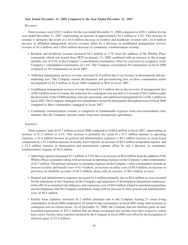### *Year Ended December 31, 2008 Compared to the Year Ended December 31, 2007*

### *Revenues.*

Total revenues were \$193.3 million for the year ended December 31, 2008 compared to \$189.1 million for the year ended December 31, 2007, representing an increase of approximately \$4.2 million or 2.2%. This increase in revenue is primarily the result of a \$4.4 million increase in resident and healthcare revenue and a \$1.8 million increase in affiliated management services revenue offset by a decrease in unaffiliated management services revenue of \$1.4 million and a \$0.6 million decrease in community reimbursement revenue.

- Resident and healthcare revenue increased \$4.4 million or 2.7% from the addition of the Whitley Place community which was leased from HCP on January 31, 2008 combined with an increase in the average monthly rent of 4.0% at the Company's consolidated communities offset by a decrease in occupancy at the Company's consolidated communities of 3.4%. The Company consolidated 50 communities in fiscal 2008 compared to 49 communities in fiscal 2007.
- Affiliated management services revenue increased \$1.8 million due to an increase in development and premarketing fees. The Company earned development and pre-marketing fees on three communities under development of \$2.5 million in fiscal 2008 compared to \$0.9 in fiscal 2007.
- Unaffiliated management services revenue decreased \$1.4 million due to the recovery of management fees of \$0.4 million from Covenant, the reduction of a contingent note payable to Covenant of \$0.9 million under the provisions of the CGIM purchase and sale agreement, and additional management fees of \$0.1 million in fiscal 2007. The Company managed two communities owned by third parties throughout most of fiscal 2008 compared to three communities managed in fiscal 2007.
- Community reimbursement revenue is comprised of reimbursable expenses from non-consolidated communities that the Company operates under long-term management agreements.

### *Expenses.*

Total expenses were \$176.3 million in fiscal 2008 compared to \$169.0 million in fiscal 2007, representing an increase of \$7.2 million or 4.3%. This increase is primarily the result of a \$3.5 million increase in operating expenses, a \$1.6 million increase in general and administrative expenses, a \$0.1 million increase in stock-based compensation, a \$1.2 million increase in facility lease expense, an increase of \$0.2 million in bad debt expense, and a \$1.2 million increase in depreciation and amortization expense offset by and a decrease in community reimbursement expense of \$0.6 million.

- Operating expenses increased \$3.5 million or 3.4% due to an increase of \$0.8 million from the addition of the Whitley Place community along with an increase in operating expenses at the Company's other communities of \$2.7 million. The primary increases in operating expenses at the Company's other communities include an increase in labor and benefit costs of \$1.9 million, an increase in utility costs of \$0.5 million, an increase in provision for doubtful accounts of \$0.2 million, along with an increase of \$0.3 million in taxes.
- General and administrative expenses increased \$1.6 million primarily due to \$0.6 million in costs incurred for the retirement of the Chairman of the Company and separation of development department employees, write-offs of accumulated due diligence and expansion costs of \$0.6 million related to potential acquisitions and developments that the Company terminated, along with an increase in other general and administrative costs of \$0.4 million.
- Facility lease expenses increased \$1.2 million primarily due to the Company leasing 25 senior living communities in fiscal 2008 compared to 24 senior living communities in fiscal 2007 along with increases in contingent rent on certain leases. As of December 31, 2008, the Company had net deferred gains on sale/ leaseback transactions of \$23.2 million that are being recognized into income over their respective initial lease terms. Facility lease expenses incurred by the Company in fiscal 2008 were offset by the recognition of deferred gains of \$3.3 million.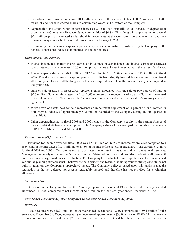- Stock-based compensation increased \$0.1 million in fiscal 2008 compared to fiscal 2007 primarily due to the award of additional restricted shares to certain employees and directors of the Company.
- Depreciation and amortization expense increased \$1.2 million primarily as an increase in depreciation expense at the Company's 50 consolidated communities of \$0.8 million along with depreciation expense of \$0.4 million primarily related to leasehold improvements at the Company's corporate offices and new information systems which were put into service on January 1, 2008.
- Community reimbursement expense represents payroll and administrative costs paid by the Company for the benefit of non-consolidated communities and joint ventures.

### *Other income and expense.*

- Interest income results from interest earned on investment of cash balances and interest earned on escrowed funds. Interest income decreased \$0.3 million primarily due to lower interest rates in the current fiscal year.
- Interest expense decreased \$0.5 million to \$12.2 million in fiscal 2008 compared to \$12.8 million in fiscal 2007. This decrease in interest expense primarily results from slightly lower debt outstanding during fiscal 2008 compared to fiscal 2007 along with a lower average interest rate in the current fiscal year compared to the prior year.
- Gain on sale of assets in fiscal 2008 represents gains associated with the sale of two parcels of land of \$0.7 million. Gain on sale of assets in fiscal 2007 represents the recognition of a gain of \$0.1 million related to the sale of a parcel of land located in Baton Rouge, Louisiana and a gain on the sale of a treasury rate lock agreement.
- Write-down of assets held for sale represents an impairment adjustment on a parcel of land, located in Fort Wayne, Indiana, of approximately \$0.1 million recorded by the Company during the first quarter of fiscal 2008.
- Other expense/income in fiscal 2008 and 2007 relates to the Company's equity in the earnings/losses of unconsolidated affiliates, which represents the Company's share of the earnings/losses on its investments in SHPII/CSL, Midwest I and Midwest II.

### *Provision (benefit) for income taxes.*

Provision for income taxes for fiscal 2008 was \$2.3 million or 38.3% of income before taxes compared to a provision for income taxes of \$3.1 million, or 41.5% of income before taxes, for fiscal 2007. The effective tax rates for fiscal 2008 and 2007 differ from the statutory tax rates due to state income taxes and permanent tax differences. Management regularly evaluates the future realization of deferred tax assets and provides a valuation allowance, if considered necessary, based on such evaluation. The Company has evaluated future expectations of net income and various tax planning strategies that it believes are both prudent and feasible including various strategies to utilize net built-in gains on the Company's appreciated assets. The Company believes based upon this analysis that the realization of the net deferred tax asset is reasonably assured and therefore has not provided for a valuation allowance.

### *Net income/loss.*

As a result of the foregoing factors, the Company reported net income of \$3.7 million for the fiscal year ended December 31, 2008 compared to net income of \$4.4 million for the fiscal year ended December 31, 2007.

### *Year Ended December 31, 2007 Compared to the Year Ended December 31, 2006*

### *Revenues.*

Total revenues were \$189.1 million for the year ended December 31, 2007 compared to \$159.1 million for the year ended December 31, 2006, representing an increase of approximately \$30.0 million or 18.8%. This increase in revenue is primarily the result of a \$28.1 million increase in resident and healthcare revenue, an increase in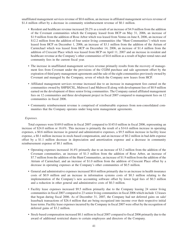unaffiliated management services revenue of \$0.6 million, an increase in affiliated management services revenue of \$1.4 million offset by a decrease in community reimbursement revenue of \$0.1 million.

- Resident and healthcare revenue increased 20.2% as a result of an increase of \$4.9 million from the addition of the Covenant communities which the Company leased from HCP on May 31, 2006, an increase of \$1.9 million from the addition of Rose Arbor which was leased from Ventas on June 8, 2006, an increase of \$12.2 million from the addition of four senior living communities (the "Hunt Communities") which were leased from HCP on December 1, 2006, an increase of \$3.1 million from the addition of the Atrium of Carmichael which was leased from HCP on December 14, 2006, an increase of \$1.4 million from the addition of Crescent Place which was leased from HCP on April 11, 2007 and an increase in resident and healthcare revenue at the Company's other communities of \$4.6 million as a result of higher rental rates and community fees in the current fiscal year.
- The increase in unaffiliated management services revenue primarily results from the recovery of management fees from Covenant under the provisions of the CGIM purchase and sale agreement offset by the expiration of third party management agreements and the sale of the eight communities previously owned by Covenant and managed by the Company, seven of which the Company now leases from HCP.
- Affiliated management services revenue increased due to an increase in management fees earned on the communities owned by SHPII/CSL, Midwest I and Midwest II along with development fees of \$0.9 million earned on the development of three senior living communities. The Company earned affiliated management fees on 12 communities and three development project in fiscal 2007 compared to management fees on 12 communities in fiscal 2006.
- Community reimbursement revenue is comprised of reimbursable expenses from non-consolidated communities that the Company operates under long-term management agreements.

### *Expenses.*

Total expenses were \$169.0 million in fiscal 2007 compared to \$145.0 million in fiscal 2006, representing an increase of \$24.0 million or 16.6%. This increase is primarily the result of a \$14.6 million increase in operating expenses, a \$0.6 million increase in general and administrative expenses, a \$9.5 million increase in facility lease expense, a \$0.1 million increase in stock-based compensation, and an increase of \$0.2 million in bad debt expense offset by a \$1.1 million decrease in depreciation and amortization expense and a decrease in community reimbursement expense of \$0.1 million.

- Operating expenses increased 16.4% primarily due to an increase of \$3.2 million from the addition of the Covenant communities, an increase of \$1.3 million from the addition of Rose Arbor, an increase of \$7.7 million from the addition of the Hunt Communities, an increase of \$1.9 million from the addition of the Atrium of Carmichael, and an increase of \$1.0 million from the addition of Crescent Place offset by a decrease in operating expenses at the Company's other communities of \$0.5 million.
- General and administrative expenses increased \$0.6 million primarily due to an increase in health insurance costs of \$0.9 million and an increase in information systems costs of \$0.3 million relating to the implementation of the Company's new accounting software offset by lower legal fees of \$0.3 million and a reduction in other general and administrative costs of \$0.3 million.
- Facility lease expenses increased \$9.5 million primarily due to the Company leasing 24 senior living communities in fiscal 2007 compared to 23 senior living communities in fiscal 2006 which include 12 leases that began during fiscal 2006. As of December 31, 2007, the Company had net deferred gains on sale/ leaseback transactions of \$26.4 million that are being recognized into income over their respective initial lease terms. Facility lease expenses incurred by the Company in fiscal 2007 were offset by the recognition of deferred gains of \$3.2 million.
- Stock-based compensation increased \$0.1 million in fiscal 2007 compared to fiscal 2006 primarily due to the award of additional restricted shares to certain employees and directors of the Company.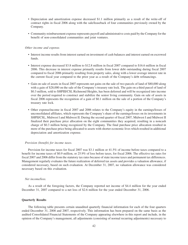- Depreciation and amortization expense decreased \$1.1 million primarily as a result of the write-off of contract rights in fiscal 2006 along with the sale/leaseback of four communities previously owned by the Company.
- Community reimbursement expense represents payroll and administrative costs paid by the Company for the benefit of non-consolidated communities and joint ventures.

### *Other income and expense.*

- Interest income results from interest earned on investment of cash balances and interest earned on escrowed funds.
- Interest expense decreased \$3.8 million to \$12.8 million in fiscal 2007 compared to \$16.6 million in fiscal 2006. This decrease in interest expense primarily results from lower debt outstanding during fiscal 2007 compared to fiscal 2006 primarily resulting from property sales, along with a lower average interest rate in the current fiscal year compared to the prior year as a result of the Company's debt refinancings.
- Gain on sale of assets in fiscal 2007 represents net gains on the sale of two parcels of land of \$80,000 along with a gain of \$28,000 on the sale of the Company's treasury rate lock. The gain on a third parcel of land of \$0.3 million, sold to SHPIII/CSL Richmond Heights, has been deferred and will be recognized into income over the period required to construct and stabilize the senior living community. Gain on sale of assets in fiscal 2006 represents the recognition of a gain of \$0.1 million on the sale of a portion of the Company's treasury rate lock.
- Other expense/income in fiscal 2007 and 2006 relates to the Company's equity in the earnings/losses of unconsolidated affiliates, which represents the Company's share of the earnings/losses on its investments in SHPII/CSL, Midwest I and Midwest II. During the second quarter of fiscal 2007, Midwest I and Midwest II finalized their purchase price allocation on the eight communities they acquired, resulting in a noncash charge of \$0.3 million being recognized by the Company. The final purchase price allocation resulted in more of the purchase price being allocated to assets with shorter economic lives which resulted in additional depreciation and amortization expense.

### *Provision (benefit) for income taxes.*

Provision for income taxes for fiscal 2007 was \$3.1 million or 41.5% of income before taxes compared to a benefit for income taxes of \$0.9 million, or 25.9% of loss before taxes, for fiscal 2006. The effective tax rates for fiscal 2007 and 2006 differ from the statutory tax rates because of state income taxes and permanent tax differences. Management regularly evaluates the future realization of deferred tax assets and provides a valuation allowance, if considered necessary, based on such evaluation. At December 31, 2007, no valuation allowance was considered necessary based on this evaluation.

### *Net income/loss.*

As a result of the foregoing factors, the Company reported net income of \$4.4 million for the year ended December 31, 2007 compared to a net loss of \$2.6 million for the year ended December 31, 2006.

### **Quarterly Results**

The following table presents certain unaudited quarterly financial information for each of the four quarters ended December 31, 2008 and 2007, respectively. This information has been prepared on the same basis as the audited Consolidated Financial Statements of the Company appearing elsewhere in this report and include, in the opinion of the Company's management, all adjustments (consisting of normal recurring adjustments) necessary to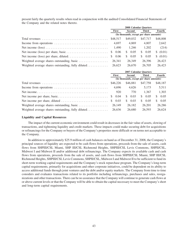present fairly the quarterly results when read in conjunction with the audited Consolidated Financial Statements of the Company and the related notes thereto.

|                                                    | <b>2008 Calendar Quarters</b> |                                          |              |                         |  |  |
|----------------------------------------------------|-------------------------------|------------------------------------------|--------------|-------------------------|--|--|
|                                                    | First                         | Second                                   | <b>Third</b> | Fourth                  |  |  |
|                                                    |                               | (In thousands, except per share amounts) |              |                         |  |  |
|                                                    | \$48,517                      | \$49,032                                 | \$47,717     | \$48,008                |  |  |
|                                                    | 4.697                         | 4.869                                    | 4.807        | 2,642                   |  |  |
|                                                    | 1.490                         | 1.246                                    | 1.202        | (214)                   |  |  |
|                                                    | 0.06<br>S.                    | 0.05<br>S.                               | 0.05<br>S.   | (0.01)<br><sup>\$</sup> |  |  |
|                                                    | $\frac{\$}{0.06}$             | $\frac{\$}{0.05}$                        | 0.05<br>S.   | \$ (0.01)               |  |  |
| Weighted average shares outstanding, basic         | 26.341                        | 26.349                                   | 26.396       | 26.423                  |  |  |
| Weighted average shares outstanding, fully diluted | 26,623                        | 26,670                                   | 26,705       | 26,423                  |  |  |

|                                                                                                | 2007 Calendar Quarters |  |    |          |    |                                          |    |          |
|------------------------------------------------------------------------------------------------|------------------------|--|----|----------|----|------------------------------------------|----|----------|
|                                                                                                | <b>First</b>           |  |    | Second   |    | <b>Third</b>                             |    | Fourth   |
|                                                                                                |                        |  |    |          |    | (In thousands, except per share amounts) |    |          |
| Total revenues $\dots \dots \dots \dots \dots \dots \dots \dots \dots \dots \dots \dots \dots$ | \$46,226               |  |    | \$46,881 |    | \$47,758                                 |    | \$48,187 |
|                                                                                                | 4.696                  |  |    | 4.626    |    | 5.173                                    |    | 5,511    |
|                                                                                                | 920                    |  |    | 770      |    | 1.367                                    |    | 1.303    |
|                                                                                                | 0.04<br><sup>S</sup>   |  | S. | 0.03     | S. | 0.05                                     | S. | 0.05     |
|                                                                                                | <sup>S</sup><br>0.03   |  | S. | 0.03     | S. | 0.05                                     | S. | 0.05     |
|                                                                                                | 26.149                 |  |    | 26.182   |    | 26.201                                   |    | 26,286   |
| Weighted average shares outstanding, fully diluted                                             | 26.636                 |  |    | 26,680   |    | 26.593                                   |    | 26.624   |

### **Liquidity and Capital Resources**

The impact of the current economic environment could result in decreases in the fair value of assets, slowing of transactions, and tightening liquidity and credit markets. These impacts could make securing debt for acquisitions or refinancings for the Company or buyers of the Company's properties more difficult or on terms not acceptable to the Company.

In addition to approximately \$25.9 million of cash balances on hand as of December 31, 2008, the Company's principal sources of liquidity are expected to be cash flows from operations, proceeds from the sale of assets, cash flows from SHPIII/CSL Miami, SHP III/CSL Richmond Heights, SHPIII/CSL Levis Commons, SHPII/CSL, Midwest I and Midwest II and/or additional debt refinancings. The Company expects its available cash and cash flows from operations, proceeds from the sale of assets, and cash flows from SHPIII/CSL Miami, SHP III/CSL Richmond Heights, SHPIII/CSL Levis Commons, SHPII/CSL, Midwest I and Midwest II to be sufficient to fund its short-term working capital requirements and the Company's stock repurchase program. The Company's long-term capital requirements, primarily for acquisitions and other corporate initiatives, could be dependent on its ability to access additional funds through joint ventures and the debt and/or equity markets. The Company from time to time considers and evaluates transactions related to its portfolio including refinancings, purchases and sales, reorganizations and other transactions. There can be no assurance that the Company will continue to generate cash flows at or above current levels or that the Company will be able to obtain the capital necessary to meet the Company's short and long-term capital requirements.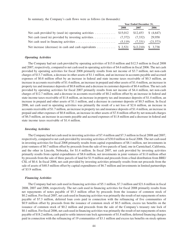In summary, the Company's cash flows were as follows (in thousands):

|                                                                        | Year Ended December 31, |           |           |  |
|------------------------------------------------------------------------|-------------------------|-----------|-----------|--|
|                                                                        | 2008                    | 2007      | 2006      |  |
| Net cash provided by (used in) operating activities  \$15,012 \$12,453 |                         |           | \$(4,647) |  |
|                                                                        |                         | (7.332)   | 29.958    |  |
|                                                                        |                         | (7,331)   | (21,573)  |  |
| Net increase (decrease) in cash and cash equivalents  \$ 2,521         |                         | \$(2,210) | \$ 3,738  |  |

### *Operating Activities*

The Company had net cash provided by operating activities of \$15.0 million and \$12.5 million in fiscal 2008 and 2007, respectively, compared to net cash used in operating activities of \$4.6 million in fiscal 2006. The net cash provided by operating activities for fiscal 2008 primarily results from net income of \$3.7 million, net non-cash charges of \$13.7 million, a decrease in other assets of \$1.1 million, and an increase in accounts payable and accrued expenses of \$0.8 million offset by an increase in federal and state income taxes receivable of \$0.3 million, an increase in accounts receivable of \$1.4 million, an increase in prepaid and other assets of \$1.4 million, an increase in property tax and insurance deposits of \$0.8 million and a decrease in customer deposits of \$0.4 million. The net cash provided by operating activities for fiscal 2007 primarily results from net income of \$4.4 million, net non-cash charges of \$12.7 million, and a decrease in accounts receivable of \$0.2 million offset by an increase in federal and state income taxes receivable of \$1.8 million, an increase in property tax and insurance deposits of \$1.4 million, an increase in prepaid and other assets of \$1.1 million, and a decrease in customer deposits of \$0.5 million. In fiscal 2006, net cash used in operating activities was primarily the result of a net loss of \$2.6 million, an increase in accounts receivable of \$1.7 million, an increase in property tax and insurance deposits of \$1.4 million, an increase in prepaid and other expenses of \$0.8 million, an increase in other assets of \$7.8 million offset by net noncash charges of \$6.5 million, an increase in accounts payable and accrued expenses of \$1.8 million and a decrease in federal and state income taxes receivable of \$1.4 million.

### *Investing Activities*

The Company had net cash used in investing activities of \$7.4 million and \$7.3 million in fiscal 2008 and 2007, respectively, compared to net cash provided by investing activities of \$30.0 million in fiscal 2006. The net cash used in investing activities for fiscal 2008 primarily results from capital expenditures of \$8.1 million, net investments in joint ventures of \$0.7 million offset by proceeds from the sale of two parcels of land, one in Carmichael, California, and the other in Lincoln, Nebraska, for \$1.4 million. In fiscal 2007, net cash provided by investing activities primarily results from capital expenditures of \$8.6 million, net investments in joint ventures of \$1.0 million offset by proceeds from the sale of three parcels of land for \$1.9 million and proceeds from a final distribution from BRE/ CSL of \$0.4. In fiscal 2006, net cash provided by investing activities primarily results from net proceeds from the sale of assets of \$40.5 million offset by capital expenditures of \$6.7 million and investments in limited partnerships of \$3.9 million.

### *Financing Activities*

The Company had net cash used in financing activities of \$5.1 million, \$7.3 million and \$21.6 million in fiscal 2008, 2007 and 2006, respectively. The net cash used in financing activities for fiscal 2008 primarily results from net repayments of notes payable of \$5.3 million offset by proceeds from the issuance of common stock of \$0.2 million. For fiscal 2007, net cash used in financing activities was primarily the result of net repayments of notes payable of \$7.3 million, deferred loan costs paid in connection with the refinancing of five communities of \$0.9 million offset by proceeds from the issuance of common stock of \$0.5 million, excess tax benefits on the issuance of common stock of \$0.2 million and proceeds from the sale of the Company's treasury rate lock of \$0.1 million. For fiscal 2006, net cash used in financing activities was primarily the result of net repayments of notes payable of \$18.2 million, cash paid to settle interest rate lock agreements of \$1.8 million, deferred financing charges paid in connection with the refinancing of 19 communities of \$3.1 million and excess tax benefits on stock options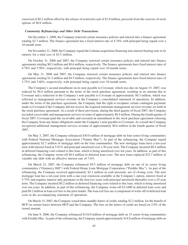exercised of \$0.2 million offset by the release of restricted cash of \$1.0 million, proceeds from the exercise of stock options of \$0.6 million.

### *Community Refinancings and Other Debt Transactions*

On December 1, 2008, the Company renewed certain insurance policies and entered into a finance agreement totaling \$2.7 million. The finance agreement has a fixed interest rate of 4.78% with principal being repaid over a 10-month term.

On November 21, 2008, the Company repaid the Lehman acquisition financing non-interest bearing note in its entirety for a total cost of \$3.5 million.

On October 31, 2008 and 2007, the Company renewed certain insurance policies and entered into finance agreements totaling \$0.5 million and \$0.6 million, respectively. The finance agreements have fixed interest rates of 4.78% and 5.50%, respectively, with principal being repaid over 10-month terms.

On May 31, 2008 and 2007, the Company renewed certain insurance policies and entered into finance agreements totaling \$1.5 million and \$4.5 million, respectively. The finance agreements have fixed interest rates of 3.75% and 5.60%, respectively, with principal being repaid over 10-month terms.

The Company's second installment on its note payable to Covenant, which was due on August 15, 2007, was reduced by \$0.4 million pursuant to the terms of the stock purchase agreement, resulting in no amount due to Covenant and a reduction in the Company's note payable to Covenant of approximately \$0.3 million, which was reflected as management services revenue in the Company's consolidated statement of operations. In addition, under the terms of the purchase agreement, the Company had the right to recapture certain contingent payments made to Covenant if the Company did not receive the required minimum management services revenue set forth in the stock purchase agreement. As a result of these provisions, during the third quarter of fiscal 2007, the Company recorded a receivable and management services revenue of approximately \$0.4 million. During the fourth quarter of fiscal 2007, Covenant paid this receivable and executed an amendment to the stock purchase agreement releasing the Company from any future obligations under the Company's note payable to Covenant. As a result the Company recognized additional management services revenue of approximately \$0.6 million in the fourth quarter of fiscal 2007.

On May 3, 2007, the Company refinanced \$30.0 million of mortgage debt on four senior living communities with Federal National Mortgage Association ("Fannie Mae"). As part of the refinancing, the Company repaid approximately \$2.7 million of mortgage debt on the four communities. The new mortgage loans have a ten-year term with interest fixed at 5.91% and principal amortized over a 30-year term. The Company incurred \$0.5 million in deferred financing costs related to this loan, which is being amortized over ten years. In addition, as part of this refinancing, the Company wrote-off \$0.4 million in deferred loan costs. The new loans replaced \$32.7 million of variable rate debt with an effective interest rate of 7.6%.

On March 21, 2007, the Company refinanced \$9.5 million of mortgage debt on one of its senior living communities ("Gramercy Hill") with Federal Home Loan Mortgage Corporation ("Freddie Mac"). As part of the refinancing, the Company received approximately \$2.1 million in cash proceeds, net of closing costs. The new mortgage loan has a ten-year term with a one-year extension available at the Company's option, interest fixed at 5.75% and requires interest only payments in the first two years with principal amortized thereafter over a 25-year term. The Company incurred \$0.2 million in deferred financing costs related to this loan, which is being amortized over ten years. In addition, as part of this refinancing, the Company wrote-off \$13,000 in deferred loan costs and paid \$0.2 million in loan exit fees to the prior lender. The loan exit fees are a component of write-off of deferred loan costs in the accompanying statement of operations.

On March 15, 2007, the Company issued three standby letters of credit, totaling \$2.2 million, for the benefit of HCP on certain leases between HCP and the Company. The fees on the letters of credit are based on 2.0% of the issued amount.

On June 9, 2006, the Company refinanced \$110.0 million of mortgage debt on 15 senior living communities with Freddie Mac. As part of the refinancing, the Company repaid approximately \$14.8 million of mortgage debt on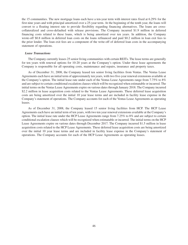the 15 communities. The new mortgage loans each have a ten-year term with interest rates fixed at 6.29% for the first nine years and with principal amortized over a 25-year term. At the beginning of the tenth year, the loans will convert to a floating interest rate to provide flexibility regarding financing alternatives. The loans are crosscollateralized and cross-defaulted with release provisions. The Company incurred \$1.9 million in deferred financing costs related to these loans, which is being amortized over ten years. In addition, the Company wrote-off \$0.8 million in deferred loan costs on the loans refinanced and paid \$0.2 million in loan exit fees to the prior lender. The loan exit fees are a component of the write-off of deferred loan costs in the accompanying statement of operations.

## *Lease Transactions*

The Company currently leases 25 senior living communities with certain REITs. The lease terms are generally for ten years with renewal options for 10-20 years at the Company's option. Under these lease agreements the Company is responsible for all operating costs, maintenance and repairs, insurance and property taxes.

As of December 31, 2008, the Company leased ten senior living facilities from Ventas. The Ventas Lease Agreements each have an initial term of approximately ten years, with two five-year renewal extensions available at the Company's option. The initial lease rate under each of the Ventas Lease Agreements range from 7.75% to 8% and are subject to certain conditional escalation clauses which will be recognized when estimatable or incurred. The initial terms on the Ventas Lease Agreements expire on various dates through January 2018. The Company incurred \$2.2 million in lease acquisition costs related to the Ventas Lease Agreements. These deferred lease acquisition costs are being amortized over the initial 10 year lease terms and are included in facility lease expense in the Company's statement of operations. The Company accounts for each of the Ventas Lease Agreements as operating leases.

As of December 31, 2008, the Company leased 15 senior living facilities from HCP. The HCP Lease Agreements each have an initial term of ten years, with two ten year renewal extensions available at the Company's option. The initial lease rate under the HCP Lease Agreements range from 7.25% to 8% and are subject to certain conditional escalation clauses which will be recognized when estimatable or incurred. The initial terms on the HCP Lease Agreements expire on various dates through December 2017. The Company incurred \$1.5 million in lease acquisition costs related to the HCP Lease Agreements. These deferred lease acquisition costs are being amortized over the initial 10 year lease terms and are included in facility lease expense in the Company's statement of operations. The Company accounts for each of the HCP Lease Agreements as operating leases.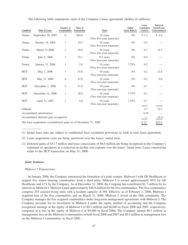The following table summarizes each of the Company's lease agreements (dollars in millions):

| Landlord   | Date of Lease                                                      | Number of<br><b>Communities</b> | Value of<br><b>Transaction</b> | <b>Term</b>                           | <b>Initial</b><br>Lease $Rate(1)$ | Lease<br><b>Acquisition</b><br>Costs(2) | <b>Deferred</b><br>Gains/Lease<br>Concessions(3) |
|------------|--------------------------------------------------------------------|---------------------------------|--------------------------------|---------------------------------------|-----------------------------------|-----------------------------------------|--------------------------------------------------|
| Ventas     | September 30, 2005                                                 | 6                               | \$84.6                         | 10 years<br>(Two five-year renewals)  | 8%                                | \$1.3                                   | \$4.6                                            |
| Ventas     | October 18, 2005                                                   | $\mathbf{1}$                    | 19.5                           | 10 years<br>(Two five-year renewals)  | 8%                                | 0.2                                     |                                                  |
| Ventas     | March 31,2006                                                      | 1                               | 29.0                           | 10 years<br>(Two five-year renewals)  | 8%                                | 0.1                                     | 14.3                                             |
| Ventas     | June 8, 2006                                                       | 1                               | 19.1                           | 9.5 years<br>(Two five-year renewals) | 8%                                | 0.4                                     |                                                  |
| Ventas     | January 31, 2008                                                   | 1                               | 5.0                            | 10 years<br>(Two five-year renewals)  | 7.75%                             | 0.2                                     |                                                  |
| <b>HCP</b> | May 1, 2006                                                        | 3                               | 54.0                           | 10 years<br>(Two ten-year renewals)   | 8%                                | 0.2                                     | 12.8                                             |
| <b>HCP</b> | May 31, 2006                                                       | 6                               | 43.0                           | 10 years<br>(Two ten-year renewals)   | 8%                                | 0.2                                     | 0.6                                              |
| <b>HCP</b> | December 1, 2006                                                   | 4                               | 51.0                           | 10 years<br>(Two ten-year renewals)   | 8%                                | 0.7                                     |                                                  |
| <b>HCP</b> | December 14, 2006                                                  | $\mathbf{1}$                    | 18.0                           | 10 years<br>(Two ten-year renewals)   | 7.75%                             | 0.3                                     |                                                  |
| <b>HCP</b> | April 11, 2007                                                     | 1                               | 8.0                            | 10 years<br>(Two ten-year renewals)   | 7.25%                             | 0.1                                     |                                                  |
| Subtotal   |                                                                    |                                 |                                |                                       |                                   | 3.7                                     | 32.3                                             |
|            | Accumulated amortization                                           |                                 |                                |                                       |                                   | (1.0)                                   |                                                  |
|            | Accumulated deferred gain recognized                               |                                 |                                |                                       |                                   |                                         | (9.1)                                            |
|            | Net lease acquisition costs/deferred gains as of December 31, 2008 |                                 |                                |                                       |                                   | \$2.7                                   | \$23.2                                           |

(1) Initial lease rates are subject to conditional lease escalation provisions as forth in each lease agreement.

(2) Lease acquisition costs are being amortized over the leases' initial term.

(3) Deferred gains of \$31.7 million and lease concessions of \$0.6 million are being recognized in the Company's statement of operations as a reduction in facility rent expense over the leases' initial term. Lease concessions relate to the HCP transaction on May 31, 2006.

### *Joint Ventures*

### *Midwest I Transactions*

In January 2006, the Company announced the formation of a joint venture, Midwest I with GE Healthcare to acquire five senior housing communities from a third party. Midwest I is owned approximately 89% by GE Healthcare and 11% by the Company. As of December 31, 2008, the Company has contributed \$2.7 million for its interests in Midwest I. Midwest I paid approximately \$46.9 million for the five communities. The five communities comprise 293 assisted living units with a resident capacity of 389. Effective as of February 1, 2006, Midwest I acquired four of the five communities and on March 31, 2006, Midwest I closed on the fifth community. The Company manages the five acquired communities under long-term management agreements with Midwest I. The Company accounts for its investment in Midwest I under the equity method of accounting and the Company recognized earnings in the equity of Midwest I of \$0.2 million and \$8,000 in fiscal 2008 and 2007, respectively, compared to a loss in the equity of Midwest I of \$9,000 in fiscal 2006. The Company earned \$0.5 million in management fees on the Midwest I communities in both fiscal 2008 and 2007 and \$0.4 million in management fees on the Midwest I communities in fiscal 2006.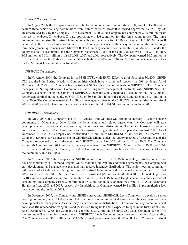### *Midwest II Transactions*

In August 2006, the Company announced the formation of a joint venture, Midwest II, with GE Healthcare to acquire three senior housing communities from a third party. Midwest II is owned approximately 85% by GE Healthcare and 15% by the Company. As of December 31, 2008, the Company has contributed \$1.5 million for its interest in Midwest II. Midwest II paid approximately \$38.2 million for the three communities. The three communities comprise 300 assisted living units with a resident capacity of 319. On August 11, 2006, Midwest II acquired the three senior living communities. The Company manages the three acquired communities under longterm management agreements with Midwest II. The Company accounts for its investment in Midwest II under the equity method of accounting and the Company recognized a loss in the equity of Midwest II of \$0.1 million, \$0.3 million and \$0.1 million in fiscal 2008, 2007 and 2006, respectively. The Company earned \$0.5 million in management fees on the Midwest II communities in both fiscal 2008 and 2007 and \$0.2 million in management fees on the Midwest I communities in fiscal 2006.

# *SHPII/CSL Transactions*

In November 2004, the Company formed SHPII/CSL with SHPII. Effective as of November 30, 2004, SHPII/ CSL acquired the Spring Meadows Communities which have a combined capacity of 698 residents. As of December 31, 2008, the Company has contributed \$1.3 million for its interests in SHPII/CSL. The Company manages the Spring Meadows Communities under long-term management contracts with SHPII/CSL. The Company accounts for its investment in SHPII/CSL under the equity method of accounting and the Company recognized earnings in the equity of SHPII/CSL of \$0.3 million in both fiscal 2008 and 2006 and \$0.1 million in fiscal 2006. The Company earned \$1.2 million in management fees on the SHPII/CSL communities in both fiscal 2008 and 2007 and \$1.1 million in management fees on the SHP II/CSL communities in fiscal 2006.

### *SHP III/CSL Transactions*

In May 2007, the Company and SHPIII entered into SHPIII/CSL Miami to develop a senior housing community in Miamisburg, Ohio. Under the joint venture and related agreements, the Company will earn development and management fees and may receive incentive distributions. The senior housing community consists of 101 independent living units and 45 assisted living units and was opened in August 2008. As of December 31, 2008, the Company has contributed \$0.8 million to SHPIII/CSL Miami for its 10% interest. The Company accounts for its investment in SHPIII/CSL Miami under the equity method of accounting and the Company recognized a loss in the equity of SHPIII/CSL Miami of \$0.1 million for fiscal 2008. The Company earned \$0.2 million and \$0.7 million in development fees from SHPIII/CSL Miami in fiscal 2008 and 2007, respectively. In addition, the Company earned \$0.1 million in pre-marketing fees and \$0.1 in management fees on the community in fiscal 2008.

In November 2007, the Company and SHPIII entered into SHPIII/CSL Richmond Heights to develop a senior housing community in Richmond Heights, Ohio. Under the joint venture and related agreements, the Company will earn development and management fees and may receive incentive distributions. The senior housing community will consist of 97 independent living units and 45 assisted living units and is expected to open in the first half of 2009. As of December 31, 2008, the Company has contributed \$0.8 million to SHPIII/CSL Richmond Heights for its 10% interest and will account for its investment in SHPIII/CSL Richmond Heights under the equity method of accounting. The Company earned \$1.0 million and \$0.1 million in development fees from SHPIII/CSL Richmond Heights in fiscal 2008 and 2007, respectively. In addition, the Company earned \$0.1 million in pre-marketing fees on the community in fiscal 2008.

In December 2007, the Company and SHPIII entered into SHPIII/CSL Levis Commons to develop a senior housing community near Toledo, Ohio. Under the joint venture and related agreements, the Company will earn development and management fees and may receive incentive distributions. The senior housing community will consist of 101 independent living units and 45 assisted living units and is expected to open in the first half of 2009. As of December 31, 2008, the Company has contributed \$0.8 million to SHPIII/CSL Levis Commons for its 10% interest and will account for its investment in SHPIII/CSL Levis Commons under the equity method of accounting. The Company earned \$1.1 million and \$22,000 in development fees from SHPIII/CSL Levis Commons in fiscal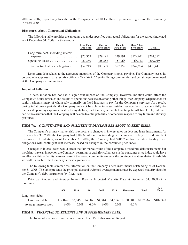2008 and 2007, respectively. In addition, the Company earned \$0.1 million in pre-marketing fees on the community in fiscal 2008.

### **Disclosures About Contractual Obligations**

The following table provides the amounts due under specified contractual obligations for the periods indicated as of December 31, 2008 (in thousands):

|                                    | <b>Less Than</b><br><b>One Year</b> | One to<br><b>Three Years</b> | Four to<br><b>Five Years</b> | <b>More Than</b><br><b>Five Years</b> | <b>Total</b> |
|------------------------------------|-------------------------------------|------------------------------|------------------------------|---------------------------------------|--------------|
| Long-term debt, including interest |                                     |                              |                              |                                       |              |
|                                    | \$23,369                            | \$29,191                     | \$29,191                     | \$179.641                             | \$261.392    |
| Operating leases                   | 29,350                              | 58,388                       | 57.968                       | 63.343                                | 209,049      |
| Total contractual cash obligations | \$52,719                            | \$87,579                     | \$87,159                     | \$242,984                             | \$470,441    |

Long-term debt relates to the aggregate maturities of the Company's notes payable. The Company leases its corporate headquarters, an executive office in New York, 25 senior living communities and certain equipment used at the Company's communities.

### **Impact of Inflation**

To date, inflation has not had a significant impact on the Company. However, inflation could affect the Company's future revenues and results of operations because of, among other things, the Company's dependence on senior residents, many of whom rely primarily on fixed incomes to pay for the Company's services. As a result, during inflationary periods, the Company may not be able to increase resident service fees to account fully for increased operating expenses. In structuring its fees, the Company attempts to anticipate inflation levels, but there can be no assurance that the Company will be able to anticipate fully or otherwise respond to any future inflationary pressures.

### **ITEM 7A.** *QUANTITATIVE AND QUALITATIVE DISCLOSURES ABOUT MARKET RISKS.*

The Company's primary market risk is exposure to changes in interest rates on debt and lease instruments. As of December 31, 2008, the Company had \$189.6 million in outstanding debt comprised solely of fixed rate debt instruments. In addition, as of December 31, 2008, the Company had \$206.2 million in future facility lease obligations with contingent rent increases based on changes in the consumer price index.

Changes in interest rates would affect the fair market value of the Company's fixed rate debt instruments but would not have an impact on the Company's earnings or cash flows. Increase in the consumer price index could have an effect on future facility lease expense if the leased community exceeds the contingent rent escalation thresholds set forth in each of the Company's lease agreements.

The following table summarizes information on the Company's debt instruments outstanding as of December 31, 2008. The table presents the principal due and weighted average interest rates by expected maturity date for the Company's debt instruments by fiscal year.

Principal Amount and Average Interest Rate by Expected Maturity Date at December 31, 2008 (\$ in thousands):

**Fair**

|                                                                              | 2009    | 2010 | 2011 | 2012 | 2013 | Thereafter | Total | ган<br>Value |
|------------------------------------------------------------------------------|---------|------|------|------|------|------------|-------|--------------|
| Long-term debt:                                                              |         |      |      |      |      |            |       |              |
| Fixed rate debt \$12,026 \$3,845 \$4,087 \$4,314 \$4,614 \$160,681 \$189,567 |         |      |      |      |      |            |       | \$182,378    |
| Average interest rate                                                        | $6.0\%$ | 6.0% | 6.0% | 6.0% | 6.0% | 6.0%       |       |              |

### **ITEM 8.** *FINANCIAL STATEMENTS AND SUPPLEMENTARY DATA.*

The financial statements are included under Item 15 of this Annual Report.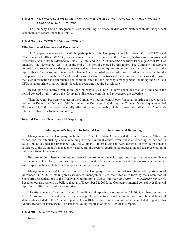# **ITEM 9.** *CHANGES IN AND DISAGREEMENTS WITH ACCOUNTANTS ON ACCOUNTING AND FINANCIAL DISCLOSURES.*

The Company had no disagreements on accounting or financial disclosure matters with its independent accountants to report under this Item 9.

# **ITEM 9A.** *CONTROLS AND PROCEDURES.*

### **Effectiveness of Controls and Procedures**

The Company's management, with the participation of the Company's Chief Executive Officer ("CEO") and Chief Financial Officer ("CFO"), has evaluated the effectiveness of the Company's disclosure controls and procedures (as such term is defined in Rules 13a-15(e) and 15d-15(e) under the Securities Exchange Act of 1934, as amended (the "Exchange Act")) as of the end of the period covered by this report. The Company's disclosure controls and procedures are designed to ensure that information required to be disclosed by the Company in the reports that it files or submits under the Exchange Act is recorded, processed, summarized and reported within the time periods specified in the SEC's rules and forms. Disclosure controls and procedures are also designed to ensure that such information is accumulated and communicated to the Company's management, including the CEO and CFO, as appropriate to allow timely decisions regarding required disclosure.

Based upon the controls evaluation, the Company's CEO and CFO have concluded that, as of the end of the period covered by this report, the Company's disclosure controls and procedures are effective.

There have not been any changes in the Company's internal control over financial reporting (as such term is defined in Rules 13a-15(f) and 15d-15(f) under the Exchange Act) during the Company's fiscal quarter ended December 31, 2008 that have materially affected, or are reasonably likely to materially affect, the Company's internal control over financial reporting.

### **Internal Controls Over Financial Reporting**

### **Management's Report On Internal Control Over Financial Reporting**

Management of the Company, including the Chief Executive Officer and the Chief Financial Officer, is responsible for establishing and maintaining adequate internal control over financial reporting, as defined in Rules 13a-15(f) under the Exchange Act. The Company's internal controls were designed to provide reasonable assurance to the Company's management and board of directors regarding the preparation and fair presentation of published financial statements.

Because of its inherent limitations, internal control over financial reporting may not prevent or detect misstatements. Therefore, even those systems determined to be effective can provide only reasonable assurance with respect to financial statement preparation and presentation.

Management assessed the effectiveness of the Company's internal control over financial reporting as of December 31, 2008. In making this assessment, management used the criteria set forth by the Committee of Sponsoring Organizations of the Treadway Commission ("COSO") in *Internal Control — Integrated Framework*. Based on our assessment, we believe that, as of December 31, 2008, the Company's internal control over financial reporting is effective based on those criteria.

The effectiveness of our internal control over financial reporting as of December 31, 2008, has been audited by Ernst & Young LLP, the independent registered public accounting firm that audited our consolidated financial statements included in this Annual Report on Form 10-K, as stated in their report which is included as part of this Annual Report on Form 10-K. The Ernst & Young report is on page F-25 of this report.

# **ITEM 9B.** *OTHER INFORMATION.*

None.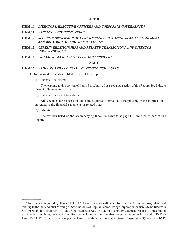## **PART III**

- **ITEM 10.** *DIRECTORS, EXECUTIVE OFFICERS AND CORPORATE GOVERNANCE.\**
- **ITEM 11.** *EXECUTIVE COMPENSATION.\**
- **ITEM 12.** *SECURITY OWNERSHIP OF CERTAIN BENEFICIAL OWNERS AND MANAGEMENT AND RELATED STOCKHOLDER MATTERS.\**
- **ITEM 13.** *CERTAIN RELATIONSHIPS AND RELATED TRANSACTIONS, AND DIRECTOR INDEPENDENCE.\**
- **ITEM 14.** *PRINCIPAL ACCOUNTANT FEES AND SERVICES.\**

### **PART IV**

### **ITEM 15.** *EXHIBITS AND FINANCIAL STATEMENT SCHEDULES.*

The following documents are filed as part of this Report:

(1) Financial Statements:

The response to this portion of Item 15 is submitted as a separate section of this Report. See Index to Financial Statements at page F-1.

(2) Financial Statement Schedules:

All schedules have been omitted as the required information is inapplicable or the information is presented in the financial statements or related notes.

(3) Exhibits:

The exhibits listed on the accompanying Index To Exhibits at page E-1 are filed as part of this Report.

<sup>\*</sup> Information required by Items 10, 11, 12, 13 and 14 is or will be set forth in the definitive proxy statement relating to the 2009 Annual Meeting of Stockholders of Capital Senior Living Corporation, which is to be filed with SEC pursuant to Regulation 14A under the Exchange Act. This definitive proxy statement relates to a meeting of stockholders involving the election of directors and the portions therefrom required to be set forth in this 10-K by Items 10, 11, 12, 13 and 14 are incorporated herein by reference pursuant to General Instruction G(3) to Form 10-K.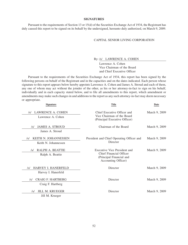# **SIGNATURES**

Pursuant to the requirements of Section 13 or 15(d) of the Securities Exchange Act of 1934, the Registrant has duly caused this report to be signed on its behalf by the undersigned, hereunto duly authorized, on March 9, 2009.

# CAPITAL SENIOR LIVING CORPORATION

### By: /s/ LAWRENCE A. COHEN

Lawrence A. Cohen Vice Chairman of the Board and Chief Executive Officer

Pursuant to the requirements of the Securities Exchange Act of 1934, this report has been signed by the following persons on behalf of the Registrant and in the capacities and on the dates indicated. Each person whose signature to this report appears below hereby appoints Lawrence A. Cohen and James A. Stroud and each of them, any one of whom may act without the joinder of the other, as his or her attorney-in-fact to sign on his behalf, individually and in each capacity stated below, and to file all amendments to this report, which amendment or amendments may make such changes in and additions to the report as any such attorney-in-fact may deem necessary or appropriate.

| <b>Signature</b>                                            | <b>Title</b>                                                                                                      | Date          |
|-------------------------------------------------------------|-------------------------------------------------------------------------------------------------------------------|---------------|
| <b>LAWRENCE A. COHEN</b><br>$\sqrt{s}$<br>Lawrence A. Cohen | Chief Executive Officer and<br>Vice Chairman of the Board<br>(Principal Executive Officer)                        | March 9, 2009 |
| <b>JAMES A. STROUD</b><br>/s/<br>James A. Stroud            | Chairman of the Board                                                                                             | March 9, 2009 |
| <b>KEITH N. JOHANNESSEN</b><br>/s/<br>Keith N. Johannessen  | President and Chief Operating Officer and<br>Director                                                             | March 9, 2009 |
| RALPH A. BEATTIE<br>/s/<br>Ralph A. Beattie                 | Executive Vice President and<br><b>Chief Financial Officer</b><br>(Principal Financial and<br>Accounting Officer) | March 9, 2009 |
| <b>HARVEY I. HANERFELD</b><br>/s/<br>Harvey I. Hanerfeld    | Director                                                                                                          | March 9, 2009 |
| <b>CRAIG F. HARTBERG</b><br>/s/<br>Craig F. Hartberg        | Director                                                                                                          | March 9, 2009 |
| <b>JILL M. KRUEGER</b><br>$\sqrt{s}$<br>Jill M. Krueger     | Director                                                                                                          | March 9, 2009 |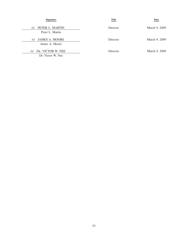| <b>Signature</b>                                      | <b>Title</b> | Date          |
|-------------------------------------------------------|--------------|---------------|
| PETER L. MARTIN<br>/s/<br>Peter L. Martin             | Director     | March 9, 2009 |
| <b>JAMES A. MOORE</b><br>$\sqrt{s}$<br>James A. Moore | Director     | March 9, 2009 |
| DR. VICTOR W. NEE<br>/s/<br>Dr. Victor W. Nee         | Director     | March 9, 2009 |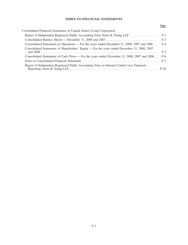# **INDEX TO FINANCIAL STATEMENTS**

# **Page**

| Consolidated Financial Statements of Capital Senior Living Corporation                        |       |
|-----------------------------------------------------------------------------------------------|-------|
| Report of Independent Registered Public Accounting Firm, Ernst & Young LLP                    | $F-2$ |
|                                                                                               | $F-3$ |
| Consolidated Statements of Operations — For the years ended December 31, 2008, 2007 and 2006. | $F-4$ |
| Consolidated Statements of Shareholders' Equity — For the years ended December 31, 2008, 2007 |       |
|                                                                                               | $F-5$ |
| Consolidated Statements of Cash Flows — For the years ended December 31, 2008, 2007 and 2006  | $F-6$ |
|                                                                                               |       |
| Report of Independent Registered Public Accounting Firm on Internal Control over Financial    |       |
|                                                                                               |       |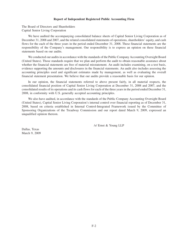### **Report of Independent Registered Public Accounting Firm**

The Board of Directors and Shareholders Capital Senior Living Corporation

We have audited the accompanying consolidated balance sheets of Capital Senior Living Corporation as of December 31, 2008 and 2007, and the related consolidated statements of operations, shareholders' equity, and cash flows for the each of the three years in the period ended December 31, 2008. These financial statements are the responsibility of the Company's management. Our responsibility is to express an opinion on these financial statements based on our audits.

We conducted our audits in accordance with the standards of the Public Company Accounting Oversight Board (United States). Those standards require that we plan and perform the audit to obtain reasonable assurance about whether the financial statements are free of material misstatement. An audit includes examining, on a test basis, evidence supporting the amounts and disclosures in the financial statements. An audit also includes assessing the accounting principles used and significant estimates made by management, as well as evaluating the overall financial statement presentation. We believe that our audits provide a reasonable basis for our opinion.

In our opinion, the financial statements referred to above present fairly, in all material respects, the consolidated financial position of Capital Senior Living Corporation at December 31, 2008 and 2007, and the consolidated results of its operations and its cash flows for each of the three years in the period ended December 31, 2008, in conformity with U.S. generally accepted accounting principles.

We also have audited, in accordance with the standards of the Public Company Accounting Oversight Board (United States), Capital Senior Living Corporation's internal control over financial reporting as of December 31, 2008, based on criteria established in Internal Control-Integrated Framework issued by the Committee of Sponsoring Organizations of the Treadway Commission and our report dated March 9, 2009, expressed an unqualified opinion thereon.

/s/ Ernst & Young LLP

Dallas, Texas March 9, 2009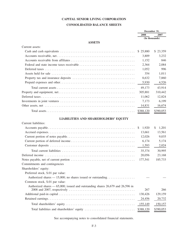# **CAPITAL SENIOR LIVING CORPORATION CONSOLIDATED BALANCE SHEETS**

|                                                                                |             | December 31,   |
|--------------------------------------------------------------------------------|-------------|----------------|
|                                                                                | 2008        | 2007           |
| <b>ASSETS</b>                                                                  |             | (In thousands) |
| Current assets:                                                                |             |                |
|                                                                                | \$25,880    | \$23,359       |
|                                                                                | 3,809       | 3,232          |
|                                                                                | 1,152       | 846            |
|                                                                                | 2,364       | 2,084          |
|                                                                                | 1,052       | 996            |
|                                                                                | 354         | 1,011          |
|                                                                                | 8,632       | 7,860          |
|                                                                                | 5,930       | 4,526          |
|                                                                                | 49,173      | 43,914         |
|                                                                                | 305,881     | 310,442        |
|                                                                                | 11,062      | 12,824         |
|                                                                                | 7,173       | 6,199          |
|                                                                                | 14,831      | 16,674         |
|                                                                                |             |                |
|                                                                                | \$388,120   | \$390,053      |
| <b>LIABILITIES AND SHAREHOLDERS' EQUITY</b>                                    |             |                |
| Current liabilities:                                                           |             |                |
|                                                                                | 1,920<br>S. | \$<br>1,201    |
|                                                                                | 13,661      | 13,561         |
|                                                                                | 12,026      | 9,035          |
|                                                                                | 6,174       | 5,174          |
|                                                                                | 1,593       | 2,024          |
|                                                                                | 35,374      | 30,995         |
|                                                                                | 20,056      | 23,168         |
|                                                                                | 177,541     | 185,733        |
| Commitments and contingencies                                                  |             |                |
| Shareholders' equity:                                                          |             |                |
| Preferred stock, \$.01 par value:                                              |             |                |
| Authorized shares - 15,000; no shares issued or outstanding                    |             |                |
| Common stock, \$.01 par value:                                                 |             |                |
| Authorized shares — 65,000; issued and outstanding shares 26,679 and 26,596 in |             |                |
|                                                                                | 267         | 266            |
|                                                                                | 130,426     | 129,159        |
|                                                                                | 24,456      | 20,732         |
|                                                                                | 155,149     | 150,157        |
|                                                                                | \$388,120   | \$390,053      |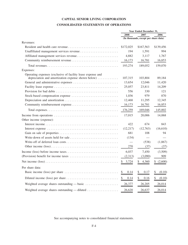# **CONSOLIDATED STATEMENTS OF OPERATIONS**

|                                                                                                  | Year Ended December 31, |                                       |               |
|--------------------------------------------------------------------------------------------------|-------------------------|---------------------------------------|---------------|
|                                                                                                  | 2008                    | 2007                                  | 2006          |
|                                                                                                  |                         | (In thousands, except per share data) |               |
| Revenues:                                                                                        |                         |                                       |               |
|                                                                                                  | \$172,025               | \$167,563                             | \$139,456     |
|                                                                                                  | 194                     | 1,591                                 | 994           |
| Affiliated management services revenue                                                           | 4,882                   | 3,117                                 | 1,767         |
|                                                                                                  | 16,173                  | 16,781                                | 16,853        |
|                                                                                                  | 193,274                 | 189,052                               | 159,070       |
| Expenses:                                                                                        |                         |                                       |               |
| Operating expenses (exclusive of facility lease expense and                                      |                         |                                       |               |
| depreciation and amortization expense shown below)                                               | 107,315                 | 103,804                               | 89,184        |
|                                                                                                  | 13,654                  | 12,046                                | 11,420        |
|                                                                                                  | 25,057                  | 23,811                                | 14,209        |
|                                                                                                  | 556                     | 330                                   | 121           |
| Stock-based compensation expense                                                                 | 1,036                   | 979                                   | 870           |
|                                                                                                  | 12,468                  | 11,295                                | 12,345        |
| Community reimbursement expense                                                                  | 16,173                  | 16,781                                | 16,853        |
|                                                                                                  | 176,259                 | 169,046                               | 145,002       |
| Income from operations $\dots \dots \dots \dots \dots \dots \dots \dots \dots \dots \dots \dots$ | 17,015                  | 20,006                                | 14,068        |
| Other income (expense):                                                                          |                         |                                       |               |
|                                                                                                  | 422                     | 674                                   | 843           |
|                                                                                                  | (12,217)                | (12,763)                              | (16,610)      |
|                                                                                                  | 681                     | 108                                   | 94            |
|                                                                                                  | (134)                   |                                       |               |
|                                                                                                  |                         | (538)                                 | (1, 867)      |
|                                                                                                  | 270                     | (37)                                  | (37)          |
|                                                                                                  | 6,037                   | 7,450                                 | (3,509)       |
|                                                                                                  | (2,313)                 | (3,090)                               | 909           |
|                                                                                                  | 3,724<br>\$             | 4,360<br>\$                           | \$<br>(2,600) |
| Per share data:                                                                                  |                         |                                       |               |
|                                                                                                  | 0.14                    | \$<br>0.17                            | \$<br>(0.10)  |
|                                                                                                  | 0.14                    | \$<br>0.16                            | \$<br>(0.10)  |
| Weighted average shares outstanding — basic                                                      | 26,377                  | 26,205                                | 26,014        |
| Weighted average shares outstanding - diluted                                                    | 26,620                  | 26,637                                | 26,014        |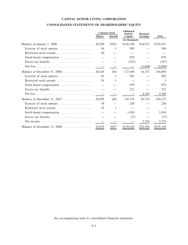# **CAPITAL SENIOR LIVING CORPORATION CONSOLIDATED STATEMENTS OF SHAREHOLDERS' EQUITY**

|                                                                             | <b>Common Stock</b> |        | <b>Additional</b><br>Paid-In | <b>Retained</b> |              |  |
|-----------------------------------------------------------------------------|---------------------|--------|------------------------------|-----------------|--------------|--|
|                                                                             | <b>Shares</b>       | Amount | Capital                      | <b>Earnings</b> | <b>Total</b> |  |
|                                                                             | (In thousands)      |        |                              |                 |              |  |
| Balance at January $1, 2006 \ldots \ldots \ldots \ldots \ldots$             | 26,290              | \$263  | \$126,180                    | \$18,972        | \$145,415    |  |
|                                                                             | 94                  | 1      | 585                          |                 | 586          |  |
| Restricted stock awards                                                     | 40                  |        |                              |                 |              |  |
|                                                                             |                     |        | 870                          |                 | 870          |  |
| Excess tax benefits                                                         |                     |        | (187)                        |                 | (187)        |  |
| Net loss                                                                    |                     |        |                              | (2,600)         | (2,600)      |  |
|                                                                             | 26,424              | 264    | 127,448                      | 16,372          | 144,084      |  |
|                                                                             | 81                  | 1      | 501                          |                 | 502          |  |
| Restricted stock awards                                                     | 91                  | 1      |                              |                 | 1            |  |
| Stock-based compensation                                                    |                     |        | 979                          |                 | 979          |  |
| Excess tax benefits                                                         |                     |        | 231                          |                 | 231          |  |
|                                                                             |                     |        |                              | 4,360           | 4,360        |  |
|                                                                             | 26,596              | 266    | 129,159                      | 20,732          | 150,157      |  |
|                                                                             | 38                  |        | 258                          |                 | 258          |  |
| Restricted stock awards                                                     | 45                  | 1      |                              |                 | 1            |  |
|                                                                             |                     |        | 1,036                        |                 | 1,036        |  |
| Excess tax benefits                                                         |                     |        | (27)                         |                 | (27)         |  |
| Net income $\ldots \ldots \ldots \ldots \ldots \ldots \ldots \ldots \ldots$ |                     |        |                              | 3,724           | 3,724        |  |
|                                                                             | 26,679              | \$267  | \$130,426                    | \$24,456        | \$155,149    |  |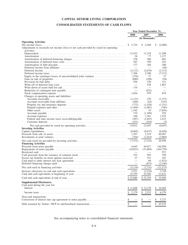# **CONSOLIDATED STATEMENTS OF CASH FLOWS**

|                                                                                        |                                | Year Ended December 31,  |                    |
|----------------------------------------------------------------------------------------|--------------------------------|--------------------------|--------------------|
|                                                                                        | 2008                           | 2007                     | 2006               |
|                                                                                        | (In thousands)                 |                          |                    |
| <b>Operating Activities</b>                                                            |                                |                          |                    |
|                                                                                        | \$3,724                        | $\mathbb{S}^-$<br>4,360  | \$<br>(2,600)      |
| Adjustments to reconcile net income (loss) to net cash provided by (used in) operating |                                |                          |                    |
| activities:                                                                            |                                |                          |                    |
|                                                                                        | 12,432                         | 11,218                   | 11,208             |
|                                                                                        | 36                             | 77                       | 1,137              |
|                                                                                        | 338                            | 386                      | 601                |
|                                                                                        | 367                            | 350                      | 183                |
|                                                                                        | 177                            | 184                      | 200                |
|                                                                                        |                                | $\overline{\phantom{0}}$ | (48)               |
|                                                                                        | (2.112)<br>1,706               | (2,676)                  | (2,312)<br>(7,312) |
| Equity in the (earnings) losses of unconsolidated joint ventures                       | (270)                          | 2,300<br>37              | 37                 |
|                                                                                        | (680)                          | (108)                    | (94)               |
|                                                                                        | 556                            | 330                      | 121                |
|                                                                                        |                                | 538                      | 1,867              |
|                                                                                        | 134                            |                          |                    |
|                                                                                        | $\overline{\phantom{0}}$       | (921)                    |                    |
|                                                                                        | 1,036                          | 979                      | 870                |
| Changes in operating assets and liabilities:                                           |                                |                          |                    |
|                                                                                        | (1,133)                        | 276                      | (1,373)            |
|                                                                                        | (306)                          | (62)                     | (352)              |
|                                                                                        | (772)                          | (1,428)                  | (1,351)            |
|                                                                                        | (1,404)                        | (1,081)                  | (760)              |
|                                                                                        | 1,102                          | 19                       | (7, 856)           |
|                                                                                        | 719                            | (1,389)                  | 255                |
|                                                                                        | 100                            | 1,361                    | 1,525              |
| Federal and state income taxes receivable/payable                                      | (307)                          | (1,843)                  | 1,412              |
|                                                                                        | (431)                          | (454)                    | (5)                |
| Net cash provided by (used in) operating activities                                    | 15,012                         | 12,453                   | (4,647)            |
| <b>Investing Activities</b>                                                            |                                |                          |                    |
|                                                                                        | (8,065)                        | (8,637)                  | (6,650)            |
|                                                                                        | 1,397                          | 2,319                    | 40,497             |
|                                                                                        | (704)                          | (1,014)                  | (3,889)            |
|                                                                                        | (7,372)                        | (7, 332)                 | 29,958             |
| <b>Financing Activities</b>                                                            |                                |                          |                    |
|                                                                                        | 4,645                          | 44,617                   | 146,590            |
|                                                                                        | (10,023)                       | (51,869)                 | (164, 759)         |
|                                                                                        | $\overline{\phantom{m}}$       |                          | 973                |
| Cash proceeds from the issuance of common stock                                        | 232                            | 503                      | 399                |
| Excess tax benefits on stock options exercised                                         | 27                             | 231                      | 187                |
| Cash paid to settle interest rate lock agreement                                       | $\overline{\phantom{0}}$       | 60                       | (1.823)            |
|                                                                                        | $\overbrace{\phantom{123321}}$ | (873)                    | (3,140)            |
|                                                                                        | (5,119)                        | (7, 331)                 | (21, 573)          |
|                                                                                        |                                |                          |                    |
| Cash and cash equivalents at beginning of year                                         | 2,521                          | (2,210)                  | 3,738              |
|                                                                                        | 23,359                         | 25,569                   | 21,831             |
|                                                                                        | \$25,880                       | \$23,359                 | \$<br>25,569       |
| <b>Supplemental Disclosures</b>                                                        |                                |                          |                    |
| Cash paid during the year for:                                                         |                                |                          |                    |
|                                                                                        | \$11,668                       | \$12,178                 | \$<br>16,465       |
|                                                                                        |                                |                          |                    |
|                                                                                        | S.<br>2,179                    | \$2,532                  | \$<br>6,379        |
| Non-cash transactions:                                                                 |                                |                          |                    |
|                                                                                        | Z.                             |                          | 5,727              |
|                                                                                        |                                |                          |                    |
|                                                                                        | \$                             | \$                       | \$<br>45,535       |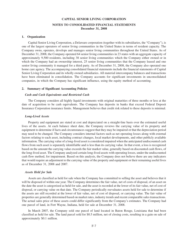# **CAPITAL SENIOR LIVING CORPORATION NOTES TO CONSOLIDATED FINANCIAL STATEMENTS December 31, 2008**

### **1. Organization**

Capital Senior Living Corporation, a Delaware corporation (together with its subsidiaries, the "Company"), is one of the largest operators of senior living communities in the United States in terms of resident capacity. The Company owns, operates, develops and manages senior living communities throughout the United States. As of December 31, 2008, the Company operated 64 senior living communities in 23 states with an aggregate capacity of approximately 9,500 residents, including 38 senior living communities which the Company either owned or in which the Company had an ownership interest, 25 senior living communities that the Company leased and one senior living community it managed for a third party. As of December 31, 2008, the Company also operated one home care agency. The accompanying consolidated financial statements include the financial statements of Capital Senior Living Corporation and its wholly owned subsidiaries. All material intercompany balances and transactions have been eliminated in consolidation. The Company accounts for significant investments in unconsolidated companies, in which the Company has significant influence, using the equity method of accounting.

### **2. Summary of Significant Accounting Policies**

### *Cash and Cash Equivalents and Restricted Cash*

The Company considers all highly liquid investments with original maturities of three months or less at the date of acquisition to be cash equivalents. The Company has deposits in banks that exceed Federal Deposit Insurance Corporation insurance limits. Management believes that credit risk related to these deposits is minimal.

### *Long-Lived Assets*

Property and equipment are stated at cost and depreciated on a straight-line basis over the estimated useful lives of the assets. At each balance sheet date, the Company reviews the carrying value of its property and equipment to determine if facts and circumstances suggest that they may be impaired or that the depreciation period may need to be changed. The Company considers internal factors such as net operating losses along with external factors relating to each asset, including contract changes, local market developments, and other publicly available information. The carrying value of a long-lived asset is considered impaired when the anticipated undiscounted cash flows from such asset is separately identifiable and is less than its carrying value. In that event, a loss is recognized based on the amount the carrying value exceeds the fair market value, generally based on discounted cash flows, of the long-lived asset. The Company analyzed certain long-lived assets with operating losses, under the undiscounted cash flow method, for impairment. Based on this analysis, the Company does not believe there are any indicators that would require an adjustment to the carrying value of the property and equipment or their remaining useful lives as of December 31, 2008 and 2007.

### *Assets Held for Sale*

Assets are classified as held for sale when the Company has committed to selling the asset and believes that it will be disposed of within one year. The Company determines the fair value, net of costs of disposal, of an asset on the date the asset is categorized as held for sale, and the asset is recorded at the lower of its fair value, net of cost of disposal, or carrying value on that date. The Company periodically reevaluates assets held for sale to determine if the assets are still recorded at the lower of fair value, net of cost of disposal, or carrying value. The fair value of properties are generally determined based on market rates, industry trends and recent comparable sales transactions. The actual sales price of these assets could differ significantly from the Company's estimates. The Company had one parcel of land, in Fort Wayne, Indiana, held for sale at December 31, 2008.

In March 2007, the Company sold one parcel of land located in Baton Rouge, Louisiana that had been classified as held for sale. The land parcel sold for \$0.5 million, net of closing costs, resulting in a gain on sale of approximately \$0.1 million.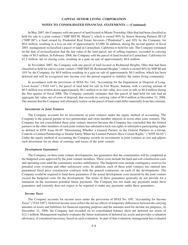### **NOTES TO CONSOLIDATED FINANCIAL STATEMENTS — (Continued)**

In May 2007, the Company sold one parcel of land located in Miami Township, Ohio that had been classified as held for sale to a joint venture ("SHP III/CSL Miami"), which is owned 90% by Senior Housing Partners III LP ("SHP III"), a fund owned by Prudential Real Estate Investors ("Prudential"), and 10% by the Company, for \$0.6 million, resulting in a loss on sale of approximately \$3,000. In addition, during the second quarter of fiscal 2007, management reclassified a parcel of land in Carmichael, California to held for sale. The Company estimated on the date of reclassification that the fair value of the land parcel, net of selling expenses, exceeded its carrying value of \$0.5 million. In February 2008, the Company sold the parcel of land located in Carmichael, California for \$1.2 million, net of closing costs, resulting in a gain on sale of approximately \$0.6 million.

In November 2007, the Company sold one parcel of land located in Richmond Heights, Ohio that had been classified as held for sale to a joint venture ("SHP III/CSL Richmond Heights") which is owned 90% by SHP III and 10% by the Company, for \$0.8 million resulting in a gain on sale of approximately \$0.3 million, which has been deferred and will be recognized into income over the period required to stabilize the senior living community.

In accordance with the provisions of SFAS No. 144, "Accounting for the Impairment or Disposal of Long-Lived Assets" ("FAS 144"), the parcel of land held for sale in Fort Wayne, Indiana, with a carrying amount of \$0.5 million was written down approximately \$0.1 million to its fair value, less costs to sell, to \$0.4 million during the first quarter of fiscal 2008. The Company currently estimates that this parcel of land held for sale had an aggregate fair value, net of costs of disposal, that exceeds its carrying value of \$0.4 million at December 31, 2008. The amount that the Company will ultimately realize on the parcel of land could differ materially from this estimate.

### *Investments in Joint Ventures*

The Company accounts for its investments in joint ventures under the equity method of accounting. The Company is the general partner in two partnerships and owns member interests in seven other joint ventures. The Company has not consolidated these joint venture interests because the Company has concluded that the limited partners or the other members of each joint venture has substantive kick-out rights or substantive participating rights as defined in EITF Issue 04-05 "Determining Whether a General Partner, or the General Partners as a Group, Controls a Limited Partnership or Similar Entity When the Limited Partners Have Certain Rights." ("EITF 04-05") Under the equity method of accounting the Company records its investments in joint ventures at cost and adjusts such investment for its share of earnings and losses of the joint venture.

### *Development Guarantees*

The Company, on three joint venture developments, has guarantees that the communities will be completed at the budgeted costs approved by the joint venture members. These costs include the hard and soft construction costs and operating costs until the community reaches stabilization. The budgeted costs include contingency reserves for potential costs overruns and other unforeseen costs. In addition, each of these joint ventures has entered into guaranteed fixed price construction contracts with the general contractors on each of the developments. The Company would be required to fund these guarantees if the actual development costs incurred by the joint venture exceed the budgeted costs for the development. The terms of these guarantees generally do not provide for a limitation on the maximum potential future payments. The Company has not made any payments under these guarantees and currently does not expect to be required to make any payments under these guarantees.

### *Income Taxes*

The Company accounts for income taxes under the provisions of SFAS No. 109, "Accounting for Income Taxes" ("FAS 109"). Deferred income taxes reflect the net tax effects of temporary differences between the carrying amounts of assets and liabilities for financial reporting purposes and the amounts used for income tax purposes. At December 31, 2008, the Company had recorded on its consolidated balance sheet net deferred tax assets of \$12.1 million. Management regularly evaluates the future realization of deferred tax assets and provides a valuation allowance, if considered necessary, based on such evaluation. As part of that evaluation, management has evaluated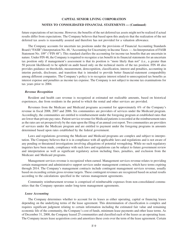### **NOTES TO CONSOLIDATED FINANCIAL STATEMENTS — (Continued)**

future expectations of net income. However, the benefits of the net deferred tax assets might not be realized if actual results differ from expectations. The Company believes that based upon this analysis that the realization of the net deferred tax assets is reasonably assured and therefore has not provided for a valuation allowance.

The Company accounts for uncertain tax positions under the provisions of Financial Accounting Standards Board ("FASB") Interpretation No. 48, "Accounting for Uncertainty in Income Taxes — An Interpretation of FASB Statement No. 109" ("FIN 48"). This standard clarifies the accounting for income tax benefits that are uncertain in nature. Under FIN 48, the Company is required to recognize a tax benefit in its financial statements for an uncertain tax position only if management's assessment is that its position is "more likely than not" (i.e., a greater than 50 percent likelihood) to be upheld on audit based only on the technical merits of the tax position. FIN 48 also provides guidance on thresholds, measurement, derecognition, classification, interest and penalties, accounting in interim periods, disclosure, and transition that is intended to provide better financial-statement comparability among different companies. The Company's policy is to recognize interest related to unrecognized tax benefits as interest expense and penalties as income tax expense. The Company is not subject to income tax examinations for tax years prior to 2004.

### *Revenue Recognition*

Resident and health care revenue is recognized at estimated net realizable amounts, based on historical experiences, due from residents in the period to which the rental and other services are provided.

Revenues from the Medicare and Medicaid programs accounted for approximately 6% of the Company's revenue in fiscal 2008, 2007 and 2006. Six communities are providers of services under the Medicaid program. Accordingly, the communities are entitled to reimbursement under the foregoing program at established rates that are lower than private pay rates. Patient service revenue for Medicaid patients is recorded at the reimbursement rates as the rates are set prospectively by the state upon the filing of an annual cost report. Two communities are providers of services under the Medicare program and are entitled to payment under the foregoing programs in amounts determined based upon rates established by the federal government.

Laws and regulations governing the Medicare and Medicaid programs are complex and subject to interpretation. The Company believes that it is in compliance with all applicable laws and regulations and is not aware of any pending or threatened investigations involving allegations of potential wrongdoing. While no such regulatory inquiries have been made, compliance with such laws and regulations can be subject to future government review and interpretation as well as significant regulatory action including fines, penalties, and exclusion from the Medicare and Medicaid programs.

Management services revenue is recognized when earned. Management services revenue relates to providing certain management and administrative support services under management contracts, which have terms expiring through 2014. The Company's management contracts include contingent management services revenue, usually based on exceeding certain gross revenue targets. These contingent revenues are recognized based on actual results according to the calculations specified in the various management agreements.

Community reimbursement revenue is comprised of reimbursable expenses from non-consolidated communities that the Company operates under long-term management agreements.

### *Lease Accounting*

The Company determines whether to account for its leases as either operating, capital or financing leases depending on the underlying terms of the lease agreement. This determination of classification is complex and requires significant judgment relating to certain information including the estimated fair value and remaining economic life of the community, the Company's cost of funds, minimum lease payments and other lease terms. As of December 31, 2008, the Company leased 25 communities and classified each of the leases as an operating lease. The Company incurs lease acquisition costs and amortizes these costs over the term of the lease agreement. Certain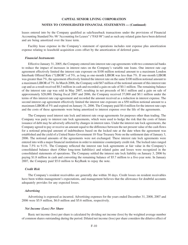### **NOTES TO CONSOLIDATED FINANCIAL STATEMENTS — (Continued)**

leases entered into by the Company qualified as sale/leaseback transactions under the provisions of Financial Accounting Standard No. 98 "Accounting for Leases" ("FAS 98") and as such any related gains have been deferred and are being amortized over the lease term.

Facility lease expense in the Company's statement of operations includes rent expense plus amortization expense relating to leasehold acquisition costs offset by the amortization of deferred gains.

### *Financial Instruments*

Effective January 31, 2005, the Company entered into interest rate cap agreements with two commercial banks to reduce the impact of increases in interest rates on the Company's variable rate loans. One interest rate cap agreement effectively limited the interest rate exposure on \$100 million notional amount to a maximum London Interbank Offered Rate ("LIBOR") of 5%, as long as one-month LIBOR was less than 7%. If one-month LIBOR was greater than 7%, the agreement effectively limited the interest rate on the same \$100 million notional amount to a maximum LIBOR of 7%. In March 2006, the Company sold \$67 million of the notional amount of this interest rate cap and as a result received \$0.3 million in cash and recorded a gain on sale of \$0.1 million. The remaining balance of the interest rate cap was sold in May 2007, resulting in net proceeds of \$0.1 million and a gain on sale of approximately \$28,000. During fiscal 2007 and 2006, the Company received 37,000 and \$0.1 million under the terms of this interest rate cap agreement and recorded the amount received as a reduction in interest expense. The second interest cap agreement effectively limited the interest rate exposure on a \$50 million notional amount to a maximum LIBOR of 5% and expired on January 31, 2006. The Company paid \$0.4 million for the interest rate caps and the costs of these agreements were being amortized to interest expense over the life of the agreements.

The Company used interest rate lock and interest rate swap agreements for purposes other than trading. The Company was party to interest rate lock agreements, which were used to hedge the risk that the costs of future issuance of debt may be adversely affected by changes in interest rates. Under the interest rate lock agreements, the Company agreed to pay or receive an amount equal to the difference between the net present value of the cash flows for a notional principal amount of indebtedness based on the locked rate at the date when the agreement was established and the yield of a United States Government 10-Year Treasury Note on the settlement date of January 3, 2006. The notional amounts of the agreements were not exchanged. These interest rate lock agreements were entered into with a major financial institution in order to minimize counterparty credit risk. The locked rates ranged from 7.5% to 9.1%. The Company reflected the interest rate lock agreements at fair value in the Company's consolidated balance sheet (Other long-term liabilities) and related gains and losses were recognized in the consolidated statements of operations. The Company settled the interest rate lock liability on January 3, 2006 by paying \$1.8 million in cash and converting the remaining balance of \$5.7 million to a five-year note. In January 2007, the Company paid \$5.0 million to KeyBank to repay the note.

### *Credit Risk*

The Company's resident receivables are generally due within 30 days. Credit losses on resident receivables have been within management's expectations, and management believes that the allowance for doubtful accounts adequately provides for any expected losses.

### *Advertising*

Advertising is expensed as incurred. Advertising expenses for the years ended December 31, 2008, 2007 and 2006 were \$5.9 million, \$6.0 million and \$5.6 million, respectively.

### *Net Income (Loss) Per Share*

Basic net income (loss) per share is calculated by dividing net income (loss) by the weighted average number of common shares outstanding during the period. Diluted net income (loss) per share considers the dilutive effect of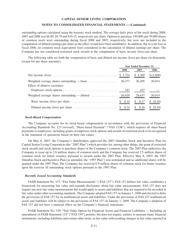### **NOTES TO CONSOLIDATED FINANCIAL STATEMENTS — (Continued)**

outstanding options calculated using the treasury stock method. The average daily price of the stock during 2008, 2007 and 2006 was \$6.89, \$9.79 and \$10.15, respectively, per share. Options to purchase 149,000 and 39,000 shares of common stock were outstanding during fiscal 2008 and 2007, respectively, but were not included in the computation of diluted earnings per share as the effect would have been antidilutive. In addition, due to a net loss in fiscal 2006, no common stock equivalents were considered in the calculation of diluted earnings per share. The Company has not considered restricted stock awards in the computation of basic income (loss) per share.

The following table set forth the computation of basic and diluted net income (loss) per share (in thousands, except for per share amounts):

|                                                                                      | Year Ended December 31, |                   |            |  |
|--------------------------------------------------------------------------------------|-------------------------|-------------------|------------|--|
|                                                                                      | 2008                    | 2007              | 2006       |  |
|                                                                                      |                         | \$4,360           | \$ (2,600) |  |
|                                                                                      | 26,377                  | 26,205            | 26,014     |  |
| Effect of dilutive securities:                                                       |                         |                   |            |  |
|                                                                                      |                         | 432               |            |  |
| Weighted average shares outstanding — diluted $\dots \dots \dots \dots \dots$ 26,620 |                         | 26,637            | 26,014     |  |
|                                                                                      |                         | $\frac{\$}{0.17}$ | \$ (0.10)  |  |
| Diluted income (loss) per share $\dots \dots \dots \dots \dots \dots \dots$ \$ 0.14  |                         | S.<br>0.16        | \$ (0.10)  |  |

#### *Stock-Based Compensation*

The Company accounts for its stock-based compensation in accordance with the provisions of Financial Accounting Standards No. 123 (revised), "Share-based Payment" ("FAS 123R"), which requires all share-based payments to employees, including grants of employee stock options and awards of restricted stock to be recognized in the statement of operations based on their fair values.

On May 8, 2007, the Company's shareholders approved the 2007 Omnibus Stock and Incentive Plan for Capital Senior Living Corporation (the "2007 Plan") which provides for, among other things, the grant of restricted stock awards and stock options to purchase shares of the Company's common stock. The 2007 Plan authorizes the Company to issue up to 2.6 million shares of common stock and the Company has reserved 2.5 million shares of common stock for future issuance pursuant to awards under the 2007 Plan. Effective May 8, 2007, the 1997 Omnibus Stock and Incentive Plan (as amended, the "1997 Plan") was terminated and no additional shares will be granted under the 1997 Plan. The Company has reserved 0.9 million shares of common stock for future issuance upon the exercise of outstanding stock options pursuant to the 1997 Plan.

### *Recently Issued Accounting Standards*

FASB Statement No. 157, "Fair Value Measurements" ("FAS 157"). FAS 157 defines fair value, establishes a framework for measuring fair value and expands disclosures about fair value measurements. FAS 157 does not require any new fair value measurements but would apply to assets and liabilities that are required to be recorded at fair value under other accounting standards. The Company adopted FAS 157 on January 1, 2008 and elected to defer the provisions of FAS 157 for its nonfinancial assets and liabilities. Under the provisions of FAS 157 nonfinancial assets and liabilities will be subject to the provisions of FAS 157 on January 1, 2009. The Company's adoption of FAS 157 did not have a material effect on the Company's financial statements.

FASB Statement No. 159, "Fair Value Option for Financial Assets and Financial Liabilities — Including an amendment of FASB Statement 115" ("FAS 159") permits, but does not require, entities to measure many financial instruments, including liabilities and certain other items, at fair value with resulting changes in fair value reported in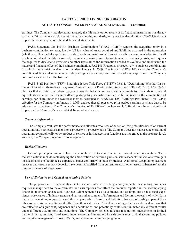# **NOTES TO CONSOLIDATED FINANCIAL STATEMENTS — (Continued)**

earnings. The Company has elected not to apply the fair value option to any of its financial instruments not already carried at fair value in accordance with other accounting standards, and therefore the adoption of FAS 159 did not impact the Company's consolidated financial statements.

FASB Statement No. 141(R) "Business Combinations" ("FAS 141(R)") requires the acquiring entity in a business combination to recognize the full fair value of assets acquired and liabilities assumed in the transaction (whether a full or partial acquisition); establishes the acquisition-date fair value as the measurement objective for all assets acquired and liabilities assumed; requires expensing of most transaction and restructuring costs; and requires the acquirer to disclose to investors and other users all of the information needed to evaluate and understand the nature and financial effect of the business combination. FAS 141(R) applies prospectively to business combinations for which the acquisition date is on or after January 1, 2009. The impact of FAS 141(R) on the Company's consolidated financial statements will depend upon the nature, terms and size of any acquisitions the Company consummates after the effective date.

FASB Staff Position ("FSP") Emerging Issues Task Force ("EITF") 03-6-1, "Determining Whether Instruments Granted in Share-Based Payment Transactions are Participating Securities" ("FSP 03-6-1"). FSP 03-6-1 clarifies that unvested share-based payment awards that contain non-forfeitable rights to dividends or dividend equivalents (whether paid or unpaid) are participating securities and are to be included in the computation of earnings per share under the two-class method described in SFAS No. 128, "Earnings Per Share." This FSP is effective for the Company on January 1, 2009, and requires all presented prior-period earnings per share data to be adjusted retrospectively. The Company's adoption of FSP 03-6-1 on January 1, 2009, did not have a significant impact on the Company's consolidated financial statements.

## *Segment Information*

The Company evaluates the performance and allocates resources of its senior living facilities based on current operations and market assessments on a property-by-property basis. The Company does not have a concentration of operations geographically or by product or service as its management functions are integrated at the property level. As such, the Company operates in one segment.

### *Reclassifications*

Certain prior year amounts have been reclassified to conform to the current year presentation. These reclassifications include reclassifying the amortization of deferred gains on sale leaseback transactions from gain on sale of assets to facility lease expense to better conform with industry practice. Additionally, capital replacement reserves and certain escrow deposits have been reclassified from current assets to other assets to better reflect the long-term nature of these assets.

### *Use of Estimates and Critical Accounting Policies*

The preparation of financial statements in conformity with U.S. generally accepted accounting principles requires management to make estimates and assumptions that affect the amounts reported in the accompanying financial statements and related footnotes. Management bases its estimates and assumptions on historical experience, observance of industry trends and various other sources of information and factors, the results of which form the basis for making judgments about the carrying value of assets and liabilities that are not readily apparent from other sources. Actual results could differ from these estimates. Critical accounting policies are defined as those that are reflective of significant judgments and uncertainties, and potentially could result in materially different results under different assumptions and conditions. The Company believes revenue recognition, investments in limited partnerships, leases, long-lived assets, income taxes and assets held for sale are its most critical accounting policies and require management's most difficult, subjective and complex judgments.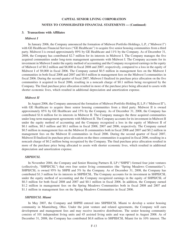### **NOTES TO CONSOLIDATED FINANCIAL STATEMENTS — (Continued)**

### **3. Transactions with Affiliates**

### *Midwest I*

In January 2006, the Company announced the formation of Midwest Portfolio Holdings, L.P., ("Midwest I") with GE Healthcare Financial Services ("GE Healthcare") to acquire five senior housing communities from a third party. Midwest I is owned approximately 89% by GE Healthcare and 11% by the Company. As of December 31, 2008, the Company has contributed \$2.7 million for its interests in Midwest I. The Company manages the five acquired communities under long-term management agreements with Midwest I. The Company accounts for its investment in Midwest I under the equity method of accounting and the Company recognized earnings in the equity of Midwest I of \$0.2 million and \$8,000 in fiscal 2008 and 2007, respectively, compared to a loss in the equity of Midwest I of \$9,000 in fiscal 2006. The Company earned \$0.5 million in management fees on the Midwest I communities in both fiscal 2008 and 2007 and \$0.4 million in management fees on the Midwest I communities in fiscal 2006. During the second quarter of fiscal 2007, Midwest I finalized its purchase price allocation on the five communities it acquired in fiscal 2006, resulting in a noncash charge of \$0.1 million being recognized by the Company. The final purchase price allocation resulted in more of the purchase price being allocated to assets with shorter economic lives, which resulted in additional depreciation and amortization expense.

### *Midwest II*

In August 2006, the Company announced the formation of Midwest Portfolio Holding II, L.P. ("Midwest II"), with GE Healthcare to acquire three senior housing communities from a third party. Midwest II is owned approximately 85% by GE Healthcare and 15% by the Company. As of December 31, 2008, the Company has contributed \$1.6 million for its interests in Midwest II. The Company manages the three acquired communities under long-term management agreements with Midwest II. The Company accounts for its investment in Midwest II under the equity method of accounting and the Company recognized a loss in the equity of Midwest II of \$0.1 million, \$0.3 million and \$0.1 million in fiscal 2008, 2007 and 2006, respectively. The Company earned \$0.5 million in management fees on the Midwest II communities both in fiscal 2008 and 2007 and \$0.2 million in management fees on the Midwest II communities in fiscal 2006. During the second quarter of fiscal 2007, Midwest II finalized its purchase price allocation on the three communities it acquired in fiscal 2006, resulting in a noncash charge of \$0.2 million being recognized by the Company. The final purchase price allocation resulted in more of the purchase price being allocated to assets with shorter economic lives, which resulted in additional depreciation and amortization expense.

### *SHPII/CSL*

In November 2004, the Company and Senior Housing Partners II, LP ("SHPII") formed four joint ventures (collectively, "SHPII/CSL") that own four senior living communities (the "Spring Meadows Communities"). SHPII/CSL is owned 95% by SHPII and 5% by the Company. As of December 31, 2008, the Company has contributed \$1.3 million for its interests in SHPII/CSL. The Company accounts for its investment in SHPII/CSL under the equity method of accounting and the Company recognized earnings in the equity of SHPII/CSL of \$0.3 million for both fiscal 2008 and 2007 and \$0.1 million in fiscal 2006. In addition, the Company earned \$1.2 million in management fees on the Spring Meadows Communities both in fiscal 2008 and 2007 and \$1.1 million in management fees on the Spring Meadows Communities in fiscal 2006.

### *SHPIII/CSL Miami*

In May 2007, the Company and SHPIII entered into SHPIII/CSL Miami to develop a senior housing community in Miamisburg, Ohio. Under the joint venture and related agreements, the Company will earn development and management fees and may receive incentive distributions. The senior housing community consists of 101 independent living units and 45 assisted living units and was opened in August 2008. As of December 31, 2008, the Company has contributed \$0.8 million to SHPIII/CSL Miami for its 10% interest. The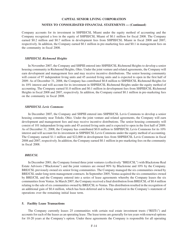### **NOTES TO CONSOLIDATED FINANCIAL STATEMENTS — (Continued)**

Company accounts for its investment in SHPIII/CSL Miami under the equity method of accounting and the Company recognized a loss in the equity of SHPIII/CSL Miami of \$0.1 million for fiscal 2008. The Company earned \$0.2 million and \$0.7 million in development fees from SHPIII/CSL Miami in fiscal 2008 and 2007, respectively. In addition, the Company earned \$0.1 million in pre-marketing fees and \$0.1 in management fees on the community in fiscal 2008.

### *SHPIII/CSL Richmond Heights*

In November 2007, the Company and SHPIII entered into SHPIII/CSL Richmond Heights to develop a senior housing community in Richmond Heights, Ohio. Under the joint venture and related agreements, the Company will earn development and management fees and may receive incentive distributions. The senior housing community will consist of 97 independent living units and 45 assisted living units and is expected to open in the first half of 2009. As of December 31, 2008, the Company has contributed \$0.8 million to SHPIII/CSL Richmond Heights for its 10% interest and will account for its investment in SHPIII/CSL Richmond Heights under the equity method of accounting. The Company earned \$1.0 million and \$0.1 million in development fees from SHPIII/CSL Richmond Heights in fiscal 2008 and 2007, respectively. In addition, the Company earned \$0.1 million in pre-marketing fees on the community in fiscal 2008.

### *SHPIII/CSL Levis Commons*

In December 2007, the Company and SHPIII entered into SHPIII/CSL Levis Commons to develop a senior housing community near Toledo, Ohio. Under the joint venture and related agreements, the Company will earn development and management fees and may receive incentive distributions. The senior housing community will consist of 101 independent living units and 45 assisted living units and is expected to open in the first half of 2009. As of December 31, 2008, the Company has contributed \$0.8 million to SHPIII/CSL Levis Commons for its 10% interest and will account for its investment in SHPIII/CSL Levis Commons under the equity method of accounting. The Company earned \$1.1 million and \$22,000 in development fees from SHPIII/CSL Levis Commons in fiscal 2008 and 2007, respectively. In addition, the Company earned \$0.1 million in pre-marketing fees on the community in fiscal 2008.

### *BRE/CSL*

In December 2001, the Company formed three joint ventures (collectively "BRE/CSL") with Blackstone Real Estate Advisors ("Blackstone") and the joint ventures are owned 90% by Blackstone and 10% by the Company. BRE/CSL previously owned six senior living communities. The Company managed the six communities owned by BRE/CSL under long-term management contracts. In September 2005, Ventas acquired the six communities owned by BRE/CSL and the Company entered into a series of lease agreements whereby the Company leases the six communities from Ventas. In March 2007, the Company received a final distribution from BRE/CSL of \$0.4 million relating to the sale of six communities owned by BRE/CSL to Ventas. This distribution resulted in the recognition of an additional gain of \$0.4 million, which has been deferred and is being amortized in the Company's statement of operations over the remaining initial lease term.

### **5. Facility Lease Transactions**

The Company currently leases 25 communities with certain real estate investment trusts ("REITs") and accounts for each of the leases as an operating lease. The lease terms are generally for ten years with renewal options for 10-20 years at the Company's option. Under these agreements the Company is responsible for all operating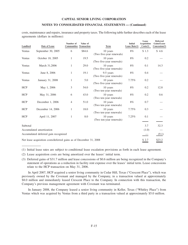# **NOTES TO CONSOLIDATED FINANCIAL STATEMENTS — (Continued)**

costs, maintenance and repairs, insurance and property taxes. The following table further describes each of the lease agreements (dollars in millions):

| Landlord   | Date of Lease                                                      | Number of<br><b>Communities</b> | Value of<br><b>Transaction</b> | <b>Term</b>                           | <b>Initial</b><br>Lease $Rate(1)$ | Lease<br><b>Acquisition</b><br>Costs(2) | <b>Deferred</b><br>Gains/Lease<br>Concession(3) |
|------------|--------------------------------------------------------------------|---------------------------------|--------------------------------|---------------------------------------|-----------------------------------|-----------------------------------------|-------------------------------------------------|
| Ventas     | September 30, 2005                                                 | 6                               | \$84.6                         | 10 years<br>(Two five-year renewals)  | 8%                                | \$1.3                                   | \$4.6                                           |
| Ventas     | October 18, 2005                                                   | 1                               | 19.5                           | 10 years<br>(Two five-year renewals)  | 8%                                | 0.2                                     |                                                 |
| Ventas     | March 31,2006                                                      | $\mathbf{1}$                    | 29.0                           | 10 years<br>(Two five-year renewals)  | 8%                                | 0.1                                     | 14.3                                            |
| Ventas     | June 8, 2006                                                       | $\mathbf{1}$                    | 19.1                           | 9.5 years<br>(Two five-year renewals) | 8%                                | 0.4                                     |                                                 |
| Ventas     | January 31, 2008                                                   | 1                               | 5.0                            | 10 years<br>(Two five-year renewals)  | 7.75%                             | 0.2                                     |                                                 |
| <b>HCP</b> | May 1, 2006                                                        | 3                               | 54.0                           | 10 years<br>(Two ten-year renewals)   | 8%                                | 0.2                                     | 12.8                                            |
| <b>HCP</b> | May 31, 2006                                                       | 6                               | 43.0                           | 10 years<br>(Two ten-year renewals)   | $8\%$                             | 0.2                                     | 0.6                                             |
| <b>HCP</b> | December 1, 2006                                                   | $\overline{4}$                  | 51.0                           | 10 years<br>(Two ten-year renewals)   | 8%                                | 0.7                                     |                                                 |
| <b>HCP</b> | December 14, 2006                                                  | $\mathbf{1}$                    | 18.0                           | 10 years<br>(Two ten-year renewals)   | 7.75%                             | 0.3                                     |                                                 |
| <b>HCP</b> | April 11, 2007                                                     | 1                               | 8.0                            | 10 years<br>(Two ten-year renewals)   | 7.25%                             | 0.1                                     |                                                 |
| Subtotal   |                                                                    |                                 |                                |                                       |                                   | 3.7                                     | 32.3                                            |
|            | Accumulated amortization                                           |                                 |                                |                                       |                                   | (1.0)                                   |                                                 |
|            | Accumulated deferred gain recognized                               |                                 |                                |                                       |                                   |                                         | (9.1)                                           |
|            | Net lease acquisition costs/deferred gains as of December 31, 2008 |                                 |                                |                                       |                                   | \$2.7                                   | \$23.2                                          |

(1) Initial lease rates are subject to conditional lease escalation provisions as forth in each lease agreement.

In April 2007, HCP acquired a senior living community in Cedar Hill, Texas ("Crescent Place"), which was previously owned by the Covenant and managed by the Company, in a transaction valued at approximately \$8.0 million and immediately leased Crescent Place to the Company. In connection with this transaction, the Company's previous management agreement with Covenant was terminated.

In January 2008, the Company leased a senior living community in Keller, Texas ("Whitley Place") from Ventas which was acquired by Ventas from a third party in a transaction valued at approximately \$5.0 million.

<sup>(2)</sup> Lease acquisition costs are being amortized over the leases' initial term.

<sup>(3)</sup> Deferred gains of \$31.7 million and lease concessions of \$0.6 million are being recognized in the Company's statement of operations as a reduction in facility rent expense over the leases' initial term. Lease concessions relate to the HCP transaction on May 31, 2006.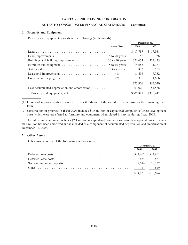# **NOTES TO CONSOLIDATED FINANCIAL STATEMENTS — (Continued)**

# **6. Property and Equipment**

Property and equipment consists of the following (in thousands):

|                                                              |                    |           | December 31. |
|--------------------------------------------------------------|--------------------|-----------|--------------|
|                                                              | <b>Asset Lives</b> | 2008      | 2007         |
|                                                              |                    | \$17,787  | \$17,981     |
| Land improvements                                            | 5 to 20 years      | 1,158     | 936          |
| Buildings and building improvements                          | 10 to 40 years     | 326,654   | 324,435      |
|                                                              | 5 to 10 years      | 14.683    | 11,767       |
|                                                              | 5 to 7 years       | 833       | 553          |
| Leasehold improvements                                       | (1)                | 11,456    | 7.752        |
|                                                              | (2)                | 330       | 1,606        |
|                                                              |                    | 372,901   | 365,030      |
| Less accumulated depreciation and amortization $\dots \dots$ |                    | 67,020    | 54,588       |
|                                                              |                    | \$305,881 | \$310,442    |

(1) Leasehold improvements are amortized over the shorter of the useful life of the asset or the remaining lease term.

(2) Construction in progress in fiscal 2007 includes \$1.6 million of capitalized computer software development costs which were transferred to furniture and equipment when placed in service during fiscal 2008.

Furniture and equipment includes \$2.1 million in capitalized computer software development costs of which \$0.4 million has been amortized and is included as a component of accumulated depreciation and amortization at December 31, 2008.

## **7. Other Assets**

Other assets consist of the following (in thousands):

| December 31, |          |
|--------------|----------|
| 2008         | 2007     |
|              |          |
|              | 2,887    |
| 9.674        | 10.357   |
|              | 629      |
| \$14,831     | \$16,674 |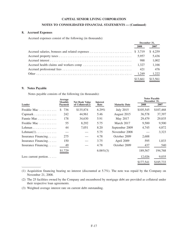# **NOTES TO CONSOLIDATED FINANCIAL STATEMENTS — (Continued)**

# **8. Accrued Expenses**

Accrued expenses consist of the following (in thousands):

| December 31. |          |
|--------------|----------|
| 2008         | 2007     |
|              | \$4,259  |
| 5.957        | 5,436    |
| 988          | 1.002    |
| 1,327        | 1,166    |
| 421          | 476      |
|              | 1,222    |
| \$13.661     | \$13,561 |

# **9. Notes Payable**

Notes payable consists of the following (in thousands):

|                                | Average<br><b>Monthly</b> | <b>Net Book Value</b> | <b>Interest</b> |                      |           | <b>Notes Payable</b><br>December 31, |
|--------------------------------|---------------------------|-----------------------|-----------------|----------------------|-----------|--------------------------------------|
| Lender                         | <b>Payment</b>            | of Collateral(2)      | Rate            | <b>Maturity Date</b> | 2008      | 2007                                 |
| Freddie Mac $\ldots$           | 736<br>S.                 | \$135,874             | $6.29\%$        | July 2015            | \$105,545 | \$107,468                            |
| Capmark                        | 242                       | 44,961                | 5.46            | August 2015          | 36,578    | 37,397                               |
| Fannie Mae                     | 178                       | 34,630                | 5.91            | May 2017             | 29,479    | 29,835                               |
| Freddie Mac                    | 55                        | 8,292                 | 5.75            | March 2017           | 9,500     | 9,500                                |
| Lehman                         | 44                        | 7,051                 | 8.20            | September 2009       | 4,745     | 4,872                                |
| $Lehman(1)$                    | $-$                       |                       | 5.75            | November 2008        |           | 3,323                                |
| Insurance Financing $\ldots$ . | 275                       |                       | 4.78            | October 2009         | 2,688     |                                      |
| Insurance Financing $\ldots$ . | 150                       |                       | 3.75            | April 2009           | 595       | 1,833                                |
| Insurance Financing            | 49                        |                       | 4.78            | October 2009         | 437       | 540                                  |
|                                | \$1,729                   |                       | $6.06\%$ (3)    |                      | 189,567   | 194,768                              |
| Less current portion $\dots$   |                           |                       |                 |                      | 12,026    | 9,035                                |
|                                |                           |                       |                 |                      | \$177,541 | \$185,733                            |

(1) Acquisition financing bearing no interest (discounted at 5.7%). The note was repaid by the Company on November 21, 2008.

(2) The 25 facilities owned by the Company and encumbered by mortgage debt are provided as collateral under their respective loan agreements.

(3) Weighted average interest rate on current debt outstanding.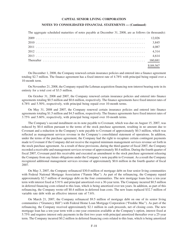# **NOTES TO CONSOLIDATED FINANCIAL STATEMENTS — (Continued)**

The aggregate scheduled maturities of notes payable at December 31, 2008, are as follows (in thousands):

| \$189.567 |
|-----------|

On December 1, 2008, the Company renewed certain insurance policies and entered into a finance agreement totaling \$2.7 million. The finance agreement has a fixed interest rate of 4.78% with principal being repaid over a 10-month term.

On November 21, 2008, the Company repaid the Lehman acquisition financing non-interest bearing note in its entirety for a total cost of \$3.5 million.

On October 31, 2008 and 2007, the Company renewed certain insurance policies and entered into finance agreements totaling \$0.5 million and \$0.6 million, respectively. The finance agreements have fixed interest rates of 4.78% and 5.50%, respectively, with principal being repaid over 10-month terms.

On May 31, 2008 and 2007, the Company renewed certain insurance policies and entered into finance agreements totaling \$1.5 million and \$4.5 million, respectively. The finance agreements have fixed interest rates of 3.75% and 5.60%, respectively, with principal being repaid over 10-month terms.

The Company's second installment on its note payable to Covenant, which was due on August 15, 2007, was reduced by \$0.4 million pursuant to the terms of the stock purchase agreement, resulting in no amount due to Covenant and a reduction in the Company's note payable to Covenant of approximately \$0.3 million, which was reflected as management services revenue in the Company's consolidated statement of operations. In addition, under the terms of the purchase agreement, the Company had the right to recapture certain contingent payments made to Covenant if the Company did not receive the required minimum management services revenue set forth in the stock purchase agreement. As a result of these provisions, during the third quarter of fiscal 2007, the Company recorded a receivable and management services revenue of approximately \$0.4 million. During the fourth quarter of fiscal 2007, Covenant paid this receivable and executed an amendment to the stock purchase agreement releasing the Company from any future obligations under the Company's note payable to Covenant. As a result the Company recognized additional management services revenue of approximately \$0.6 million in the fourth quarter of fiscal 2007.

On May 3, 2007, the Company refinanced \$30.0 million of mortgage debt on four senior living communities with Federal National Mortgage Association ("Fannie Mae"). As part of the refinancing, the Company repaid approximately \$2.7 million of mortgage debt on the four communities. The new mortgage loans have a ten-year term with interest fixed at 5.91% and principal amortized over a 30-year term. The Company incurred \$0.5 million in deferred financing costs related to this loan, which is being amortized over ten years. In addition, as part of this refinancing, the Company wrote-off \$0.4 million in deferred loan costs. The new loans replaced \$32.7 million of variable rate debt with an effective interest rate of 7.6%.

On March 21, 2007, the Company refinanced \$9.5 million of mortgage debt on one of its senior living communities ("Gramercy Hill") with Federal Home Loan Mortgage Corporation ("Freddie Mac"). As part of the refinancing, the Company received approximately \$2.1 million in cash proceeds, net of closing costs. The new mortgage loan has a ten-year term with a one-year extension available at the Company's option, interest fixed at 5.75% and requires interest only payments in the first two years with principal amortized thereafter over a 25-year term. The Company incurred \$0.2 million in deferred financing costs related to this loan, which is being amortized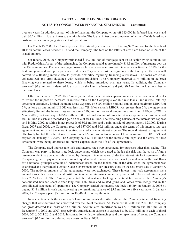# **NOTES TO CONSOLIDATED FINANCIAL STATEMENTS — (Continued)**

over ten years. In addition, as part of this refinancing, the Company wrote-off \$13,000 in deferred loan costs and paid \$0.2 million in loan exit fees to the prior lender. The loan exit fees are a component of write-off of deferred loan costs in the accompanying statement of operations.

On March 15, 2007, the Company issued three standby letters of credit, totaling \$2.2 million, for the benefit of HCP on certain leases between HCP and the Company. The fees on the letters of credit are based on 2.0% of the issued amount.

On June 9, 2006, the Company refinanced \$110.0 million of mortgage debt on 15 senior living communities with Freddie Mac. As part of the refinancing, the Company repaid approximately \$14.8 million of mortgage debt on the 15 communities. The new mortgage loans each have a ten-year term with interest rates fixed at 6.29% for the first nine years and with principal amortized over a 25-year term. At the beginning of the tenth year, the loans will convert to a floating interest rate to provide flexibility regarding financing alternatives. The loans are crosscollateralized and cross-defaulted with release provisions. The Company incurred \$1.9 million in deferred financing costs related to these loans, which is being amortized over ten years. In addition, the Company wrote-off \$0.8 million in deferred loan costs on the loans refinanced and paid \$0.2 million in loan exit fees to the prior lender.

Effective January 31, 2005, the Company entered into interest rate cap agreements with two commercial banks to reduce the impact of increases in interest rates on the Company's variable rate loans. One interest rate cap agreement effectively limited the interest rate exposure on \$100 million notional amount to a maximum LIBOR of 5%, as long as one-month LIBOR was less than 7%. If one-month LIBOR was greater than 7%, the agreement effectively limited the interest rate on the same \$100 million notional amount to a maximum LIBOR of 7%. In March 2006, the Company sold \$67 million of the notional amount of this interest rate cap and as a result received \$0.3 million in cash and recorded a gain on sale of \$0.1 million. The remaining balance of the interest rate cap was sold in May 2007, resulting in net proceeds of \$0.1 million and a gain on sale of approximately \$28,000. During fiscal 2007 and 2006, the Company received \$37,000 and \$0.1 million under the terms of this interest rate cap agreement and recorded the amount received as a reduction in interest expense. The second interest cap agreement effectively limited the interest rate exposure on a \$50 million notional amount to a maximum LIBOR of 5% and expired on January 31, 2006. The Company paid \$0.4 million for the interest rate caps and the costs of these agreements were being amortized to interest expense over the life of the agreements.

The Company used interest rate lock and interest rate swap agreements for purposes other than trading. The Company was party to interest rate lock agreements, which were used to hedge the risk that the costs of future issuance of debt may be adversely affected by changes in interest rates. Under the interest rate lock agreements, the Company agreed to pay or receive an amount equal to the difference between the net present value of the cash flows for a notional principal amount of indebtedness based on the locked rate at the date when the agreement was established and the yield of a United States Government 10-Year Treasury Note on the settlement date of January 3, 2006. The notional amounts of the agreements were not exchanged. These interest rate lock agreements were entered into with a major financial institution in order to minimize counterparty credit risk. The locked rates ranged from 7.5% to 9.1%. The Company reflected the interest rate lock agreements at fair value in the Company's consolidated balance sheet (Other long-term liabilities) and related gains and losses were recognized in the consolidated statements of operations. The Company settled the interest rate lock liability on January 3, 2006 by paying \$1.8 million in cash and converting the remaining balance of \$5.7 million to a five-year note. In January 2007, the Company paid \$5.0 million to KeyBank to repay the note.

In connection with the Company's loan commitments described above, the Company incurred financing charges that were deferred and amortized over the life of the notes. At December 31, 2008 and 2007, the Company had gross deferred loan costs of \$3.4 million. Accumulated amortization was \$0.9 million and \$0.6 million at December 31, 2008 and 2007, respectively. Amortization expense is expected to be \$0.3 million in each of fiscal 2009, 2010, 2011 2012 and 2013. In connection with the refinancings and the repayment of notes, the Company wrote-off \$0.5 million in deferred loan costs in fiscal 2007.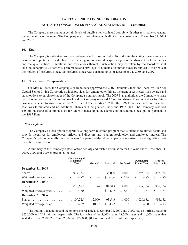## **NOTES TO CONSOLIDATED FINANCIAL STATEMENTS — (Continued)**

The Company must maintain certain levels of tangible net worth and comply with other restrictive covenants under the terms of the notes. The Company was in compliance with all of its debt covenants at December 31, 2008 and 2007.

#### **10. Equity**

The Company is authorized to issue preferred stock in series and to fix and state the voting powers and such designations, preferences and relative participating, optional or other special rights of the shares of each such series and the qualifications, limitations and restrictions thereof. Such action may be taken by the Board without stockholder approval. The rights, preferences and privileges of holders of common stock are subject to the rights of the holders of preferred stock. No preferred stock was outstanding as of December 31, 2008 and 2007.

#### **11. Stock-Based Compensation**

On May 8, 2007, the Company's shareholders approved the 2007 Omnibus Stock and Incentive Plan for Capital Senior Living Corporation which provides for, among other things, the grant of restricted stock awards and stock options to purchase shares of the Company's common stock. The 2007 Plan authorizes the Company to issue up to 2.6 million shares of common stock and the Company reserved 2.5 million shares of common stock for future issuance pursuant to awards under the 2007 Plan. Effective May 8, 2007, the 1997 Omnibus Stock and Incentive Plan was terminated and no additional shares will be granted under the 1997 Plan. The Company reserved 1.0 million shares of common stock for future issuance upon the exercise of outstanding stock options pursuant to the 1997 Plan.

#### *Stock Options*

The Company's stock option program is a long-term retention program that is intended to attract, retain and provide incentives for employees, officers and directors and to align stockholder and employee interest. The Company's options generally vest over one to five years and the related expense is amortized on a straight-line basis over the vesting period.

A summary of the Company's stock option activity and related information for the years ended December 31, 2008, 2007 and 2006 is presented below:

|                          | Outstanding at<br><b>Beginning</b> of<br>Year | <b>Granted</b> | <b>Exercised</b> | <b>Forfeited</b> | Outstanding<br><b>End of Year</b> | <b>Options</b><br><b>Exercisable</b> |
|--------------------------|-----------------------------------------------|----------------|------------------|------------------|-----------------------------------|--------------------------------------|
| December 31, 2008        |                                               |                |                  |                  |                                   |                                      |
|                          | 937,334                                       |                | 38,000           | 4,000            | 895,334                           | 895,334                              |
| Weighted average price   | 4.87<br><sup>S</sup>                          | \$.            | \$.<br>6.06      | \$3.69           | \$<br>4.83                        | 4.83<br>\$.                          |
| <b>December 31, 2007</b> |                                               |                |                  |                  |                                   |                                      |
|                          | 1,026,682                                     |                | 81.348           | 8,000            | 937,334                           | 932,334                              |
| Weighted average price   | 4.80<br><sup>S</sup>                          | \$             | S.<br>4.07       | \$3.40           | \$.<br>4.87                       | 4.87<br>S                            |
| <b>December 31, 2006</b> |                                               |                |                  |                  |                                   |                                      |
|                          | 1,109,225                                     | 12,000         | 93,543           | 1.000            | 1,026,682                         | 995,182                              |
| Weighted average price   | 4.69                                          | \$10.97        | 4.27<br>S        | \$2.73           | \$<br>4.80                        | 4.73<br>S                            |

The options outstanding and the options exercisable at December 31, 2008 and 2007, had an intrinsic value of \$250,000 and \$4.8 million, respectively. The fair value of the 5,000 shares, 18,500 shares and 41,000 shares that vested in fiscal 2008, 2007 and 2006 was \$29,000, \$0.2 million and \$0.2 million, respectively.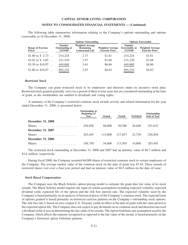## **NOTES TO CONSOLIDATED FINANCIAL STATEMENTS — (Continued)**

The following table summarizes information relating to the Company's options outstanding and options exercisable as of December 31, 2008.

| <b>Options Outstanding</b>                |                                                    |                                                                 |                                                  | <b>Options Exercisable</b>                         |                                                  |
|-------------------------------------------|----------------------------------------------------|-----------------------------------------------------------------|--------------------------------------------------|----------------------------------------------------|--------------------------------------------------|
| <b>Range of Exercise</b><br><b>Prices</b> | <b>Number</b><br><b>Outstanding at</b><br>12/31/08 | <b>Weighted Average</b><br>Remaining<br><b>Contractual Life</b> | <b>Weighted Average</b><br><b>Exercise Price</b> | <b>Number</b><br><b>Exercisable at</b><br>12/31/08 | <b>Weighted Average</b><br><b>Exercise Price</b> |
| \$1.80 to \$2.73.                         | 214,224                                            | 2.73                                                            | \$1.81                                           | 214,224                                            | \$1.81                                           |
| \$3.02 to \$4.85.                         | 231,230                                            | 1.57                                                            | \$3.68                                           | 231,230                                            | \$3.68                                           |
| \$5.30 to $$10.97$                        | 449,880                                            | 3.61                                                            | \$6.86                                           | 449,880                                            | \$6.86                                           |
| \$1.80 to \$10.97 $\ldots$                | 895,334                                            | 2.87                                                            | \$4.83                                           | 895,334                                            | \$4.83                                           |

#### *Restricted Stock*

The Company can grant restricted stock to its employees and directors under its incentive stock plan. Restricted stock granted generally vest over a period of three to four years but are considered outstanding at the time of grant, as the stockholders are entitled to dividends and voting rights.

A summary of the Company's restricted common stock awards activity and related information for the year ended December 31, 2008, is presented below:

|                          | Outstanding at<br><b>Beginning of</b><br><b>Year</b> | <b>Issued</b> | <b>Vested</b> | <b>Forfeited</b> | Outstanding<br><b>End of Year</b> |
|--------------------------|------------------------------------------------------|---------------|---------------|------------------|-----------------------------------|
| <b>December 31, 2008</b> |                                                      |               |               |                  |                                   |
|                          | 256,858                                              | 66,000        | 50.586        | 20,640           | 251,632                           |
| December 31, 2007        |                                                      |               |               |                  |                                   |
|                          | 283,445                                              | 113,000       | 117,857       | 21,730           | 256,858                           |
| December 31, 2006        |                                                      |               |               |                  |                                   |
| <b>Shares</b>            | 356,750                                              | 54,000        | 113,305       | 14,000           | 283,445                           |

The restricted stock outstanding at December 31, 2008 and 2007 had an intrinsic value of \$0.7 million and \$2.6 million, respectively.

During fiscal 2008, the Company awarded 66,000 shares of restricted common stock to certain employees of the Company. The average market value of the common stock on the date of grant was \$7.45. These awards of restricted shares vest over a four-year period and had an intrinsic value of \$0.5 million on the date of issue.

#### *Stock Based Compensation*

The Company uses the Black-Scholes option pricing model to estimate the grant date fair value of its stock awards. The Black-Scholes model requires the input of certain assumptions including expected volatility, expected dividend yield, expected life of the option and the risk free interest rate. The expected volatility used by the Company is based primarily on an analysis of historical prices of the Company's common stock. The expected term of options granted is based primarily on historical exercise patterns on the Company's outstanding stock options. The risk free rate is based on zero-coupon U.S. Treasury yields in effect at the date of grant with the same period as the expected option life. The Company does not expect to pay dividends on its common stock and therefore has used a dividend yield of zero in determining the fair value of its awards. The option forfeiture rate assumption used by the Company, which affects the expense recognized as opposed to the fair value of the award, is based primarily on the Company's historical option forfeiture patterns.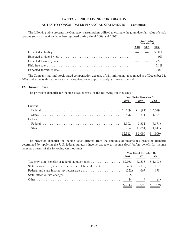# **NOTES TO CONSOLIDATED FINANCIAL STATEMENTS — (Continued)**

The following table presents the Company's assumptions utilized to estimate the grant date fair value of stock options (no stock options have been granted during fiscal 2008 and 2007):

|      | <b>Year Ended</b><br>December 31. |         |
|------|-----------------------------------|---------|
| 2008 | 2007                              | 2006    |
|      |                                   | 50.8%   |
|      |                                   | $0\%$   |
|      |                                   | 7.5     |
|      |                                   | 5.1%    |
|      |                                   | $2.0\%$ |

The Company has total stock-based compensation expense of \$1.1 million not recognized as of December 31, 2008 and expects this expense to be recognized over approximately a four-year period.

## **12. Income Taxes**

The provision (benefit) for income taxes consists of the following (in thousands):

|           | <b>Year Ended December 31,</b> |                             |         |
|-----------|--------------------------------|-----------------------------|---------|
|           | 2008                           | 2007                        | 2006    |
| Current:  |                                |                             |         |
|           |                                |                             |         |
|           |                                |                             |         |
| Deferred: |                                |                             |         |
|           |                                |                             |         |
|           |                                | (1,051)                     | (1,141) |
|           |                                | $$2,313$ $$3,090$ $$$ (909) |         |

The provision (benefit) for income taxes differed from the amounts of income tax provision (benefit) determined by applying the U.S. federal statutory income tax rate to income (loss) before benefit for income taxes as a result of the following (in thousands):

|                                                                                            | Year Ended December 31, |         |           |
|--------------------------------------------------------------------------------------------|-------------------------|---------|-----------|
|                                                                                            | 2008                    | 2007    | 2006      |
| Tax provision (benefit) at federal statutory rates $\dots \dots \dots \dots \dots$ \$2,053 |                         | \$2,533 | \$(1,193) |
| State income tax (benefit) expense, net of federal effects                                 | 463                     | (119)   | 107       |
|                                                                                            | (222)                   | 667     | 178       |
|                                                                                            |                         |         |           |
|                                                                                            | - 14                    | 9       | (1)       |
|                                                                                            | \$2.313                 | \$3,090 | (909)     |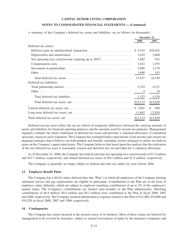## **NOTES TO CONSOLIDATED FINANCIAL STATEMENTS — (Continued)**

|                                                       | December 31, |           |
|-------------------------------------------------------|--------------|-----------|
|                                                       | 2008         | 2007      |
| Deferred tax assets:                                  |              |           |
|                                                       | \$9,143      | \$10,442  |
|                                                       | 1.610        | 2,660     |
| Net operating loss carryforward (expiring up to 2027) | 1,482        | 923       |
|                                                       | 1,614        | 1,393     |
|                                                       | 2,489        | 2,178     |
|                                                       | 1,099        | 553       |
|                                                       | 17,437       | 18,149    |
| Deferred tax liabilities:                             |              |           |
|                                                       | 5,319        | 4,311     |
|                                                       | 4            | 18        |
|                                                       | 5,323        | 4,329     |
|                                                       | \$12,114     | \$13,820  |
|                                                       | \$1,052      | 996<br>S. |
|                                                       | 11,062       | 12,824    |
|                                                       | \$12,114     | \$13,820  |

A summary of the Company's deferred tax assets and liabilities, are as follows (in thousands):

Deferred income taxes reflect the net tax effects of temporary differences between the carrying amounts of assets and liabilities for financial reporting purposes and the amounts used for income tax purposes. Management regularly evaluates the future realization of deferred tax assets and provides a valuation allowance, if considered necessary, based on such evaluation. The Company has evaluated future expectations of net income and various tax planning strategies that it believes are both prudent and feasible, including various strategies to utilize net built-in gains on the Company's appreciated assets. The Company believes that based upon this analysis that the realization of the net deferred tax asset is reasonably assured and therefore has not provided for a valuation allowance.

As of December 31, 2008, the Company has federal and state net operating loss carryforwards of \$1.5 million and \$23.7 million, respectively, and related deferred tax assets of \$0.5 million and \$1.0 million, respectively.

The Company is generally no longer subject to federal and state tax audits for years before 2004.

#### **13. Employee Benefit Plans**

The Company has a 401(k) salary deferral plan (the "Plan") in which all employees of the Company meeting minimum service and age requirements are eligible to participate. Contributions to the Plan are in the form of employee salary deferrals, which are subject to employer matching contributions of up to 2% of the employee's annual salary. The Company's contributions are funded semi-monthly to the Plan administrator. Matching contributions of \$0.4 million, \$0.4 million and \$0.3 million were contributed to the Plan in fiscal 2008, 2007 and 2006, respectively. The Company incurred administrative expenses related to the Plan of \$12,400, \$10,800 and \$10,250 in fiscal 2008, 2007 and 2006, respectively.

## **14. Contingencies**

The Company has claims incurred in the normal course of its business. Most of these claims are believed by management to be covered by insurance, subject to normal reservations of rights by the insurance companies and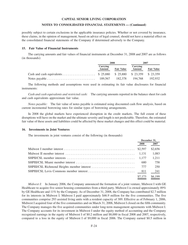## **NOTES TO CONSOLIDATED FINANCIAL STATEMENTS — (Continued)**

possibly subject to certain exclusions in the applicable insurance policies. Whether or not covered by insurance, these claims, in the opinion of management, based on advice of legal counsel, should not have a material effect on the consolidated financial statements of the Company if determined adversely to the Company.

# **15. Fair Value of Financial Instruments**

The carrying amounts and fair values of financial instruments at December 31, 2008 and 2007 are as follows (in thousands):

|                                                                                        | 2008               |                   |                    | 2007              |  |
|----------------------------------------------------------------------------------------|--------------------|-------------------|--------------------|-------------------|--|
|                                                                                        | Carrying<br>Amount | <b>Fair Value</b> | Carrying<br>Amount | <b>Fair Value</b> |  |
| Cash and cash equivalents \$ 25,880 \$ 25,880 \$ 23,359 \$ 23,359                      |                    |                   |                    |                   |  |
| Notes payable $\ldots \ldots \ldots \ldots \ldots \ldots \ldots \ldots \ldots$ 189,567 |                    |                   | 182.378 194.768    | 192.932           |  |

The following methods and assumptions were used in estimating its fair value disclosures for financial instruments:

*Cash and cash equivalents and restricted cash:* The carrying amounts reported in the balance sheet for cash and cash equivalents approximate fair value.

*Notes payable:* The fair value of notes payable is estimated using discounted cash flow analysis, based on current incremental borrowing rates for similar types of borrowing arrangements.

In 2008 the global markets have experienced disruption in the credit markets. The full extent of these disruptions will have on the market and the ultimate severity and length is not predictable. Therefore, the estimated fair value of these assets and liabilities could be affected by these market changes and this effect could be material.

## **16. Investments in Joint Ventures**

The investments in joint ventures consist of the following (in thousands):

| December 31, |         |
|--------------|---------|
| 2008         | $-2007$ |
|              | \$2,656 |
|              | 1,083   |
|              | 1,211   |
| 680          | 758     |
| 777          | 250     |
|              | 241     |
| \$7,173      | \$6,199 |

*Midwest I:* In January 2006, the Company announced the formation of a joint venture, Midwest I with GE Healthcare to acquire five senior housing communities from a third party. Midwest I is owned approximately 89% by GE Healthcare and 11% by the Company. As of December 31, 2008, the Company has contributed \$2.7 million for its interests in Midwest I. Midwest I paid approximately \$46.9 million for the five communities. The five communities comprise 293 assisted living units with a resident capacity of 389. Effective as of February 1, 2006, Midwest I acquired four of the five communities and on March 31, 2006, Midwest I closed on the fifth community. The Company manages the five acquired communities under long-term management agreements with Midwest I. The Company accounts for its investment in Midwest I under the equity method of accounting and the Company recognized earnings in the equity of Midwest I of \$0.2 million and \$8,000 in fiscal 2008 and 2007, respectively, compared to a loss in the equity of Midwest I of \$9,000 in fiscal 2006. The Company earned \$0.5 million in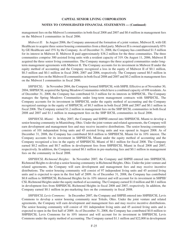# **NOTES TO CONSOLIDATED FINANCIAL STATEMENTS — (Continued)**

management fees on the Midwest I communities in both fiscal 2008 and 2007 and \$0.4 million in management fees on the Midwest I communities in fiscal 2006.

*Midwest II:* In August 2006, the Company announced the formation of a joint venture, Midwest II, with GE Healthcare to acquire three senior housing communities from a third party. Midwest II is owned approximately 85% by GE Healthcare and 15% by the Company. As of December 31, 2008, the Company has contributed \$1.5 million for its interest in Midwest II. Midwest II paid approximately \$38.2 million for the three communities. The three communities comprise 300 assisted living units with a resident capacity of 319. On August 11, 2006, Midwest II acquired the three senior living communities. The Company manages the three acquired communities under longterm management agreements with Midwest II. The Company accounts for its investment in Midwest II under the equity method of accounting and the Company recognized a loss in the equity of Midwest II of \$0.1 million, \$0.3 million and \$0.1 million in fiscal 2008, 2007 and 2006, respectively. The Company earned \$0.5 million in management fees on the Midwest II communities in both fiscal 2008 and 2007 and \$0.2 million in management fees on the Midwest I communities in fiscal 2006.

*SHPII/CSL:* In November 2004, the Company formed SHPII/CSL with SHPII. Effective as of November 30, 2004, SHPII/CSL acquired the Spring Meadows Communities which have a combined capacity of 698 residents. As of December 31, 2008, the Company has contributed \$1.3 million for its interests in SHPII/CSL. The Company manages the Spring Meadows Communities under long-term management contracts with SHPII/CSL. The Company accounts for its investment in SHPII/CSL under the equity method of accounting and the Company recognized earnings in the equity of SHPII/CSL of \$0.3 million in both fiscal 2008 and 2007 and \$0.1 million in fiscal 2006. The Company earned \$1.2 million in management fees on the SHP II/CSL communities in both fiscal 2008 and 2007 and \$1.1 million in management fees on the SHP II/CSL communities in fiscal 2006.

*SHPIII/CSL Miami:* In May 2007, the Company and SHPIII entered into SHPIII/CSL Miami to develop a senior housing community in Miamisburg, Ohio. Under the joint venture and related agreements, the Company will earn development and management fees and may receive incentive distributions. The senior housing community consists of 101 independent living units and 45 assisted living units and was opened in August 2008. As of December 31, 2008, the Company has contributed \$0.8 million to SHPIII/CSL Miami for its 10% interest. The Company accounts for its investment in SHPIII/CSL Miami under the equity method of accounting and the Company recognized a loss in the equity of SHPIII/CSL Miami of \$0.1 million for fiscal 2008. The Company earned \$0.2 million and \$0.7 million in development fees from SHPIII/CSL Miami in fiscal 2008 and 2007, respectively. In addition, the Company earned \$0.1 million in pre-marketing fees and \$0.1 million in management fees on the community in fiscal 2008.

*SHPIII/CSL Richmond Heights:* In November 2007, the Company and SHPIII entered into SHPIII/CSL Richmond Heights to develop a senior housing community in Richmond Heights, Ohio. Under the joint venture and related agreements, the Company will earn development and management fees and may receive incentive distributions. The senior housing community will consist of 97 independent living units and 45 assisted living units and is expected to open in the first half of 2009. As of December 31, 2008, the Company has contributed \$0.8 million to SHPIII/CSL Richmond Heights for its 10% interest and will account for its investment in SHPIII/ CSL Richmond Heights under the equity method of accounting. The Company earned \$1.0 million and \$0.1 million in development fees from SHPIII/CSL Richmond Heights in fiscal 2008 and 2007, respectively. In addition, the Company earned \$0.1 million in pre-marketing fees on the community in fiscal 2008.

*SHPIII/CSL Levis Commons:* In December 2007, the Company and SHPIII entered into SHPIII/CSL Levis Commons to develop a senior housing community near Toledo, Ohio. Under the joint venture and related agreements, the Company will earn development and management fees and may receive incentive distributions. The senior housing community will consist of 101 independent living units and 45 assisted living units and is expected to open in the first half of 2009. As of December 31, 2008, the Company has contributed \$0.8 million to SHPIII/CSL Levis Commons for its 10% interest and will account for its investment in SHPIII/CSL Levis Commons under the equity method of accounting. The Company earned \$1.1 million and \$22,000 in development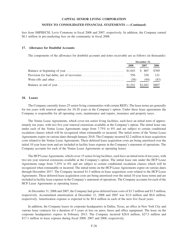#### **NOTES TO CONSOLIDATED FINANCIAL STATEMENTS — (Continued)**

fees from SHPIII/CSL Levis Commons in fiscal 2008 and 2007, respectively. In addition, the Company earned \$0.1 million in pre-marketing fees on the community in fiscal 2008.

#### **17. Allowance for Doubtful Accounts**

The components of the allowance for doubtful accounts and notes receivable are as follows (in thousands):

| December 31, |      |                  |
|--------------|------|------------------|
| 2008         | 2007 | 2006             |
|              |      | \$769            |
|              | 330  | 121              |
|              | (94) | (83)             |
|              |      | $\frac{$807}{2}$ |

## **18. Leases**

The Company currently leases 25 senior living communities with certain REITs. The lease terms are generally for ten years with renewal options for 10-20 years at the Company's option. Under these lease agreements the Company is responsible for all operating costs, maintenance and repairs, insurance and property taxes.

The Ventas Lease Agreements, which cover ten senior living facilities, each have an initial term of approximately ten years, with two five year renewal extensions available at the Company's option. The initial lease rate under each of the Ventas Lease Agreements range from 7.75% to 8% and are subject to certain conditional escalation clauses which will be recognized when estimatable or incurred. The initial terms of the Ventas Lease Agreements expire on various dates through January 2018. The Company incurred \$2.2 million in lease acquisition costs related to the Ventas Lease Agreements. These deferred lease acquisition costs are being amortized over the initial 10 year lease term and are included in facility lease expense in the Company's statement of operations. The Company accounts for each of the Ventas Lease Agreements as operating leases.

The HCP Lease Agreements, which cover 15 senior living facilities, each have an initial term of ten years, with two ten year renewal extensions available at the Company's option. The initial lease rate under the HCP Lease Agreements range from 7.25% to 8% and are subject to certain conditional escalation clauses which will be recognized when estimatable or incurred. The initial terms on the HCP Lease Agreements expire on various dates through December 2017. The Company incurred \$1.5 million in lease acquisition costs related to the HCP Lease Agreements. These deferred lease acquisition costs are being amortized over the initial 10 year lease terms and are included in facility lease expense in the Company's statement of operations. The Company accounts for each of the HCP Lease Agreements as operating leases.

At December 31, 2008 and 2007, the Company had gross deferred lease costs of \$3.7 million and \$3.5 million, respectively. Accumulated amortization at December 31, 2008 and 2007 was \$1.0 million and \$0.6 million, respectively. Amortization expense is expected to be \$0.4 million in each of the next five fiscal years.

In addition, the Company leases its corporate headquarters in Dallas, Texas, an office in New York City and various lease contracts for a duration of 5 years or less on autos, buses and office equipment. The lease on the corporate headquarters expires in February 2013. The Company incurred \$28.8 million, \$27.5 million and \$17.1 million in lease expense during fiscal 2008, 2007 and 2006, respectively.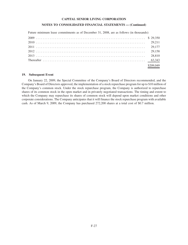# **NOTES TO CONSOLIDATED FINANCIAL STATEMENTS — (Continued)**

Future minimum lease commitments as of December 31, 2008, are as follows (in thousands):

| \$209.049 |
|-----------|

## **19. Subsequent Event**

On January 22, 2009, the Special Committee of the Company's Board of Directors recommended, and the Company's Board of Directors approved, the implementation of a stock repurchase program for up to \$10 million of the Company's common stock. Under the stock repurchase program, the Company is authorized to repurchase shares of its common stock in the open market and in privately negotiated transactions. The timing and extent to which the Company may repurchase its shares of common stock will depend upon market conditions and other corporate considerations. The Company anticipates that it will finance the stock repurchase program with available cash. As of March 9, 2009, the Company has purchased 272,200 shares at a total cost of \$0.7 million.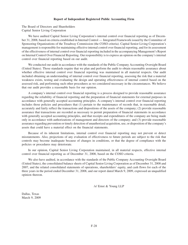#### **Report of Independent Registered Public Accounting Firm**

The Board of Directors and Shareholders Capital Senior Living Corporation

We have audited Capital Senior Living Corporation's internal control over financial reporting as of December 31, 2008, based on criteria established in Internal Control — Integrated Framework issued by the Committee of Sponsoring Organizations of the Treadway Commission (the COSO criteria). Capital Senior Living Corporation's management is responsible for maintaining effective internal control over financial reporting, and for its assessment of the effectiveness of internal control over financial reporting included in the accompanying Management's Report on Internal Control Over Financial Reporting. Our responsibility is to express an opinion on the company's internal control over financial reporting based on our audit.

We conducted our audit in accordance with the standards of the Public Company Accounting Oversight Board (United States). Those standards require that we plan and perform the audit to obtain reasonable assurance about whether effective internal control over financial reporting was maintained in all material respects. Our audit included obtaining an understanding of internal control over financial reporting, assessing the risk that a material weakness exists, testing and evaluating the design and operating effectiveness of internal control based on the assessed risk, and performing such other procedures as we considered necessary in the circumstances. We believe that our audit provides a reasonable basis for our opinion.

A company's internal control over financial reporting is a process designed to provide reasonable assurance regarding the reliability of financial reporting and the preparation of financial statements for external purposes in accordance with generally accepted accounting principles. A company's internal control over financial reporting includes those policies and procedures that (1) pertain to the maintenance of records that, in reasonable detail, accurately and fairly reflect the transactions and dispositions of the assets of the company; (2) provide reasonable assurance that transactions are recorded as necessary to permit preparation of financial statements in accordance with generally accepted accounting principles, and that receipts and expenditures of the company are being made only in accordance with authorizations of management and directors of the company; and (3) provide reasonable assurance regarding prevention or timely detection of unauthorized acquisition, use, or disposition of the company's assets that could have a material effect on the financial statements.

Because of its inherent limitations, internal control over financial reporting may not prevent or detect misstatements. Also, projections of any evaluation of effectiveness to future periods are subject to the risk that controls may become inadequate because of changes in conditions, or that the degree of compliance with the policies or procedures may deteriorate.

In our opinion, Capital Senior Living Corporation maintained, in all material respects, effective internal control over financial reporting as of December 31, 2008, based on the COSO criteria.

We also have audited, in accordance with the standards of the Public Company Accounting Oversight Board (United States), the consolidated balance sheets of Capital Senior Living Corporation as of December 31, 2008 and 2007, and the related consolidated statements of operations, shareholders' equity, and cash flows for each of the three years in the period ended December 31, 2008, and our report dated March 9, 2009, expressed an unqualified opinion thereon.

/s/ Ernst & Young LLP

Dallas, Texas March 9, 2009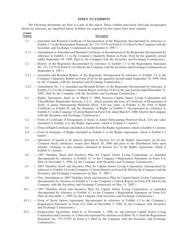# **INDEX TO EXHIBITS**

The following documents are filed as a part of this report. Those exhibits previously filed and incorporated herein by reference are identified below. Exhibits not required for this report have been omitted.

| <b>Exhibit</b><br>Number | <b>Description</b>                                                                                                                                                                                                                                                                                                                                                                                                                                                                                                                                             |
|--------------------------|----------------------------------------------------------------------------------------------------------------------------------------------------------------------------------------------------------------------------------------------------------------------------------------------------------------------------------------------------------------------------------------------------------------------------------------------------------------------------------------------------------------------------------------------------------------|
| 3.1                      | — Amended and Restated Certificate of Incorporation of the Registrant (Incorporated by reference to<br>Exhibit 3.1 to the Registration Statement No. 333-33379 on Form S-1/A filed by the Company with the<br>Securities and Exchange Commission on September 8, 1997.)                                                                                                                                                                                                                                                                                        |
|                          | 3.1.1 — Amendment to Amended and Restated Certificate of Incorporation of the Registrant (Incorporated by<br>reference to Exhibit 3.1 to the Company's Quarterly Report on Form 10-Q for the quarterly period<br>ended September 30, 1999, filed by the Company with the Securities and Exchange Commission.)                                                                                                                                                                                                                                                  |
| 3.2                      | - Bylaws of the Registrant (Incorporated by reference to Exhibit 3.2 to the Registration Statement<br>No. 333-33379 on Form S-1/A filed by the Company with the Securities and Exchange Commission on<br>September 8, 1997.)                                                                                                                                                                                                                                                                                                                                   |
|                          | 3.2.1 — Amended and Restated Bylaws of the Registrant (Incorporated by reference to Exhibit 3.2 to the<br>Company's Quarterly Report on Form 10-Q for the quarterly period ended September 30, 1999, filed<br>by the Company with the Securities and Exchange Commission.)                                                                                                                                                                                                                                                                                     |
|                          | 3.2.2 — Amendment No. 2 to Amended and Restated Bylaws of the Registrant (Incorporated by reference to<br>Exhibit 3.2.2 to the Company's Annual Report on Form 10-K for the year period ended December 31,<br>2002, filed by the Company with the Securities and Exchange Commission.)                                                                                                                                                                                                                                                                         |
| 4.1                      | - Rights Agreement, dated as of March 9, 2000, between Capital Senior Living Corporation and<br>ChaseMellon Shareholder Services, L.L.C., which includes the form of Certificate of Designation of<br>Series A Junior Participating Preferred Stock, \$.01 par value, as Exhibit A, the form of Right<br>Certificate as Exhibit B, and the Summary of Rights as Exhibit C (Incorporated by reference to<br>Exhibit 4.1 to the Company's Current Report on Form 8-K, dated March 9, 2000, filed by the Company<br>with the Securities and Exchange Commission.) |
| 4.2                      | - Form of Certificate of Designation of Series A Junior Participating Preferred Stock, \$.01 par value<br>(included as Exhibit A to the Rights Agreement, which is Exhibit 4.1 hereto)                                                                                                                                                                                                                                                                                                                                                                         |
| 4.3                      | — Form of Right Certificate (included as Exhibit B to the Rights Agreement, which is Exhibit 4.1 hereto)                                                                                                                                                                                                                                                                                                                                                                                                                                                       |
| 4.4                      | — Form of Summary of Rights (included as Exhibit C to the Rights Agreement, which is Exhibit 4.1<br>hereto)                                                                                                                                                                                                                                                                                                                                                                                                                                                    |
| 4.5                      | — Specimen of legend to be placed, pursuant to Section $3(c)$ of the Rights Agreement, on all new<br>Common Stock certificates issued after March 20, 2000 and prior to the Distribution Date upon<br>transfer, exchange or new issuance (included in Section 3(c) of the Rights Agreement, which is<br>Exhibit 4.1 hereto)                                                                                                                                                                                                                                    |
| 4.6                      | -1997 Omnibus Stock and Incentive Plan for Capital Senior Living Corporation, as amended<br>(Incorporated by reference to Exhibit 4.1 to the Company's Registration Statement on Form S-8,<br>filed on December 3, 1999, by the Company with Securities and Exchange Commission.)                                                                                                                                                                                                                                                                              |
| 4.7                      | - 2007 Omnibus Stock and Incentive Plan for Capital Senior Living Corporation. (Incorporated by<br>reference to Exhibit 4.6 to the Company's Current Report on Form 8-K filed by the Company with the<br>Securities and Exchange Commission on May 31, 2007.)                                                                                                                                                                                                                                                                                                  |
| 4.8                      | - First Amendment to 2007 Omnibus Stock and Incentive Plan for Capital Senior Living Corporation.<br>(Incorporated by reference to Exhibit 4.7 to the Company's Current Report on Form 8-K filed by the<br>Company with the Securities and Exchange Commission on May 31, 2007.)                                                                                                                                                                                                                                                                               |
| 10.1                     | -1997 Omnibus Stock and Incentive Plan for Capital Senior Living Corporation, as amended<br>(Incorporated by reference to Exhibit 4.1 to the Company's Registration Statement on Form S-8,<br>filed on December 3, 1999, by the Company with Securities and Exchange Commission.)                                                                                                                                                                                                                                                                              |
|                          | 10.1.1 — Form of Stock Option Agreement (Incorporated by reference to Exhibit 4.2 to the Company's<br>Registration Statement on Form S-8, filed on December 3, 1999, by the Company with Securities<br>and Exchange Commission.)                                                                                                                                                                                                                                                                                                                               |
| 10.3                     | — Employment Agreement, dated as of November 1, 1996, by and between Capital Senior Living<br>Corporation and Lawrence A. Cohen (Incorporated by reference to Exhibit 10.11 from the Registration<br>Statement No. 333-33379 on Form S-1 filed by the Company with the Securities and Exchange                                                                                                                                                                                                                                                                 |

Commission.)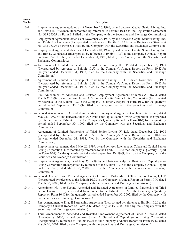| <b>Exhibit</b><br><b>Number</b> | <b>Description</b>                                                                                                                                                                                                                                                                                                                                                                                            |
|---------------------------------|---------------------------------------------------------------------------------------------------------------------------------------------------------------------------------------------------------------------------------------------------------------------------------------------------------------------------------------------------------------------------------------------------------------|
| 10.4                            | — Employment Agreement, dated as of November 26, 1996, by and between Capital Senior Living, Inc.<br>and David R. Brickman (Incorporated by reference to Exhibit 10.12 to the Registration Statement<br>No. 333-33379 on Form S-1 filed by the Company with the Securities and Exchange Commission.)                                                                                                          |
| 10.5                            | - Employment Agreement, dated as of November 26, 1996, by and between Capital Senior Living, Inc.<br>and Keith N. Johannessen (Incorporated by reference to Exhibit 10.13 from the Registration Statement<br>No. 333-33379 on Form S-1 filed by the Company with the Securities and Exchange Commission.                                                                                                      |
| 10.6                            | - Employment Agreement, dated as of December 10, 1996, by and between Capital Senior Living, Inc.<br>and Rob L. Goodpaster (Incorporated by reference to Exhibit 10.50 to the Company's Annual Report<br>on Form 10-K for the year ended December 31, 1998, filed by the Company with the Securities and<br>Exchange Commission.)                                                                             |
| 10.7                            | - Agreement of Limited Partnership of Triad Senior Living II, L.P. dated September 23, 1998<br>(Incorporated by reference to Exhibit 10.57 to the Company's Annual Report on Form 10-K for<br>the year ended December 31, 1998, filed by the Company with the Securities and Exchange<br>Commission.)                                                                                                         |
| 10.8                            | - Agreement of Limited Partnership of Triad Senior Living III, L.P. dated November 10, 1998<br>(Incorporated by reference to Exhibit 10.58 to the Company's Annual Report on Form 10-K for<br>the year ended December 31, 1998, filed by the Company with the Securities and Exchange<br>Commission.)                                                                                                         |
| 10.9                            | - First Amendment to Amended and Restated Employment Agreement of James A. Stroud, dated<br>March 22, 1999, by and between James A. Stroud and Capital Senior Living Corporation (Incorporated<br>by reference to the Exhibit 10.2 to the Company's Quarterly Report on Form 10-Q for the quarterly<br>period ended September 30, 1999, filed by the Company with the Securities and Exchange<br>Commission.) |
| 10.10                           | - Second Amendment to Amended and Restated Employment Agreement of James A. Stroud, dated<br>May 31, 1999, by and between James A. Stroud and Capital Senior Living Corporation (Incorporated<br>by reference to the Exhibit 10.3 to the Company's Quarterly Report on Form 10-Q for the quarterly<br>period ended September 30, 1999, filed by the Company with the Securities and Exchange<br>Commission.)  |
| 10.11                           | - Agreement of Limited Partnership of Triad Senior Living IV, L.P. dated December 22, 1998<br>(Incorporated by reference to Exhibit 10.59 to the Company's Annual Report on Form 10-K for<br>the year ended December 31, 1998, filed by the Company with the Securities and Exchange<br>Commission.)                                                                                                          |
| 10.12                           | - Employment Agreement, dated May 26, 1999, by and between Lawrence A. Cohen and Capital Senior<br>Living Corporation (Incorporated by reference to the Exhibit 10.4 to the Company's Quarterly Report<br>on Form 10-Q for the quarterly period ended September 30, 1999, filed by the Company with the<br>Securities and Exchange Commission.)                                                               |
|                                 | 10.13 - Employment Agreement, dated May 25, 1999, by and between Ralph A. Beattie and Capital Senior<br>Living Corporation (Incorporated by reference to the Exhibit 10.76 to the Company's Annual Report<br>on Form 10-K, dated March 30, 2000, filed by the Company with the Securities and Exchange<br>Commission.)                                                                                        |
|                                 | 10.14 - Second Amended and Restated Agreement of Limited Partnership of Triad Senior Living I, L.P.<br>(Incorporated by reference to the Exhibit 10.78 to the Company's Annual Report on Form 10-K, dated<br>March 30, 2000, filed by the Company with the Securities and Exchange Commission.)                                                                                                               |
|                                 | 10.14.1 - Amendment No. 1 to Second Amended and Restated Agreement of Limited Partnership of Triad<br>Senior Living I, LP. (Incorporated by reference to the Exhibit 10.10.5 to the Company's Quarterly<br>Report on Form 10-Q for the quarterly period ended September 30, 2002, filed by the Company with<br>the Securities and Exchange Commission.)                                                       |
| 10.15                           | - First Amendment to Triad II Partnership Agreement (Incorporated by reference to Exhibit 10.26 to the<br>Company's Current Report on Form 8-K, dated August 15, 2000, filed by the Company with the<br>Securities and Exchange Commission.)                                                                                                                                                                  |
| 10.16                           | - Third Amendment to Amended and Restated Employment Agreement of James A. Stroud, dated<br>November 8, 2000, by and between James A. Stroud and Capital Senior Living Corporation<br>(Incorporated by reference to Exhibit 10.96 to the Company's Annual Report on Form 10-K, dated<br>March 26, 2002, filed by the Company with the Securities and Exchange Commission.)                                    |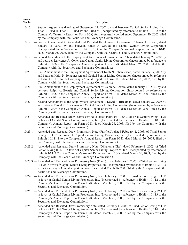| <b>Exhibit</b><br><b>Number</b> | <b>Description</b>                                                                                                                                                                                                                                                                                                                                                           |
|---------------------------------|------------------------------------------------------------------------------------------------------------------------------------------------------------------------------------------------------------------------------------------------------------------------------------------------------------------------------------------------------------------------------|
| 10.17                           | -Support Agreement dated as of September 11, 2002 by and between Capital Senior Living, Inc.,<br>Triad I, Triad II, Triad III, Triad IV and Triad V. (Incorporated by reference to Exhibit 10.102 to the<br>Company's Quarterly Report on Form 10-Q for the quarterly period ended September 30, 2002, filed<br>by the Company with the Securities and Exchange Commission.) |
| 10.18                           | - Fourth Amendment to Amended and Restated Employment Agreement of James A. Stroud, dated<br>January 16, 2003 by and between James A. Stroud and Capital Senior Living Corporation<br>(Incorporated by reference to Exhibit 10.105 to the Company's Annual Report on Form 10-K,<br>dated March 26, 2003, filed by the Company with the Securities and Exchange Commission.)  |
| 10.19                           | - Second Amendment to the Employment Agreement of Lawrence A. Cohen, dated January 27, 2003 by<br>and between Lawrence A. Cohen and Capital Senior Living Corporation (Incorporated by reference to<br>Exhibit 10.106 to the Company's Annual Report on Form 10-K, dated March 26, 2003, filed by the<br>Company with the Securities and Exchange Commission.)               |
| 10.20                           | - First Amendment to the Employment Agreement of Keith N. Johannessen, dated January 17, 2003 by<br>and between Keith N. Johannessen and Capital Senior Living Corporation (Incorporated by reference<br>to Exhibit 10.107 to the Company's Annual Report on Form 10-K, dated March 26, 2003, filed by the<br>Company with the Securities and Exchange Commission.)          |
| 10.21                           | - First Amendment to the Employment Agreement of Ralph A. Beattie, dated January 21, 2003 by and<br>between Ralph A. Beattie and Capital Senior Living Corporation (Incorporated by reference to<br>Exhibit 10.108 to the Company's Annual Report on Form 10-K, dated March 26, 2003, filed by the<br>Company with the Securities and Exchange Commission.)                  |
| 10.22                           | - Second Amendment to the Employment Agreement of David R. Brickman, dated January 27, 2003 by<br>and between David R. Brickman and Capital Senior Living Corporation (Incorporated by reference to<br>Exhibit 10.109 to the Company's Annual Report on Form 10-K, dated March 26, 2003, filed by the<br>Company with the Securities and Exchange Commission.)               |
| 10.23                           | - Amended and Restated Draw Promissory Note, dated February 1, 2003, of Triad Senior Living I, L.P.<br>in favor of Capital Senior Living Properties, Inc. (Incorporated by reference to Exhibit 10.110 to the<br>Company's Annual Report on Form 10-K, dated March 26, 2003, filed by the Company with the<br>Securities and Exchange Commission.)                           |
|                                 | 10.23.1 - Amended and Restated Draw Promissory Note (Fairfield), dated February 1, 2003, of Triad Senior<br>Living II, L.P. in favor of Capital Senior Living Properties, Inc. (Incorporated by reference to<br>Exhibit 10.111.1 to the Company's Annual Report on Form 10-K, dated March 26, 2003, filed by<br>the Company with the Securities and Exchange Commission.)    |
|                                 | 10.23.2 — Amended and Restated Draw Promissory Note (Oklahoma City), dated February 1, 2003, of Triad                                                                                                                                                                                                                                                                        |

- Senior Living II, L.P. in favor of Capital Senior Living Properties, Inc. (Incorporated by reference to Exhibit 10.111.2 to the Company's Annual Report on Form 10-K, dated March 26, 2003, filed by the Company with the Securities and Exchange Commission.)
- 10.23.3 Amended and Restated Draw Promissory Note (Plano), dated February 1, 2003, of Triad Senior Living II, L.P. in favor of Capital Senior Living Properties, Inc. (Incorporated by reference to Exhibit 10.111.3 to the Company's Annual Report on Form 10-K, dated March 26, 2003, filed by the Company with the Securities and Exchange Commission.)
- 10.24 Amended and Restated Draw Promissory Note, dated February 1, 2003, of Triad Senior Living III, L.P. in favor of Capital Senior Living Properties, Inc. (Incorporated by reference to Exhibit 10.112 to the Company's Annual Report on Form 10-K, dated March 26, 2003, filed by the Company with the Securities and Exchange Commission.)
- 10.25 Amended and Restated Draw Promissory Note, dated February 1, 2003, of Triad Senior Living IV, L.P. in favor of Capital Senior Living Properties, Inc. (Incorporated by reference to Exhibit 10.113 to the Company's Annual Report on Form 10-K, dated March 26, 2003, filed by the Company with the Securities and Exchange Commission.)
- 10.26 Amended and Restated Draw Promissory Note, dated February 1, 2003, of Triad Senior Living V, L.P. in favor of Capital Senior Living Properties, Inc. (Incorporated by reference to Exhibit 10.114 to the Company's Annual Report on Form 10-K, dated March 26, 2003, filed by the Company with the Securities and Exchange Commission.)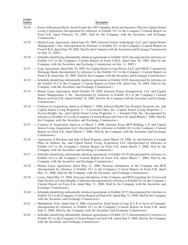| <b>Exhibit</b><br>Number | <b>Description</b>                                                                                                                                                                                                                                                                                                                                                                                                                                                                  |
|--------------------------|-------------------------------------------------------------------------------------------------------------------------------------------------------------------------------------------------------------------------------------------------------------------------------------------------------------------------------------------------------------------------------------------------------------------------------------------------------------------------------------|
| 10.28                    | - Form of Restricted Stock Award Under the 1997 Omnibus Stock and Incentive Plan for Capital Senior<br>Living Corporation (Incorporated by reference to Exhibit 10.1 to the Company's Current Report on<br>Form 8-K, dated February 10, 2005, filed by the Company with the Securities and Exchange<br>Commission.)                                                                                                                                                                 |
| 10.29                    | - Master Lease Agreement, dated June 30, 2005, between Ventas Amberleigh, LLC and Capital Senior<br>Management 2, Inc. (Incorporated by reference to Exhibit 10.1 to the Company's Current Report on<br>Form 8-K/A, dated June 30, 2005, filed by the Company with the Securities and Exchange Commission<br>on July 11, 2005.)                                                                                                                                                     |
| 10.30                    | — Schedule identifying substantially identical agreements to Exhibit 10.63 (Incorporated by reference to<br>Exhibit 10.2 to the Company's Current Report on Form 8-K/A, dated June 30, 2005, filed by the<br>Company with the Securities and Exchange Commission on July 11, 2005.)                                                                                                                                                                                                 |
| 10.31                    | - Loan Agreement, dated July 18, 2005, by Capital Senior Living Peoria, LLC and GMAC Commercial<br>Mortgage Bank (Incorporated by reference to the Exhibit 10.1 to the Company's Current Report on<br>Form 8-K, dated July 18, 2005, filed by the Company with the Securities and Exchange Commission.)                                                                                                                                                                             |
| 10.32                    | - Schedule identifying substantially identical agreements to Exhibit 10.65 (Incorporated by reference to<br>the Exhibit 10.2 to the Company's Current Report on Form 8-K, dated July 18, 2005, filed by the<br>Company with the Securities and Exchange Commission.)                                                                                                                                                                                                                |
| 10.33                    | - Master Lease Agreement, dated October 18, 2005, between Ventas Georgetowne, LLC and Capital<br>Senior Management 2, Inc. (Incorporated by reference to Exhibit 10.1 to the Company's Current<br>Report on Form 8-K, dated October 18, 2005, filed by the Company with the Securities and Exchange<br>Commission.)                                                                                                                                                                 |
| 10.34                    | - Contract of Acquisition, dated as of March 7, 2006, between Health Care Property Investors, Inc. and<br>Capital Senior Living Properties 2 — Crosswood Oaks, Inc., Capital Senior Living Properties 2 —<br>Tesson Heights, Inc. and Capital Senior Living Properties 2 — Veranda Club, Inc. (Incorporated by<br>reference to Exhibit 10.1 to the Company's Current Report on Form 8-K, dated March 7, 2006, filed by<br>the Company with the Securities and Exchange Commission.) |
| 10.35                    | - Contract of Acquisition, dated as of March 7, 2006, between Texas HCP Holding, L.P. and Capital<br>Senior Living Acquisition, LLC (Incorporated by reference to Exhibit 10.2 to the Company's Current<br>Report on Form 8-K, dated March 7, 2006, filed by the Company with the Securities and Exchange<br>Commission.)                                                                                                                                                           |
| 10.36                    | - Agreement of Purchase and Sale of Real Property, dated March 10, 2006, by and between Covenant<br>Place of Abilene, Inc. and Capital Senior Living Acquisition, LLC (Incorporated by reference to<br>Exhibit 10.3 to the Company's Current Report on Form 8-K, dated March 7, 2006, filed by the<br>Company with the Securities and Exchange Commission.)                                                                                                                         |
| 10.37                    | - Schedule identifying substantially identical agreements to Exhibit 10.70 (Incorporated by reference to<br>Exhibit 10.4 to the Company's Current Report on Form 8-K, dated March 7, 2006, filed by the<br>Company with the Securities and Exchange Commission.)                                                                                                                                                                                                                    |
| 10.38                    | — Master Lease Agreement, dated May 31, 2006, between subsidiaries of the Company and HCP<br>(Incorporated by reference to Exhibit 10.1 to the Company's Current Report on Form 8-K, dated<br>May 31, 2006, filed by the Company with the Securities and Exchange Commission.)                                                                                                                                                                                                      |
| 10.39                    | — Lease, dated May 31, 2006, between subsidiaries of the Company and HCP regarding the Crosswood<br>Oaks Facility in Citrus Heights, California (Incorporated by reference to Exhibit 10.2 to the Company's<br>Current Report on Form 8-K, dated May 31, 2006, filed by the Company with the Securities and<br>Exchange Commission.)                                                                                                                                                |
| 10.40                    | - Schedule identifying substantially identical agreements to Exhibit 10.73 (Incorporated by reference to<br>Exhibit 10.3 to the Company's Current Report on Form 8-K, dated May 31, 2006, filed by the Company<br>with the Securities and Exchange Commission.)                                                                                                                                                                                                                     |
| 10.41                    | - Multifamily Note, dated June 9, 2006, executed by Triad Senior Living II, L.P. in favor of Capmark.<br>(Incorporated by reference to Exhibit 10.1 to the Company's Current Report on Form 8-K, dated<br>June 9, 2006, filed by the Company with the Securities and Exchange Commission.)                                                                                                                                                                                          |
| 10.42                    | — Schedule identifying substantially identical agreements to Exhibit 10.75 (Incorporated by reference to                                                                                                                                                                                                                                                                                                                                                                            |

Exhibit 10.2 to the Company's Current Report on Form 8-K, dated June 9, 2006, filed by the Company

with the Securities and Exchange Commission.)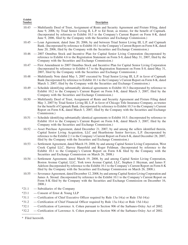| <b>Exhibit</b><br><b>Number</b> | <b>Description</b>                                                                                                                                                                                                                                                                                                                                                                                                                 |
|---------------------------------|------------------------------------------------------------------------------------------------------------------------------------------------------------------------------------------------------------------------------------------------------------------------------------------------------------------------------------------------------------------------------------------------------------------------------------|
| 10.43                           | — Multifamily Deed of Trust, Assignment of Rents and Security Agreement and Fixture Filing, dated<br>June 9, 2006, by Triad Senior Living II, L.P. to Ed Stout, as trustee, for the benefit of Capmark.<br>(Incorporated by reference to Exhibit 10.3 to the Company's Current Report on Form 8-K, dated<br>June 9, 2006, filed by the Company with the Securities and Exchange Commission.)                                       |
|                                 | 10.45 — Loan Agreement, dated June 20, 2006, by and between Triad Senior Living III, L.P. and Capmark<br>Bank. (Incorporated by reference to Exhibit 10.1 to the Company's Current Report on Form 8-K, dated<br>June 20, 2006, filed by the Company with the Securities and Exchange Commission.)                                                                                                                                  |
|                                 | 10.46 - 2007 Omnibus Stock and Incentive Plan for Capital Senior Living Corporation (Incorporated by<br>reference to Exhibit 4.6 to the Registration Statement on Form S-8, dated May 31, 2007, filed by the<br>Company with the Securities and Exchange Commission.)                                                                                                                                                              |
| 10.47                           | - First Amendment to 2007 Omnibus Stock and Incentive Plan for Capital Senior Living Corporation<br>(Incorporated by reference to Exhibit 4.7 to the Registration Statement on Form S-8, dated May 31,<br>2007, filed by the Company with the Securities and Exchange Commission.)                                                                                                                                                 |
| 10.48                           | — Multifamily Note dated May 3, 2007 executed by Triad Senior Living III, L.P. in favor of Capmark<br>Bank (Incorporated by reference to Exhibit 10.1 to the Company's Current Report on Form 8-K, dated<br>March 3, 2007, filed by the Company with the Securities and Exchange Commission.)                                                                                                                                      |
|                                 | 10.49 - Schedule identifying substantially identical agreements to Exhibit 10.3 (Incorporated by reference to<br>Exhibit 10.2 to the Company's Current Report on Form 8-K, dated March 3, 2007, filed by the<br>Company with the Securities and Exchange Commission.)                                                                                                                                                              |
| 10.50                           | - Multifamily Deed of Trust, Assignment of Rents and Security Agreement and Fixture Filing dated<br>May 3, 2007 by Triad Senior Living III, L.P. in favor of Chicago Title Insurance Company, as trustee<br>for the benefit of Capmark Bank. (Incorporated by reference to Exhibit 10.3 to the Company's Current<br>Report on Form 8-K, dated March 3, 2007, filed by the Company with the Securities and Exchange<br>Commission.) |
| 10.51                           | - Schedule identifying substantially identical agreements to Exhibit 10.5. (Incorporated by reference to<br>Exhibit 10.4 to the Company's Current Report on Form 8-K, dated March 3, 2007, filed by the<br>Company with the Securities and Exchange Commission.)                                                                                                                                                                   |
| 10.52                           | - Asset Purchase Agreement, dated December 21, 2007, by and among the sellers identified therein,<br>Capital Senior Living Acquisition, LLC and Hearthstone Senior Services, L.P. (Incorporated by<br>reference to the Exhibit 2.1 to the Company's Current Report on Form 8-K, dated December 28, 2007,<br>filed by the Company with the Securities and Exchange Commission.)                                                     |
| 10.53                           | - Settlement Agreement, dated March 19, 2008, by and among Capital Senior Living Corporation, West<br>Creek Capital LLC, Harvey Hanerfeld and Roger Feldman. (Incorporated by reference to the<br>Exhibit 10.1 to the Company's Current Report on Form 8-K filed by the Company with the<br>Securities and Exchange Commission on March 26, 2008.)                                                                                 |
|                                 | 10.54 - Settlement Agreement, dated March 19, 2008, by and among Capital Senior Living Corporation,<br>Boston Avenue Capital, LLC, York town Avenue Capital, LLC, Stephen J. Heyman, and James F.<br>Adelson (Incorporated by reference to the Exhibit 10.1 to the Company's Current Report on Form 8-K<br>filed by the Company with the Securities and Exchange Commission on March 26, 2008.).                                   |
| 10.55                           | — Severance Agreement, dated December 12, 2008, by and among Capital Senior Living Corporation and<br>James A. Stroud. (Incorporated by reference to the Exhibit 10.1 to the Company's Current Report on<br>Form 8-K filed by the Company with the Securities and Exchange Commission on December 16,<br>$2008.$ )                                                                                                                 |
| $*21.1$                         | — Subsidiaries of the Company                                                                                                                                                                                                                                                                                                                                                                                                      |
| $*23.1$                         | - Consent of Ernst & Young LLP                                                                                                                                                                                                                                                                                                                                                                                                     |
| $*31.1$                         | — Certification of Chief Executive Officer required by Rule 13a-14(a) or Rule 15d-14(a)                                                                                                                                                                                                                                                                                                                                            |
| $*31.2$                         | — Certification of Chief Financial Officer required by Rule 13a-14(a) or Rule 15d-14(a)                                                                                                                                                                                                                                                                                                                                            |
| $*32.1$                         | - Certification of Lawrence A. Cohen pursuant to Section 906 of the Sarbanes-Oxley Act of 2002.                                                                                                                                                                                                                                                                                                                                    |
| $*32.2$                         | - Certification of Lawrence A. Cohen pursuant to Section 906 of the Sarbanes-Oxley Act of 2002.                                                                                                                                                                                                                                                                                                                                    |
|                                 | * Filed herewith.                                                                                                                                                                                                                                                                                                                                                                                                                  |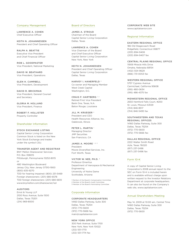#### Company Management

LAWRENCE A. COHEN Chief Executive Officer

KEITH N. JOHANNESSEN President and Chief Operating Officer

RALPH A. BEATTIE Executive Vice President and Chief Financial Officer

ROB L. GOODPASTER Vice President, National Marketing

DAVID W. BEATHARD Vice President, Operations

GLEN H. CAMPBELL Vice President, Development

DAVID R. BRICKMAN Vice President, General Counsel and Secretary

GLORIA M. HOLLAND Vice President, Finance

ROBERT F. HOLLISTER Property Controller

## Shareholder Information

STOCK EXCHANGE LISTING Capital Senior Living Corporation Common Stock is listed on the New York Stock Exchange and trades under the symbol CSU.

#### TRANSFER AGENT AND REGISTRAR

BNY Mellon Shareowner Services P.O. Box 358015 Pittsburgh, Pennsylvania 15252-8015 or 480 Washington Boulevard Jersey City, New Jersey 07310-1900 (800) 635-9270 TDD for hearing impaired: (800) 231-5469 Foreign shareowners: (201) 680-6578 TDD foreign shareowners: (201) 680-6610 www.bnymellon.com/shareowner/isd

#### **AUDITORS**

Ernst & Young LLP 2100 Ross Avenue, Suite 1500 Dallas, Texas 75201 (214) 969-8000

## Board of Directors

JAMES A. STROUD Chairman of the Board Capital Senior Living Corporation Dallas, Texas

LAWRENCE A. COHEN Vice Chairman of the Board and Chief Executive Officer Capital Senior Living Corporation New York, New York

KEITH N. JOHANNESSEN President and Chief Operating Officer Capital Senior Living Corporation Dallas, Texas

HARVEY I. HANERFELD 3 Co-owner and Managing Member West Creek Capital Washington, D.C.

CRAIG F. HARTBERG 1, 2 Retired First Vice President Bank One, Texas, N.A. Baton Rouge, Louisiana

JILL M. KRUEGER <sup>2</sup> President and CEO Health Resources Alliance, Inc. Oakbrook, Illinois

PETER L. MARTIN<sup>1</sup> Managing Director JMP Securities San Francisco, CA

JAMES A. MOORE 1, 2, 3 President Moore Diversified Services, Inc. Fort Worth, Texas

VICTOR W. NEE, PH.D. 3 Professor Emeritus Department of Aerospace & Mechanical Engineering University of Notre Dame Scottsdale, Arizona

1 Member of the Board's Compensation Committee 2 Member of the Board's Audit Committee 3 Member of the Board's Nominating Committee

#### Corporate Information

#### CORPORATE HEADQUARTERS

14160 Dallas Parkway, Suite 300 Dallas, Texas 75254 (972) 770-5600 (972) 770-5666 fax main@capitalsenior.com

#### NEW YORK OFFICE

300 Park Avenue, Suite 1700 New York, New York 10022 (212) 551-1770 (212) 551-1774 fax

CORPORATE WEB SITE www.capitalsenior.com

## Regional Information

EASTERN REGIONAL OFFICE 186 Old Stagecoach Road Ridgefield, Connecticut 06877 (203) 894-9406 (203) 894-9407 fax

## CENTRAL PLAINS REGIONAL OFFICE

11909 Miracle Hills Drive Omaha, Nebraska 68154 (402) 554-9629 (866) 731-0053 fax

WESTERN REGIONAL OFFICE

5757 Cypress Avenue Carmichael, California 95608 (916) 480-0634 (916) 486-4375 fax

MIDWESTERN REGIONAL OFFICE 2650 Hemford Falls Court, #200 St. Louis, Missouri 63129 (314) 846-8517 (314) 846-5495 fax

SOUTHWESTERN AND TEXAS REGIONAL OFFICES

14160 Dallas Parkway, Suite 300 Dallas, Texas 75254 (972) 770-5600 (972) 770-5666 fax

DALLAS REGIONAL OFFICE 2222 Walter Smith Road Azle, Texas 76020 (817) 237-2496 (817) 237-3496 fax

## Form 10-K

A copy of Capital Senior Living Corporation's 2008 annual report to the SEC on Form 10-K is included herein and is available without charge upon written request to the Investor Relations Department at corporate headquarters. It can also be found on the Company's web site, www.capitalsenior.com.

#### Annual Shareholders Meeting

May 14, 2009 at 10:00 am, Central Time 14160 Dallas Parkway, Suite 300 Dallas, Texas 75254 (972) 770-5600